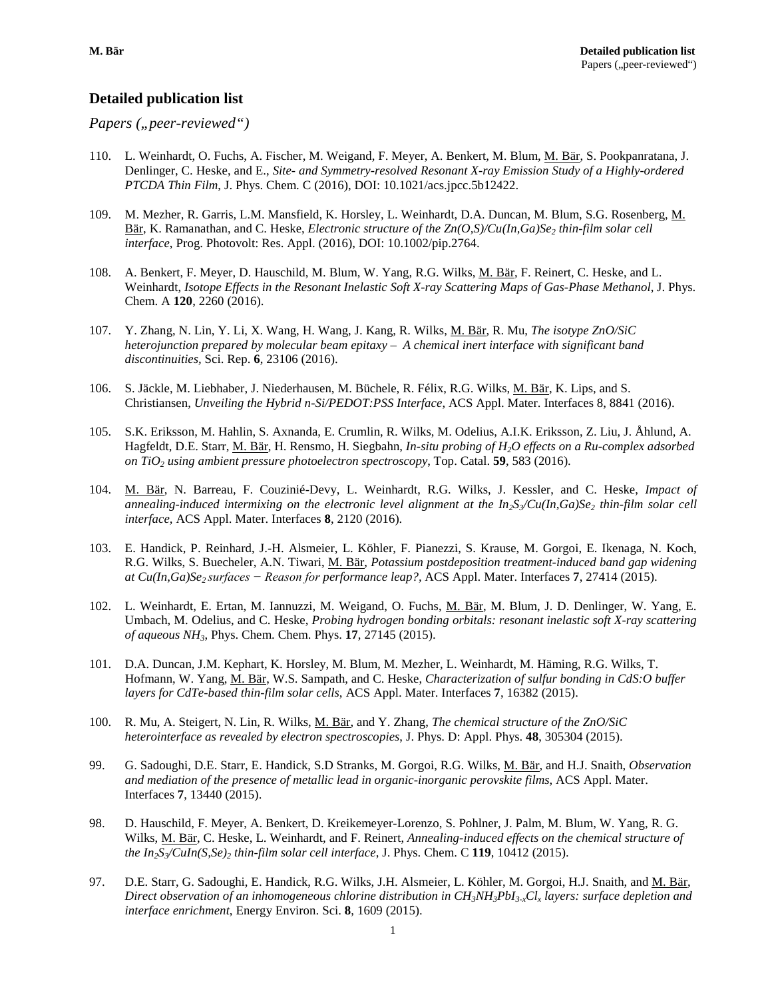# **Detailed publication list**

*Papers ("peer-reviewed")* 

- 110. L. Weinhardt, O. Fuchs, A. Fischer, M. Weigand, F. Meyer, A. Benkert, M. Blum, M. Bär, S. Pookpanratana, J. Denlinger, C. Heske, and E., *Site- and Symmetry-resolved Resonant X-ray Emission Study of a Highly-ordered PTCDA Thin Film*, J. Phys. Chem. C (2016), DOI: 10.1021/acs.jpcc.5b12422.
- 109. M. Mezher, R. Garris, L.M. Mansfield, K. Horsley, L. Weinhardt, D.A. Duncan, M. Blum, S.G. Rosenberg, M. Bär, K. Ramanathan, and C. Heske, *Electronic structure of the Zn(O,S)/Cu(In,Ga)Se<sub>2</sub> thin-film solar cell interface*, Prog. Photovolt: Res. Appl. (2016), DOI: 10.1002/pip.2764.
- 108. A. Benkert, F. Meyer, D. Hauschild, M. Blum, W. Yang, R.G. Wilks, M. Bär, F. Reinert, C. Heske, and L. Weinhardt, *Isotope Effects in the Resonant Inelastic Soft X-ray Scattering Maps of Gas-Phase Methanol*, J. Phys. Chem. A **120**, 2260 (2016).
- 107. Y. Zhang, N. Lin, Y. Li, X. Wang, H. Wang, J. Kang, R. Wilks, M. Bär, R. Mu, *The isotype ZnO/SiC heterojunction prepared by molecular beam epitaxy – A chemical inert interface with significant band discontinuities,* Sci. Rep. **6**, 23106 (2016).
- 106. S. Jäckle, M. Liebhaber, J. Niederhausen, M. Büchele, R. Félix, R.G. Wilks, M. Bär, K. Lips, and S. Christiansen, *Unveiling the Hybrid n-Si/PEDOT:PSS Interface*, ACS Appl. Mater. Interfaces 8, 8841 (2016).
- 105. S.K. Eriksson, M. Hahlin, S. Axnanda, E. Crumlin, R. Wilks, M. Odelius, A.I.K. Eriksson, Z. Liu, J. Åhlund, A. Hagfeldt, D.E. Starr, M. Bär, H. Rensmo, H. Siegbahn, *In-situ probing of H2O effects on a Ru-complex adsorbed on TiO2 using ambient pressure photoelectron spectroscopy*, Top. Catal. **59**, 583 (2016).
- 104. M. Bär, N. Barreau, F. Couzinié-Devy, L. Weinhardt, R.G. Wilks, J. Kessler, and C. Heske, *Impact of*  annealing-induced intermixing on the electronic level alignment at the  $In_2S_2Cu(In,Ga)Se_2$  thin-film solar cell *interface,* ACS Appl. Mater. Interfaces **8**, 2120 (2016).
- 103. E. Handick, P. Reinhard, J.-H. Alsmeier, L. Köhler, F. Pianezzi, S. Krause, M. Gorgoi, E. Ikenaga, N. Koch, R.G. Wilks, S. Buecheler, A.N. Tiwari, M. Bär, *Potassium postdeposition treatment-induced band gap widening at Cu(In,Ga)Se2 surfaces − Reason for performance leap?,* ACS Appl. Mater. Interfaces **7**, 27414 (2015).
- 102. L. Weinhardt, E. Ertan, M. Iannuzzi, M. Weigand, O. Fuchs, M. Bär, M. Blum, J. D. Denlinger, W. Yang, E. Umbach, M. Odelius, and C. Heske, *Probing hydrogen bonding orbitals: resonant inelastic soft X-ray scattering of aqueous NH3*, Phys. Chem. Chem. Phys. **17**, 27145 (2015).
- 101. D.A. Duncan, J.M. Kephart, K. Horsley, M. Blum, M. Mezher, L. Weinhardt, M. Häming, R.G. Wilks, T. Hofmann, W. Yang, M. Bär, W.S. Sampath, and C. Heske, *Characterization of sulfur bonding in CdS:O buffer layers for CdTe-based thin-film solar cells*, ACS Appl. Mater. Interfaces **7**, 16382 (2015).
- 100. R. Mu, A. Steigert, N. Lin, R. Wilks, M. Bär, and Y. Zhang, *The chemical structure of the ZnO/SiC heterointerface as revealed by electron spectroscopies*, J. Phys. D: Appl. Phys. **48**, 305304 (2015).
- 99. G. Sadoughi, D.E. Starr, E. Handick, S.D Stranks, M. Gorgoi, R.G. Wilks, M. Bär, and H.J. Snaith, *Observation and mediation of the presence of metallic lead in organic-inorganic perovskite films*, ACS Appl. Mater. Interfaces **7**, 13440 (2015).
- 98. D. Hauschild, F. Meyer, A. Benkert, D. Kreikemeyer-Lorenzo, S. Pohlner, J. Palm, M. Blum, W. Yang, R. G. Wilks, M. Bär, C. Heske, L. Weinhardt, and F. Reinert, *Annealing-induced effects on the chemical structure of the In<sub>2</sub>S<sub>3</sub>/CuIn(S,Se)<sub>2</sub> <i>thin-film solar cell interface*, J. Phys. Chem. C **119**, 10412 (2015).
- 97. D.E. Starr, G. Sadoughi, E. Handick, R.G. Wilks, J.H. Alsmeier, L. Köhler, M. Gorgoi, H.J. Snaith, and M. Bär, *Direct observation of an inhomogeneous chlorine distribution in CH3NH3PbI3-xClx layers: surface depletion and interface enrichment*, Energy Environ. Sci. **8**, 1609 (2015).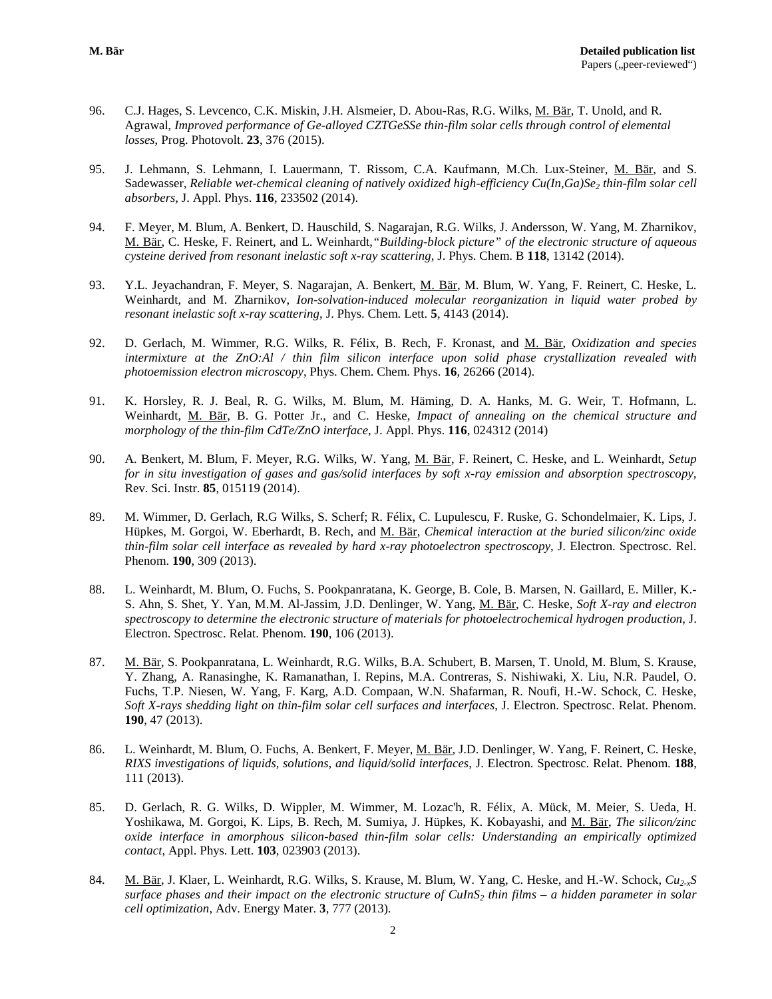- 96. C.J. Hages, S. Levcenco, C.K. Miskin, J.H. Alsmeier, D. Abou-Ras, R.G. Wilks, M. Bär, T. Unold, and R. Agrawal, *Improved performance of Ge-alloyed CZTGeSSe thin-film solar cells through control of elemental losses*, Prog. Photovolt. **23**, 376 (2015).
- 95. J. Lehmann, S. Lehmann, I. Lauermann, T. Rissom, C.A. Kaufmann, M.Ch. Lux-Steiner, M. Bär, and S. Sadewasser, *Reliable wet-chemical cleaning of natively oxidized high-efficiency Cu(In,Ga)Se<sub>2</sub> thin-film solar cell absorbers*, J. Appl. Phys. **116**, 233502 (2014).
- 94. F. Meyer, M. Blum, A. Benkert, D. Hauschild, S. Nagarajan, R.G. Wilks, J. Andersson, W. Yang, M. Zharnikov, M. Bär, C. Heske, F. Reinert, and L. Weinhardt,*"Building-block picture" of the electronic structure of aqueous cysteine derived from resonant inelastic soft x-ray scattering*, J. Phys. Chem. B **118**, 13142 (2014).
- 93. Y.L. Jeyachandran, F. Meyer, S. Nagarajan, A. Benkert, M. Bär, M. Blum, W. Yang, F. Reinert, C. Heske, L. Weinhardt, and M. Zharnikov, *Ion-solvation-induced molecular reorganization in liquid water probed by resonant inelastic soft x-ray scattering*, J. Phys. Chem. Lett. **5**, 4143 (2014).
- 92. D. Gerlach, M. Wimmer, R.G. Wilks, R. Félix, B. Rech, F. Kronast, and M. Bär, *Oxidization and species intermixture at the ZnO:Al / thin film silicon interface upon solid phase crystallization revealed with photoemission electron microscopy*, Phys. Chem. Chem. Phys. **16**, 26266 (2014).
- 91. K. Horsley, R. J. Beal, R. G. Wilks, M. Blum, M. Häming, D. A. Hanks, M. G. Weir, T. Hofmann, L. Weinhardt, M. Bär, B. G. Potter Jr., and C. Heske, *Impact of annealing on the chemical structure and morphology of the thin-film CdTe/ZnO interface*, J. Appl. Phys. **116**, 024312 (2014)
- 90. A. Benkert, M. Blum, F. Meyer, R.G. Wilks, W. Yang, M. Bär, F. Reinert, C. Heske, and L. Weinhardt, *Setup for in situ investigation of gases and gas/solid interfaces by soft x-ray emission and absorption spectroscopy,*  Rev. Sci. Instr. **85**, 015119 (2014).
- 89. M. Wimmer, D. Gerlach, R.G Wilks, S. Scherf; R. Félix, C. Lupulescu, F. Ruske, G. Schondelmaier, K. Lips, J. Hüpkes, M. Gorgoi, W. Eberhardt, B. Rech, and M. Bär, *Chemical interaction at the buried silicon/zinc oxide thin-film solar cell interface as revealed by hard x-ray photoelectron spectroscopy*, J. Electron. Spectrosc. Rel. Phenom. **190**, 309 (2013).
- 88. L. Weinhardt, M. Blum, O. Fuchs, S. Pookpanratana, K. George, B. Cole, B. Marsen, N. Gaillard, E. Miller, K.- S. Ahn, S. Shet, Y. Yan, M.M. Al-Jassim, J.D. Denlinger, W. Yang, M. Bär, C. Heske, *Soft X-ray and electron spectroscopy to determine the electronic structure of materials for photoelectrochemical hydrogen production*, J. Electron. Spectrosc. Relat. Phenom. **190**, 106 (2013).
- 87. M. Bär, S. Pookpanratana, L. Weinhardt, R.G. Wilks, B.A. Schubert, B. Marsen, T. Unold, M. Blum, S. Krause, Y. Zhang, A. Ranasinghe, K. Ramanathan, I. Repins, M.A. Contreras, S. Nishiwaki, X. Liu, N.R. Paudel, O. Fuchs, T.P. Niesen, W. Yang, F. Karg, A.D. Compaan, W.N. Shafarman, R. Noufi, H.-W. Schock, C. Heske, *Soft X-rays shedding light on thin-film solar cell surfaces and interfaces*, J. Electron. Spectrosc. Relat. Phenom. **190**, 47 (2013).
- 86. L. Weinhardt, M. Blum, O. Fuchs, A. Benkert, F. Meyer, M. Bär, J.D. Denlinger, W. Yang, F. Reinert, C. Heske, *RIXS investigations of liquids, solutions, and liquid/solid interfaces*, J. Electron. Spectrosc. Relat. Phenom. **188**, 111 (2013).
- 85. D. Gerlach, R. G. Wilks, D. Wippler, M. Wimmer, M. Lozac'h, R. Félix, A. Mück, M. Meier, S. Ueda, H. Yoshikawa, M. Gorgoi, K. Lips, B. Rech, M. Sumiya, J. Hüpkes, K. Kobayashi, and M. Bär, *The silicon/zinc oxide interface in amorphous silicon-based thin-film solar cells: Understanding an empirically optimized contact*, Appl. Phys. Lett. **103**, 023903 (2013).
- 84. M. Bär, J. Klaer, L. Weinhardt, R.G. Wilks, S. Krause, M. Blum, W. Yang, C. Heske, and H.-W. Schock, *Cu2-xS surface phases and their impact on the electronic structure of CuInS2 thin films – a hidden parameter in solar cell optimization*, Adv. Energy Mater. **3**, 777 (2013).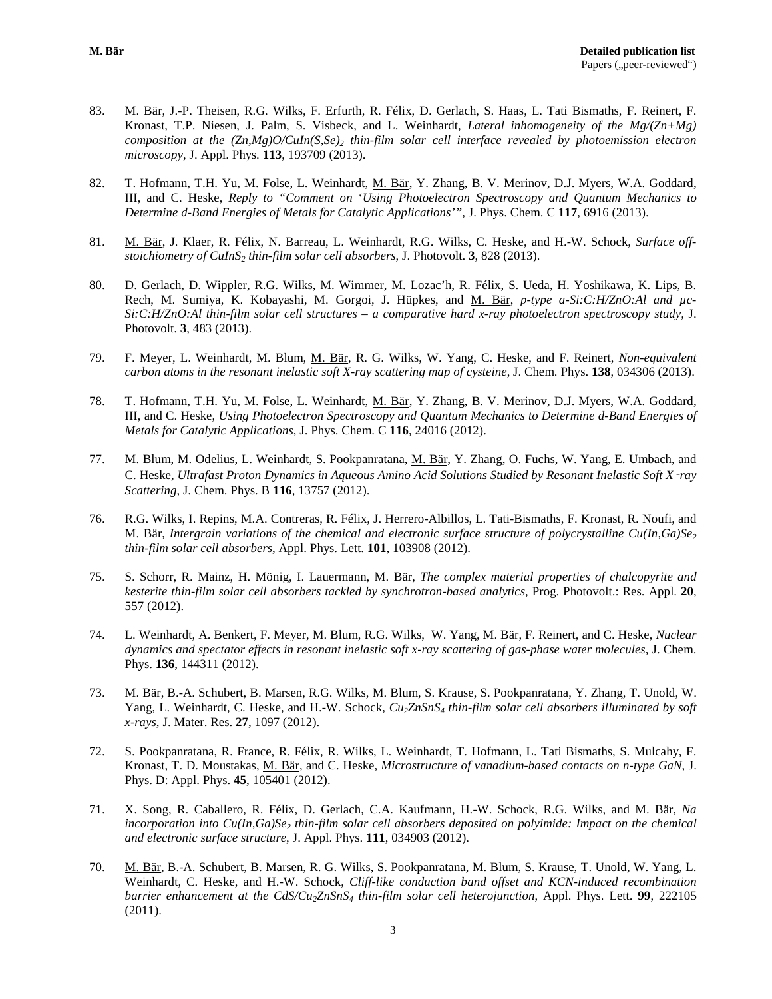- 83. M. Bär, J.-P. Theisen, R.G. Wilks, F. Erfurth, R. Félix, D. Gerlach, S. Haas, L. Tati Bismaths, F. Reinert, F. Kronast, T.P. Niesen, J. Palm, S. Visbeck, and L. Weinhardt, *Lateral inhomogeneity of the Mg/(Zn+Mg) composition at the (Zn,Mg)O/CuIn(S,Se)2 thin-film solar cell interface revealed by photoemission electron microscopy*, J. Appl. Phys. **113**, 193709 (2013).
- 82. T. Hofmann, T.H. Yu, M. Folse, L. Weinhardt, M. Bär, Y. Zhang, B. V. Merinov, D.J. Myers, W.A. Goddard, III, and C. Heske, *Reply to "Comment on* '*Using Photoelectron Spectroscopy and Quantum Mechanics to Determine d-Band Energies of Metals for Catalytic Applications'"*, J. Phys. Chem. C **117**, 6916 (2013).
- 81. M. Bär, J. Klaer, R. Félix, N. Barreau, L. Weinhardt, R.G. Wilks, C. Heske, and H.-W. Schock, *Surface offstoichiometry of CuInS<sub>2</sub> thin-film solar cell absorbers*, J. Photovolt. 3, 828 (2013).
- 80. D. Gerlach, D. Wippler, R.G. Wilks, M. Wimmer, M. Lozac'h, R. Félix, S. Ueda, H. Yoshikawa, K. Lips, B. Rech, M. Sumiya, K. Kobayashi, M. Gorgoi, J. Hüpkes, and M. Bär, *p-type a-Si:C:H/ZnO:Al and µc-Si:C:H/ZnO:Al thin-film solar cell structures – a comparative hard x-ray photoelectron spectroscopy study,* J. Photovolt. **3**, 483 (2013).
- 79. F. Meyer, L. Weinhardt, M. Blum, M. Bär, R. G. Wilks, W. Yang, C. Heske, and F. Reinert, *Non-equivalent carbon atoms in the resonant inelastic soft X-ray scattering map of cysteine*, J. Chem. Phys. **138**, 034306 (2013).
- 78. T. Hofmann, T.H. Yu, M. Folse, L. Weinhardt, M. Bär, Y. Zhang, B. V. Merinov, D.J. Myers, W.A. Goddard, III, and C. Heske, *Using Photoelectron Spectroscopy and Quantum Mechanics to Determine d-Band Energies of Metals for Catalytic Applications*, J. Phys. Chem. C **116**, 24016 (2012).
- 77. M. Blum, M. Odelius, L. Weinhardt, S. Pookpanratana, M. Bär, Y. Zhang, O. Fuchs, W. Yang, E. Umbach, and C. Heske, *Ultrafast Proton Dynamics in Aqueous Amino Acid Solutions Studied by Resonant Inelastic Soft X*‑*ray Scattering*, J. Chem. Phys. B **116**, 13757 (2012).
- 76. R.G. Wilks, I. Repins, M.A. Contreras, R. Félix, J. Herrero-Albillos, L. Tati-Bismaths, F. Kronast, R. Noufi, and M. Bär, *Intergrain variations of the chemical and electronic surface structure of polycrystalline Cu(In,Ga)Se<sub>2</sub> thin-film solar cell absorbers*, Appl. Phys. Lett. **101**, 103908 (2012).
- 75. S. Schorr, R. Mainz, H. Mönig, I. Lauermann, M. Bär, *The complex material properties of chalcopyrite and kesterite thin-film solar cell absorbers tackled by synchrotron-based analytics*, Prog. Photovolt.: Res. Appl. **20**, 557 (2012).
- 74. L. Weinhardt, A. Benkert, F. Meyer, M. Blum, R.G. Wilks, W. Yang, M. Bär, F. Reinert, and C. Heske, *Nuclear dynamics and spectator effects in resonant inelastic soft x-ray scattering of gas-phase water molecules*, J. Chem. Phys. **136**, 144311 (2012).
- 73. M. Bär, B.-A. Schubert, B. Marsen, R.G. Wilks, M. Blum, S. Krause, S. Pookpanratana, Y. Zhang, T. Unold, W. Yang, L. Weinhardt, C. Heske, and H.-W. Schock, *Cu2ZnSnS4 thin-film solar cell absorbers illuminated by soft x-rays*, J. Mater. Res. **27**, 1097 (2012).
- 72. S. Pookpanratana, R. France, R. Félix, R. Wilks, L. Weinhardt, T. Hofmann, L. Tati Bismaths, S. Mulcahy, F. Kronast, T. D. Moustakas, M. Bär, and C. Heske, *Microstructure of vanadium-based contacts on n-type GaN*, J. Phys. D: Appl. Phys. **45**, 105401 (2012).
- 71. X. Song, R. Caballero, R. Félix, D. Gerlach, C.A. Kaufmann, H.-W. Schock, R.G. Wilks, and M. Bär, *Na incorporation into Cu(In,Ga)Se<sub>2</sub> thin-film solar cell absorbers deposited on polyimide: Impact on the chemical and electronic surface structure*, J. Appl. Phys. **111**, 034903 (2012).
- 70. M. Bär, B.-A. Schubert, B. Marsen, R. G. Wilks, S. Pookpanratana, M. Blum, S. Krause, T. Unold, W. Yang, L. Weinhardt, C. Heske, and H.-W. Schock, *Cliff-like conduction band offset and KCN-induced recombination barrier enhancement at the CdS/Cu2ZnSnS4 thin-film solar cell heterojunction*, Appl. Phys. Lett. **99**, 222105 (2011).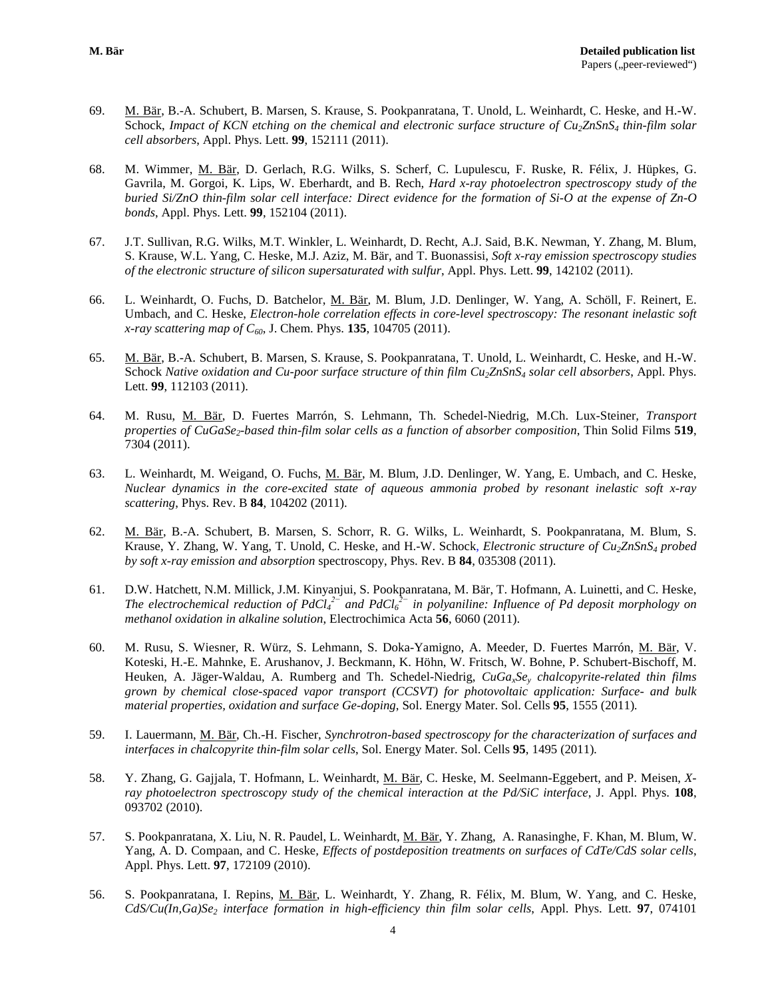- 69. M. Bär, B.-A. Schubert, B. Marsen, S. Krause, S. Pookpanratana, T. Unold, L. Weinhardt, C. Heske, and H.-W. Schock, *Impact of KCN etching on the chemical and electronic surface structure of Cu<sub>2</sub>ZnSnS<sub>4</sub> <i>thin-film solar cell absorbers*, Appl. Phys. Lett. **99**, 152111 (2011).
- 68. M. Wimmer, M. Bär, D. Gerlach, R.G. Wilks, S. Scherf, C. Lupulescu, F. Ruske, R. Félix, J. Hüpkes, G. Gavrila, M. Gorgoi, K. Lips, W. Eberhardt, and B. Rech*, Hard x-ray photoelectron spectroscopy study of the buried Si/ZnO thin-film solar cell interface: Direct evidence for the formation of Si-O at the expense of Zn-O bonds*, Appl. Phys. Lett. **99**, 152104 (2011).
- 67. J.T. Sullivan, R.G. Wilks, M.T. Winkler, L. Weinhardt, D. Recht, A.J. Said, B.K. Newman, Y. Zhang, M. Blum, S. Krause, W.L. Yang, C. Heske, M.J. Aziz, M. Bär, and T. Buonassisi, *Soft x-ray emission spectroscopy studies of the electronic structure of silicon supersaturated with sulfur*, Appl. Phys. Lett. **99**, 142102 (2011).
- 66. L. Weinhardt, O. Fuchs, D. Batchelor, M. Bär, M. Blum, J.D. Denlinger, W. Yang, A. Schöll, F. Reinert, E. Umbach, and C. Heske, *Electron-hole correlation effects in core-level spectroscopy: The resonant inelastic soft x-ray scattering map of C60*, J. Chem. Phys. **135**, 104705 (2011).
- 65. M. Bär, B.-A. Schubert, B. Marsen, S. Krause, S. Pookpanratana, T. Unold, L. Weinhardt, C. Heske, and H.-W. Schock *Native oxidation and Cu-poor surface structure of thin film Cu2ZnSnS4 solar cell absorbers*, Appl. Phys. Lett. **99**, 112103 (2011).
- 64. M. Rusu, M. Bär, D. Fuertes Marrón, S. Lehmann, Th. Schedel-Niedrig, M.Ch. Lux-Steiner*, Transport properties of CuGaSe2-based thin-film solar cells as a function of absorber composition*, Thin Solid Films **519**, 7304 (2011).
- 63. L. Weinhardt, M. Weigand, O. Fuchs, M. Bär, M. Blum, J.D. Denlinger, W. Yang, E. Umbach, and C. Heske, *Nuclear dynamics in the core-excited state of aqueous ammonia probed by resonant inelastic soft x-ray scattering*, Phys. Rev. B **84**, 104202 (2011).
- 62. M. Bär, B.-A. Schubert, B. Marsen, S. Schorr, R. G. Wilks, L. Weinhardt, S. Pookpanratana, M. Blum, S. Krause, Y. Zhang, W. Yang, T. Unold, C. Heske, and H.-W. Schock, *Electronic structure* of Cu<sub>2</sub>ZnSnS<sub>4</sub> probed *by soft x-ray emission and absorption* spectroscopy, Phys. Rev. B **84**, 035308 (2011).
- 61. D.W. Hatchett, N.M. Millick, J.M. Kinyanjui, S. Pookpanratana, M. Bär, T. Hofmann, A. Luinetti, and C. Heske, *The electrochemical reduction of PdCl4 2− and PdCl6 2− in polyaniline: Influence of Pd deposit morphology on methanol oxidation in alkaline solution*, Electrochimica Acta **56**, 6060 (2011).
- 60. M. Rusu, S. Wiesner, R. Würz, S. Lehmann, S. Doka-Yamigno, A. Meeder, D. Fuertes Marrón, M. Bär, V. Koteski, H.-E. Mahnke, E. Arushanov, J. Beckmann, K. Höhn, W. Fritsch, W. Bohne, P. Schubert-Bischoff, M. Heuken, A. Jäger-Waldau, A. Rumberg and Th. Schedel-Niedrig, *CuGaxSey chalcopyrite-related thin films grown by chemical close-spaced vapor transport (CCSVT) for photovoltaic application: Surface- and bulk material properties, oxidation and surface Ge-doping*, Sol. Energy Mater. Sol. Cells **95**, 1555 (2011)*.*
- 59. I. Lauermann, M. Bär, Ch.-H. Fischer, *Synchrotron-based spectroscopy for the characterization of surfaces and interfaces in chalcopyrite thin-film solar cells*, Sol. Energy Mater. Sol. Cells **95**, 1495 (2011)*.*
- 58. Y. Zhang, G. Gajjala, T. Hofmann, L. Weinhardt, M. Bär, C. Heske, M. Seelmann-Eggebert, and P. Meisen, *Xray photoelectron spectroscopy study of the chemical interaction at the Pd/SiC interface*, J. Appl. Phys. **108**, 093702 (2010).
- 57. S. Pookpanratana, X. Liu, N. R. Paudel, L. Weinhardt, M. Bär, Y. Zhang, A. Ranasinghe, F. Khan, M. Blum, W. Yang, A. D. Compaan, and C. Heske*, Effects of postdeposition treatments on surfaces of CdTe/CdS solar cells*, Appl. Phys. Lett. **97**, 172109 (2010).
- 56. S. Pookpanratana, I. Repins, M. Bär, L. Weinhardt, Y. Zhang, R. Félix, M. Blum, W. Yang, and C. Heske, *CdS/Cu(In,Ga)Se2 interface formation in high-efficiency thin film solar cells*, Appl. Phys. Lett. **97**, 074101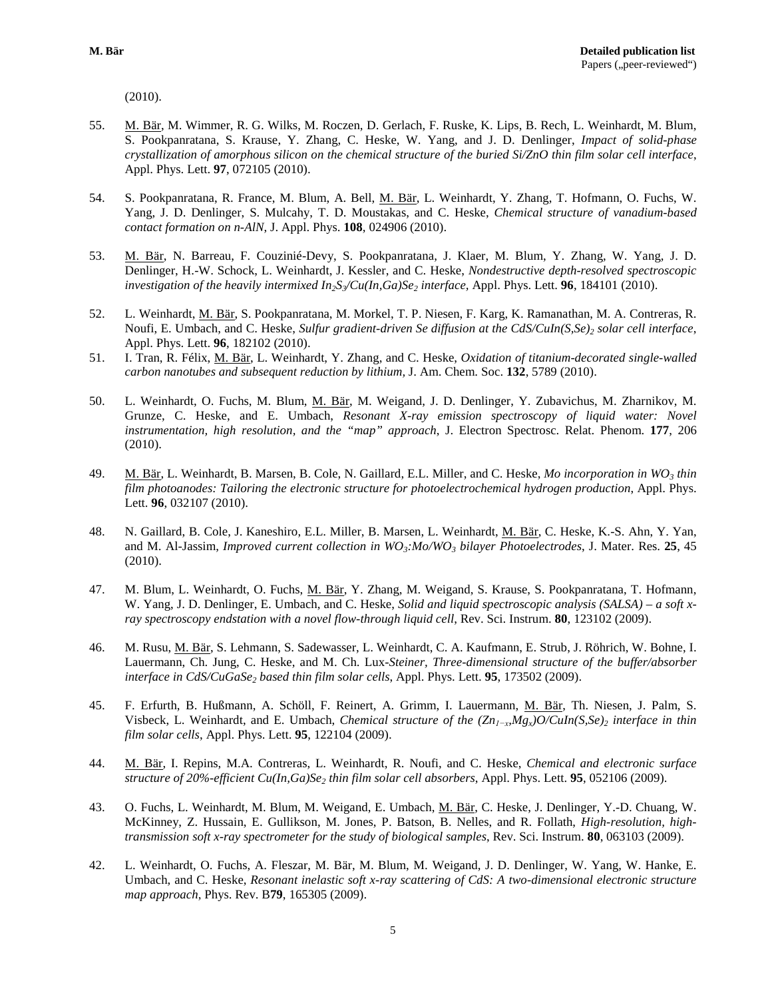(2010).

- 55. M. Bär, M. Wimmer, R. G. Wilks, M. Roczen, D. Gerlach, F. Ruske, K. Lips, B. Rech, L. Weinhardt, M. Blum, S. Pookpanratana, S. Krause, Y. Zhang, C. Heske, W. Yang, and J. D. Denlinger, *Impact of solid-phase crystallization of amorphous silicon on the chemical structure of the buried Si/ZnO thin film solar cell interface*, Appl. Phys. Lett. **97**, 072105 (2010).
- 54. S. Pookpanratana, R. France, M. Blum, A. Bell, M. Bär, L. Weinhardt, Y. Zhang, T. Hofmann, O. Fuchs, W. Yang, J. D. Denlinger, S. Mulcahy, T. D. Moustakas, and C. Heske, *Chemical structure of vanadium-based contact formation on n-AlN*, J. Appl. Phys. **108**, 024906 (2010).
- 53. M. Bär, N. Barreau, F. Couzinié-Devy, S. Pookpanratana, J. Klaer, M. Blum, Y. Zhang, W. Yang, J. D. Denlinger, H.-W. Schock, L. Weinhardt, J. Kessler, and C. Heske, *Nondestructive depth-resolved spectroscopic investigation of the heavily intermixed*  $In_2S\sqrt{Cu(In,Ga)Se_2}$  *<i>interface*, Appl. Phys. Lett. **96**, 184101 (2010).
- 52. L. Weinhardt, M. Bär, S. Pookpanratana, M. Morkel, T. P. Niesen, F. Karg, K. Ramanathan, M. A. Contreras, R. Noufi, E. Umbach, and C. Heske, *Sulfur gradient-driven Se diffusion at the CdS/CuIn(S,Se)<sub>2</sub> solar cell interface*, Appl. Phys. Lett. **96**, 182102 (2010).
- 51. I. Tran, R. Félix, M. Bär, L. Weinhardt, Y. Zhang, and C. Heske, *Oxidation of titanium-decorated single-walled carbon nanotubes and subsequent reduction by lithium,* J. Am. Chem. Soc. **132**, 5789 (2010).
- 50. L. Weinhardt, O. Fuchs, M. Blum, M. Bär, M. Weigand, J. D. Denlinger, Y. Zubavichus, M. Zharnikov, M. Grunze, C. Heske, and E. Umbach, *Resonant X-ray emission spectroscopy of liquid water: Novel instrumentation, high resolution, and the "map" approach*, J. Electron Spectrosc. Relat. Phenom. **177**, 206 (2010).
- 49. M. Bär, L. Weinhardt, B. Marsen, B. Cole, N. Gaillard, E.L. Miller, and C. Heske, *Mo incorporation in WO<sub>3</sub> thin film photoanodes: Tailoring the electronic structure for photoelectrochemical hydrogen production*, Appl. Phys. Lett. **96**, 032107 (2010).
- 48. N. Gaillard, B. Cole, J. Kaneshiro, E.L. Miller, B. Marsen, L. Weinhardt, M. Bär, C. Heske, K.-S. Ahn, Y. Yan, and M. Al-Jassim, *Improved current collection in WO3:Mo/WO3 bilayer Photoelectrodes*, J. Mater. Res. **25**, 45 (2010).
- 47. M. Blum, L. Weinhardt, O. Fuchs, M. Bär, Y. Zhang, M. Weigand, S. Krause, S. Pookpanratana, T. Hofmann, W. Yang, J. D. Denlinger, E. Umbach, and C. Heske, *Solid and liquid spectroscopic analysis (SALSA) – a soft xray spectroscopy endstation with a novel flow-through liquid cell*, Rev. Sci. Instrum. **80**, 123102 (2009).
- 46. M. Rusu, M. Bär, S. Lehmann, S. Sadewasser, L. Weinhardt, C. A. Kaufmann, E. Strub, J. Röhrich, W. Bohne, I. Lauermann, Ch. Jung, C. Heske, and M. Ch. Lux-*Steiner, Three-dimensional structure of the buffer/absorber interface in CdS/CuGaSe2 based thin film solar cells*, Appl. Phys. Lett. **95**, 173502 (2009).
- 45. F. Erfurth, B. Hußmann, A. Schöll, F. Reinert, A. Grimm, I. Lauermann, M. Bär, Th. Niesen, J. Palm, S. Visbeck, L. Weinhardt, and E. Umbach, *Chemical structure of the (Zn1−x,Mgx)O/CuIn(S,Se)2 interface in thin film solar cells*, Appl. Phys. Lett. **95**, 122104 (2009).
- 44. M. Bär, I. Repins, M.A. Contreras, L. Weinhardt, R. Noufi, and C. Heske, *Chemical and electronic surface structure of 20%-efficient Cu(In,Ga)Se<sub>2</sub> thin film solar cell absorbers, Appl. Phys. Lett. 95, 052106 (2009).*
- 43. O. Fuchs, L. Weinhardt, M. Blum, M. Weigand, E. Umbach, M. Bär, C. Heske, J. Denlinger, Y.-D. Chuang, W. McKinney, Z. Hussain, E. Gullikson, M. Jones, P. Batson, B. Nelles, and R. Follath, *High-resolution, hightransmission soft x-ray spectrometer for the study of biological samples*, Rev. Sci. Instrum. **80**, 063103 (2009).
- 42. L. Weinhardt, O. Fuchs, A. Fleszar, M. Bär, M. Blum, M. Weigand, J. D. Denlinger, W. Yang, W. Hanke, E. Umbach, and C. Heske, *Resonant inelastic soft x-ray scattering of CdS: A two-dimensional electronic structure map approach*, Phys. Rev. B**79**, 165305 (2009).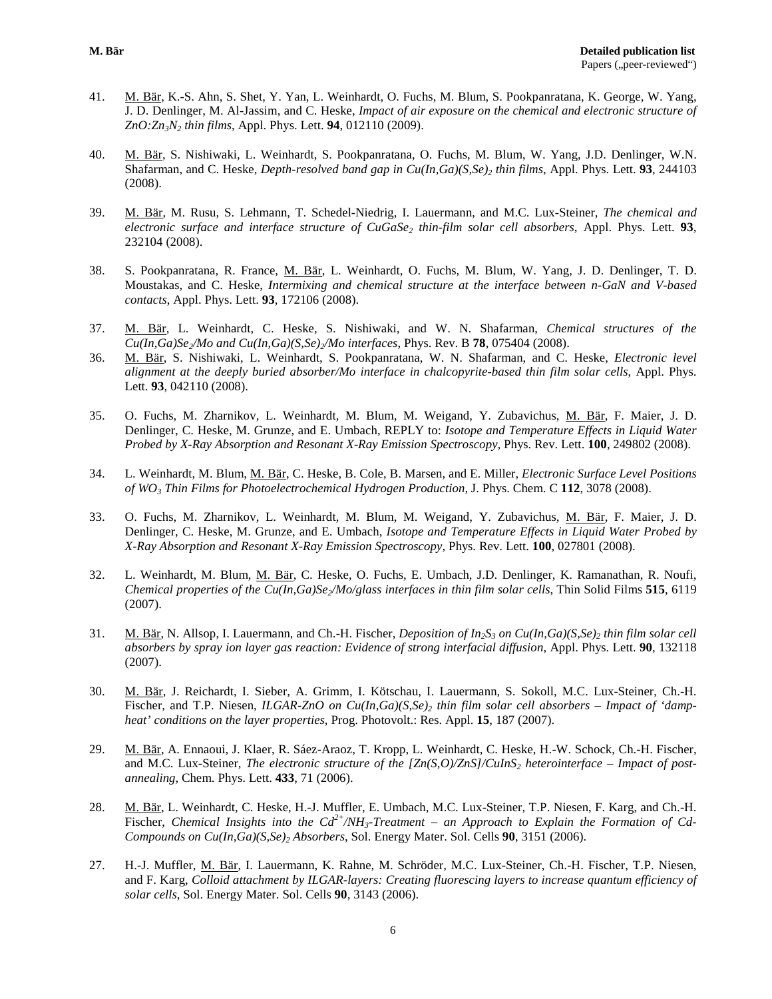- 41. M. Bär, K.-S. Ahn, S. Shet, Y. Yan, L. Weinhardt, O. Fuchs, M. Blum, S. Pookpanratana, K. George, W. Yang, J. D. Denlinger, M. Al-Jassim, and C. Heske, *Impact of air exposure on the chemical and electronic structure of ZnO:Zn3N2 thin films*, Appl. Phys. Lett. **94**, 012110 (2009).
- 40. M. Bär, S. Nishiwaki, L. Weinhardt, S. Pookpanratana, O. Fuchs, M. Blum, W. Yang, J.D. Denlinger, W.N. Shafarman, and C. Heske, *Depth-resolved band gap in Cu(In,Ga)(S,Se)<sub>2</sub> thin films*, Appl. Phys. Lett. 93, 244103 (2008).
- 39. M. Bär, M. Rusu, S. Lehmann, T. Schedel-Niedrig, I. Lauermann, and M.C. Lux-Steiner, *The chemical and electronic surface and interface structure of CuGaSe2 thin-film solar cell absorbers*, Appl. Phys. Lett. **93**, 232104 (2008).
- 38. S. Pookpanratana, R. France, M. Bär, L. Weinhardt, O. Fuchs, M. Blum, W. Yang, J. D. Denlinger, T. D. Moustakas, and C. Heske, *Intermixing and chemical structure at the interface between n-GaN and V-based contacts*, Appl. Phys. Lett. **93**, 172106 (2008).
- 37. M. Bär, L. Weinhardt, C. Heske, S. Nishiwaki, and W. N. Shafarman, *Chemical structures of the*   $Cu(In.Ga)Se\mathcal{N}$  and  $Cu(In.Ga)(SSe)\mathcal{N}$  interfaces, Phys. Rev. B **78**, 075404 (2008).
- 36. M. Bär, S. Nishiwaki, L. Weinhardt, S. Pookpanratana, W. N. Shafarman, and C. Heske, *Electronic level alignment at the deeply buried absorber/Mo interface in chalcopyrite-based thin film solar cells*, Appl. Phys. Lett. **93**, 042110 (2008).
- 35. O. Fuchs, M. Zharnikov, L. Weinhardt, M. Blum, M. Weigand, Y. Zubavichus, M. Bär, F. Maier, J. D. Denlinger, C. Heske, M. Grunze, and E. Umbach, REPLY to: *Isotope and Temperature Effects in Liquid Water Probed by X-Ray Absorption and Resonant X-Ray Emission Spectroscopy,* Phys. Rev. Lett. **100**, 249802 (2008).
- 34. L. Weinhardt, M. Blum, M. Bär, C. Heske, B. Cole, B. Marsen, and E. Miller, *Electronic Surface Level Positions of WO3 Thin Films for Photoelectrochemical Hydrogen Production,* J. Phys. Chem. C **112**, 3078 (2008).
- 33. O. Fuchs, M. Zharnikov, L. Weinhardt, M. Blum, M. Weigand, Y. Zubavichus, M. Bär, F. Maier, J. D. Denlinger, C. Heske, M. Grunze, and E. Umbach, *Isotope and Temperature Effects in Liquid Water Probed by X-Ray Absorption and Resonant X-Ray Emission Spectroscopy,* Phys. Rev. Lett. **100**, 027801 (2008).
- 32. L. Weinhardt, M. Blum, M. Bär, C. Heske, O. Fuchs, E. Umbach, J.D. Denlinger, K. Ramanathan, R. Noufi, *Chemical properties of the Cu(In,Ga)Se2/Mo/glass interfaces in thin film solar cells*, Thin Solid Films **515**, 6119 (2007).
- 31. M. Bär, N. Allsop, I. Lauermann, and Ch.-H. Fischer, *Deposition of In<sub>2</sub>S<sub>3</sub> on Cu(In,Ga)(S,Se)<sub>2</sub> thin film solar cell absorbers by spray ion layer gas reaction: Evidence of strong interfacial diffusion*, Appl. Phys. Lett. **90**, 132118 (2007).
- 30. M. Bär, J. Reichardt, I. Sieber, A. Grimm, I. Kötschau, I. Lauermann, S. Sokoll, M.C. Lux-Steiner, Ch.-H. Fischer, and T.P. Niesen, *ILGAR-ZnO on Cu(In,Ga)(S.Se)<sub>2</sub> thin film solar cell absorbers – Impact of 'dampheat' conditions on the layer properties*, Prog. Photovolt.: Res. Appl. **15**, 187 (2007).
- 29. M. Bär, A. Ennaoui, J. Klaer, R. Sáez-Araoz, T. Kropp, L. Weinhardt, C. Heske, H.-W. Schock, Ch.-H. Fischer, and M.C. Lux-Steiner, *The electronic structure of the [Zn(S,O)/ZnS]/CuInS<sub>2</sub> heterointerface – Impact of postannealing*, Chem. Phys. Lett. **433**, 71 (2006).
- 28. M. Bär, L. Weinhardt, C. Heske, H.-J. Muffler, E. Umbach, M.C. Lux-Steiner, T.P. Niesen, F. Karg, and Ch.-H. Fischer, *Chemical Insights into the Cd2+/NH3-Treatment – an Approach to Explain the Formation of Cd-Compounds on Cu(In,Ga)(S,Se)2 Absorbers*, Sol. Energy Mater. Sol. Cells **90**, 3151 (2006).
- 27. H.-J. Muffler, M. Bär, I. Lauermann, K. Rahne, M. Schröder, M.C. Lux-Steiner, Ch.-H. Fischer, T.P. Niesen, and F. Karg, *Colloid attachment by ILGAR-layers: Creating fluorescing layers to increase quantum efficiency of solar cells*, Sol. Energy Mater. Sol. Cells **90**, 3143 (2006).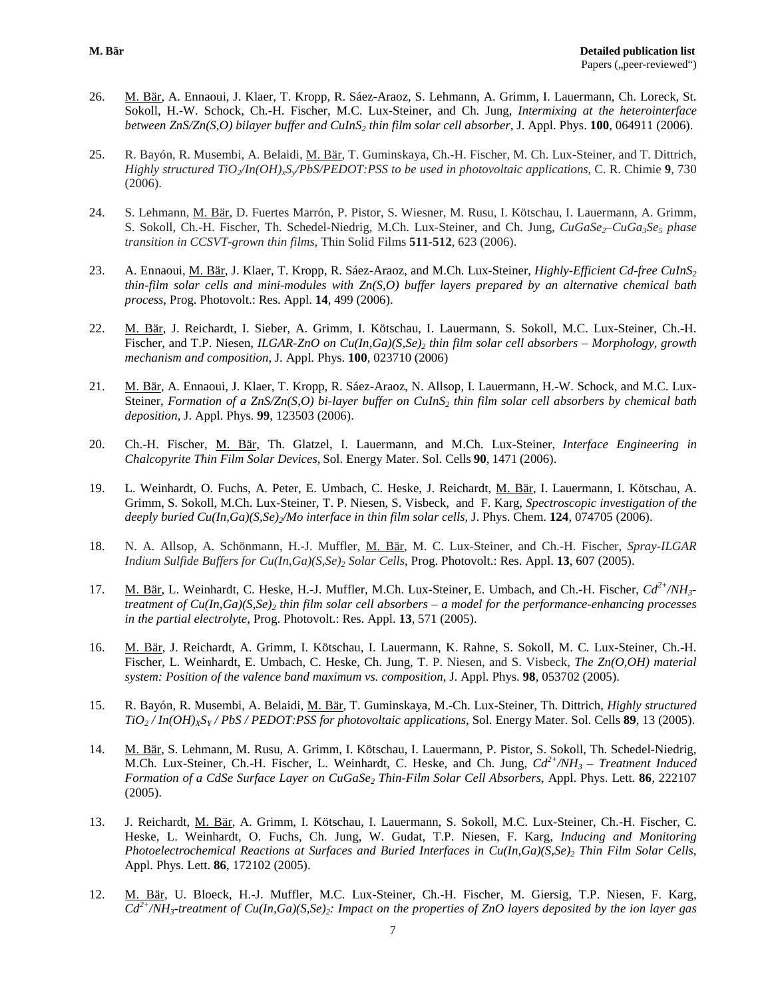- 26. M. Bär, A. Ennaoui, J. Klaer, T. Kropp, R. Sáez-Araoz, S. Lehmann, A. Grimm, I. Lauermann, Ch. Loreck, St. Sokoll, H.-W. Schock, Ch.-H. Fischer, M.C. Lux-Steiner, and Ch. Jung, *Intermixing at the heterointerface between ZnS/Zn(S,O) bilayer buffer and CuInS2 thin film solar cell absorber,* J. Appl. Phys. **100**, 064911 (2006).
- 25. R. Bayón, R. Musembi, A. Belaidi, M. Bär, T. Guminskaya, Ch.-H. Fischer, M. Ch. Lux-Steiner, and T. Dittrich, *Highly structured TiO2/In(OH)xSy/PbS/PEDOT:PSS to be used in photovoltaic applications*, C. R. Chimie **9**, 730 (2006).
- 24. S. Lehmann, M. Bär, D. Fuertes Marrón, P. Pistor, S. Wiesner, M. Rusu, I. Kötschau, I. Lauermann, A. Grimm, S. Sokoll, Ch.-H. Fischer, Th. Schedel-Niedrig, M.Ch. Lux-Steiner, and Ch. Jung, *CuGaSe<sub>2</sub>–CuGa<sub>3</sub>Se<sub>5</sub> phase transition in CCSVT-grown thin films*, Thin Solid Films **511-512**, 623 (2006).
- 23. A. Ennaoui, M. Bär, J. Klaer, T. Kropp, R. Sáez-Araoz, and M.Ch. Lux-Steiner, *Highly-Efficient Cd-free CuInS2 thin-film solar cells and mini-modules with Zn(S,O) buffer layers prepared by an alternative chemical bath process,* Prog. Photovolt.: Res. Appl. **14**, 499 (2006).
- 22. M. Bär, J. Reichardt, I. Sieber, A. Grimm, I. Kötschau, I. Lauermann, S. Sokoll, M.C. Lux-Steiner, Ch.-H. Fischer, and T.P. Niesen, *ILGAR-ZnO on Cu(In,Ga)(S,Se)<sub>2</sub> thin film solar cell absorbers – Morphology, growth mechanism and composition*, J. Appl. Phys. **100**, 023710 (2006)
- 21. M. Bär, A. Ennaoui, J. Klaer, T. Kropp, R. Sáez-Araoz, N. Allsop, I. Lauermann, H.-W. Schock, and M.C. Lux-Steiner, *Formation of a ZnS/Zn(S,O) bi-layer buffer on CuInS2 thin film solar cell absorbers by chemical bath deposition,* J. Appl. Phys. **99**, 123503 (2006).
- 20. Ch.-H. Fischer, M. Bär, Th. Glatzel, I. Lauermann, and M.Ch. Lux-Steiner, *Interface Engineering in Chalcopyrite Thin Film Solar Devices*, Sol. Energy Mater. Sol. Cells **90**, 1471 (2006).
- 19. L. Weinhardt, O. Fuchs, A. Peter, E. Umbach, C. Heske, J. Reichardt, M. Bär, I. Lauermann, I. Kötschau, A. Grimm, S. Sokoll, M.Ch. Lux-Steiner, T. P. Niesen, S. Visbeck, and F. Karg, *Spectroscopic investigation of the deeply buried Cu(In,Ga)(S,Se)2/Mo interface in thin film solar cells,* J. Phys. Chem. **124**, 074705 (2006).
- 18. N. A. Allsop, A. Schönmann, H.-J. Muffler, M. Bär, M. C. Lux-Steiner, and Ch.-H. Fischer, *Spray-ILGAR Indium Sulfide Buffers for Cu(In,Ga)(S,Se)2 Solar Cells*, Prog. Photovolt.: Res. Appl. **13**, 607 (2005).
- 17. M. Bär, L. Weinhardt, C. Heske, H.-J. Muffler, M.Ch. Lux-Steiner, E. Umbach, and Ch.-H. Fischer, *Cd2+/NH3 treatment of Cu(In,Ga)(S,Se)2 thin film solar cell absorbers – a model for the performance-enhancing processes in the partial electrolyte*, Prog. Photovolt.: Res. Appl. **13**, 571 (2005).
- 16. M. Bär, J. Reichardt, A. Grimm, I. Kötschau, I. Lauermann, K. Rahne, S. Sokoll, M. C. Lux-Steiner, Ch.-H. Fischer, L. Weinhardt, E. Umbach, C. Heske, Ch. Jung, T. P. Niesen, and S. Visbeck, *The Zn(O,OH) material system: Position of the valence band maximum vs. composition*, J. Appl. Phys. **98**, 053702 (2005).
- 15. R. Bayón, R. Musembi, A. Belaidi, M. Bär, T. Guminskaya, M.-Ch. Lux-Steiner, Th. Dittrich, *Highly structured TiO2 / In(OH)XSY / PbS / PEDOT:PSS for photovoltaic applications*, Sol. Energy Mater. Sol. Cells **89**, 13 (2005).
- 14. M. Bär, S. Lehmann, M. Rusu, A. Grimm, I. Kötschau, I. Lauermann, P. Pistor, S. Sokoll, Th. Schedel-Niedrig, M.Ch. Lux-Steiner, Ch.-H. Fischer, L. Weinhardt, C. Heske, and Ch. Jung, *Cd2+/NH3 – Treatment Induced Formation of a CdSe Surface Layer on CuGaSe2 Thin-Film Solar Cell Absorbers*, Appl. Phys. Lett. **86**, 222107 (2005).
- 13. J. Reichardt, M. Bär, A. Grimm, I. Kötschau, I. Lauermann, S. Sokoll, M.C. Lux-Steiner, Ch.-H. Fischer, C. Heske, L. Weinhardt, O. Fuchs, Ch. Jung, W. Gudat, T.P. Niesen, F. Karg, *Inducing and Monitoring Photoelectrochemical Reactions at Surfaces and Buried Interfaces in Cu(In,Ga)(S,Se)2 Thin Film Solar Cells*, Appl. Phys. Lett. **86**, 172102 (2005).
- 12. M. Bär, U. Bloeck, H.-J. Muffler, M.C. Lux-Steiner, Ch.-H. Fischer, M. Giersig, T.P. Niesen, F. Karg, *Cd2+/NH3-treatment of Cu(In,Ga)(S,Se)2: Impact on the properties of ZnO layers deposited by the ion layer gas*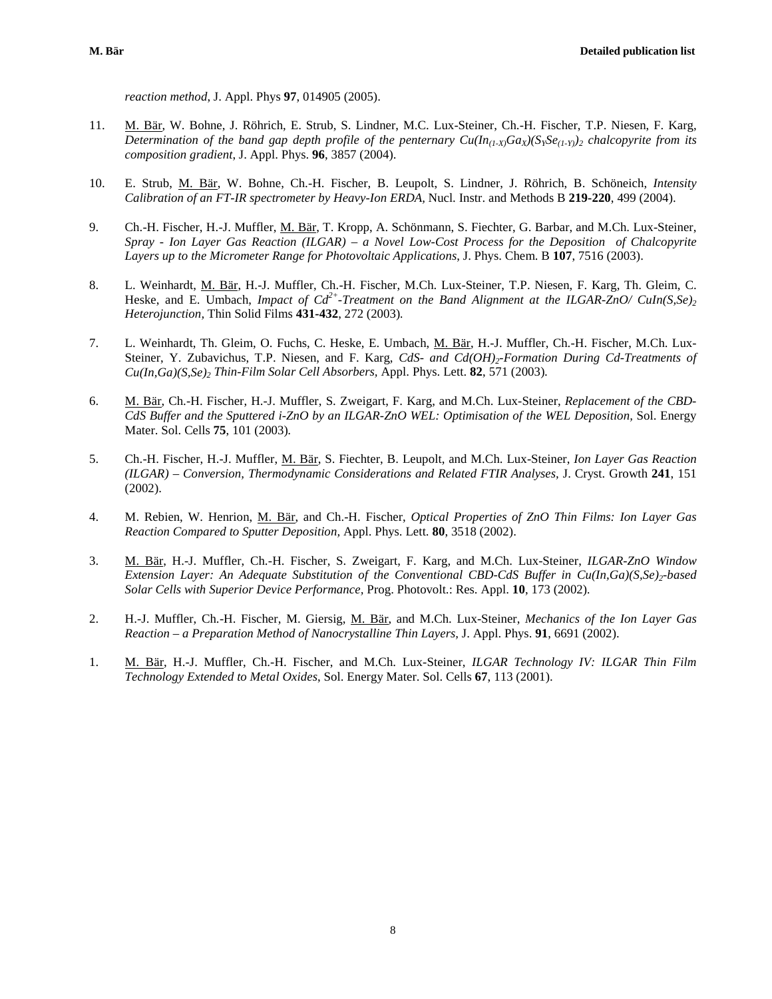*reaction method*, J. Appl. Phys **97**, 014905 (2005).

- 11. M. Bär, W. Bohne, J. Röhrich, E. Strub, S. Lindner, M.C. Lux-Steiner, Ch.-H. Fischer, T.P. Niesen, F. Karg, *Determination of the band gap depth profile of the penternary*  $Cu(\ln_{(1\cdot X)}Ga_X)(S_YSe_{(1\cdot Y)})_2$  *chalcopyrite from its composition gradient*, J. Appl. Phys. **96**, 3857 (2004).
- 10. E. Strub, M. Bär, W. Bohne, Ch.-H. Fischer, B. Leupolt, S. Lindner, J. Röhrich, B. Schöneich, *Intensity Calibration of an FT-IR spectrometer by Heavy-Ion ERDA,* Nucl. Instr. and Methods B **219-220**, 499 (2004).
- 9. Ch.-H. Fischer, H.-J. Muffler, M. Bär, T. Kropp, A. Schönmann, S. Fiechter, G. Barbar, and M.Ch. Lux-Steiner, *Spray - Ion Layer Gas Reaction (ILGAR) – a Novel Low-Cost Process for the Deposition of Chalcopyrite Layers up to the Micrometer Range for Photovoltaic Applications*, J. Phys. Chem. B **107**, 7516 (2003).
- 8. L. Weinhardt, M. Bär, H.-J. Muffler, Ch.-H. Fischer, M.Ch. Lux-Steiner, T.P. Niesen, F. Karg, Th. Gleim, C. Heske, and E. Umbach, *Impact of Cd<sup>2+</sup>-Treatment on the Band Alignment at the ILGAR-ZnO/ CuIn(S,Se)*<sub>2</sub> *Heterojunction,* Thin Solid Films **431-432**, 272 (2003)*.*
- 7. L. Weinhardt, Th. Gleim, O. Fuchs, C. Heske, E. Umbach, M. Bär, H.-J. Muffler, Ch.-H. Fischer, M.Ch. Lux-Steiner, Y. Zubavichus, T.P. Niesen, and F. Karg, *CdS- and Cd(OH)2-Formation During Cd-Treatments of Cu(In,Ga)(S,Se)2 Thin-Film Solar Cell Absorbers,* Appl. Phys. Lett. **82**, 571 (2003)*.*
- 6. M. Bär, Ch.-H. Fischer, H.-J. Muffler, S. Zweigart, F. Karg, and M.Ch. Lux-Steiner, *Replacement of the CBD-CdS Buffer and the Sputtered i-ZnO by an ILGAR-ZnO WEL: Optimisation of the WEL Deposition, Sol. Energy* Mater. Sol. Cells **75**, 101 (2003)*.*
- 5. Ch.-H. Fischer, H.-J. Muffler, M. Bär, S. Fiechter, B. Leupolt, and M.Ch. Lux-Steiner, *Ion Layer Gas Reaction (ILGAR) – Conversion, Thermodynamic Considerations and Related FTIR Analyses,* J. Cryst. Growth **241**, 151 (2002).
- 4. M. Rebien, W. Henrion, M. Bär, and Ch.-H. Fischer, *Optical Properties of ZnO Thin Films: Ion Layer Gas Reaction Compared to Sputter Deposition,* Appl. Phys. Lett. **80**, 3518 (2002).
- 3. M. Bär, H.-J. Muffler, Ch.-H. Fischer, S. Zweigart, F. Karg, and M.Ch. Lux-Steiner, *ILGAR-ZnO Window Extension Layer: An Adequate Substitution of the Conventional CBD-CdS Buffer in Cu(In,Ga)(S,Se)<sub>2</sub>-based Solar Cells with Superior Device Performance,* Prog. Photovolt.: Res. Appl. **10**, 173 (2002)*.*
- 2. H.-J. Muffler, Ch.-H. Fischer, M. Giersig, M. Bär, and M.Ch. Lux-Steiner, *Mechanics of the Ion Layer Gas Reaction – a Preparation Method of Nanocrystalline Thin Layers,* J. Appl. Phys. **91**, 6691 (2002).
- 1. M. Bär, H.-J. Muffler, Ch.-H. Fischer, and M.Ch. Lux-Steiner, *ILGAR Technology IV: ILGAR Thin Film Technology Extended to Metal Oxides*, Sol. Energy Mater. Sol. Cells **67**, 113 (2001).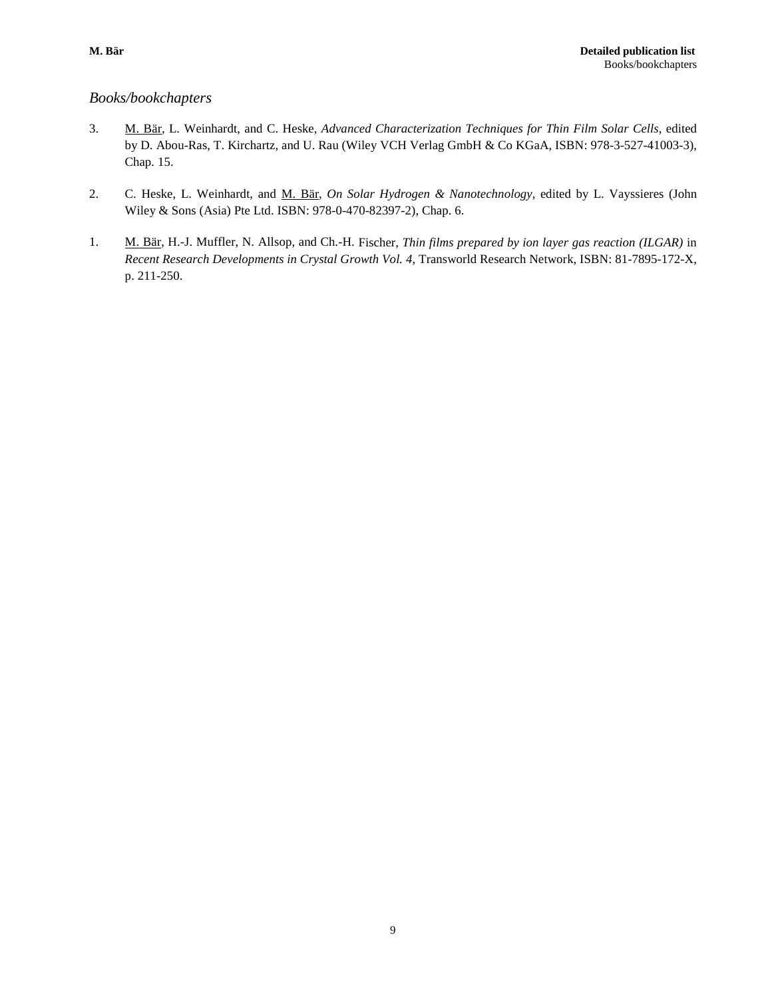## *Books/bookchapters*

- 3. M. Bär, L. Weinhardt, and C. Heske, *Advanced Characterization Techniques for Thin Film Solar Cells*, edited by D. Abou-Ras, T. Kirchartz, and U. Rau (Wiley VCH Verlag GmbH & Co KGaA, ISBN: 978-3-527-41003-3), Chap. 15.
- 2. C. Heske, L. Weinhardt, and M. Bär, *On Solar Hydrogen & Nanotechnology*, edited by L. Vayssieres (John Wiley & Sons (Asia) Pte Ltd. ISBN: 978-0-470-82397-2), Chap. 6.
- 1. M. Bär, H.-J. Muffler, N. Allsop, and Ch.-H. Fischer, *Thin films prepared by ion layer gas reaction (ILGAR)* in *Recent Research Developments in Crystal Growth Vol. 4*, Transworld Research Network, ISBN: 81-7895-172-X, p. 211-250.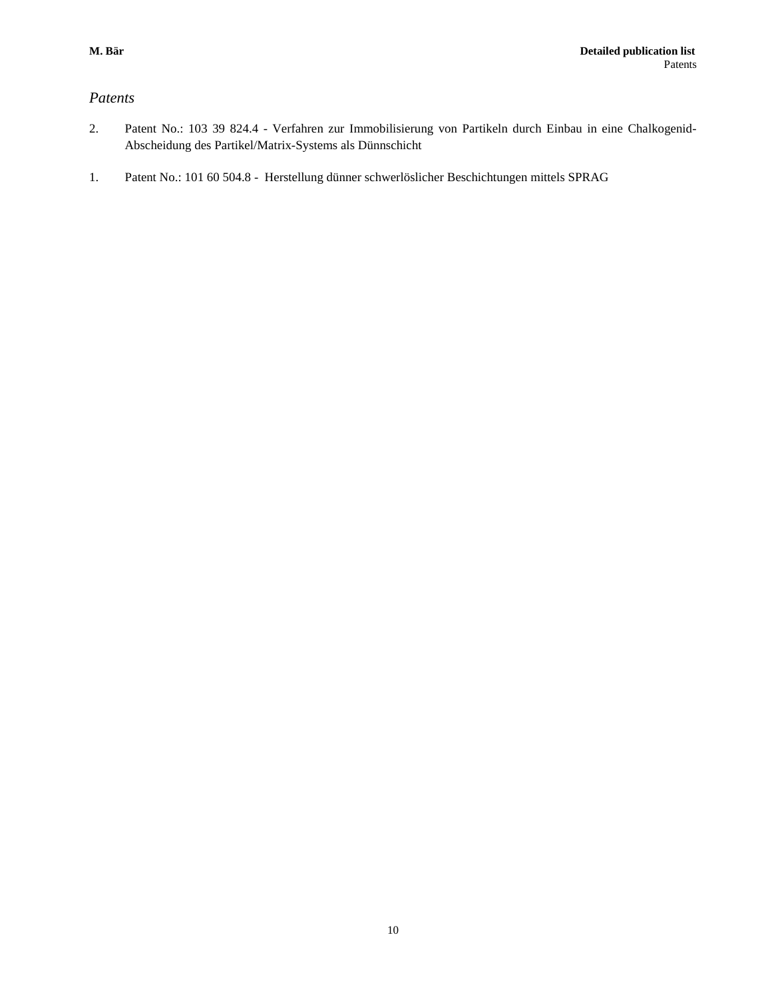## *Patents*

- 2. Patent No.: 103 39 824.4 Verfahren zur Immobilisierung von Partikeln durch Einbau in eine Chalkogenid-Abscheidung des Partikel/Matrix-Systems als Dünnschicht
- 1. Patent No.: 101 60 504.8 Herstellung dünner schwerlöslicher Beschichtungen mittels SPRAG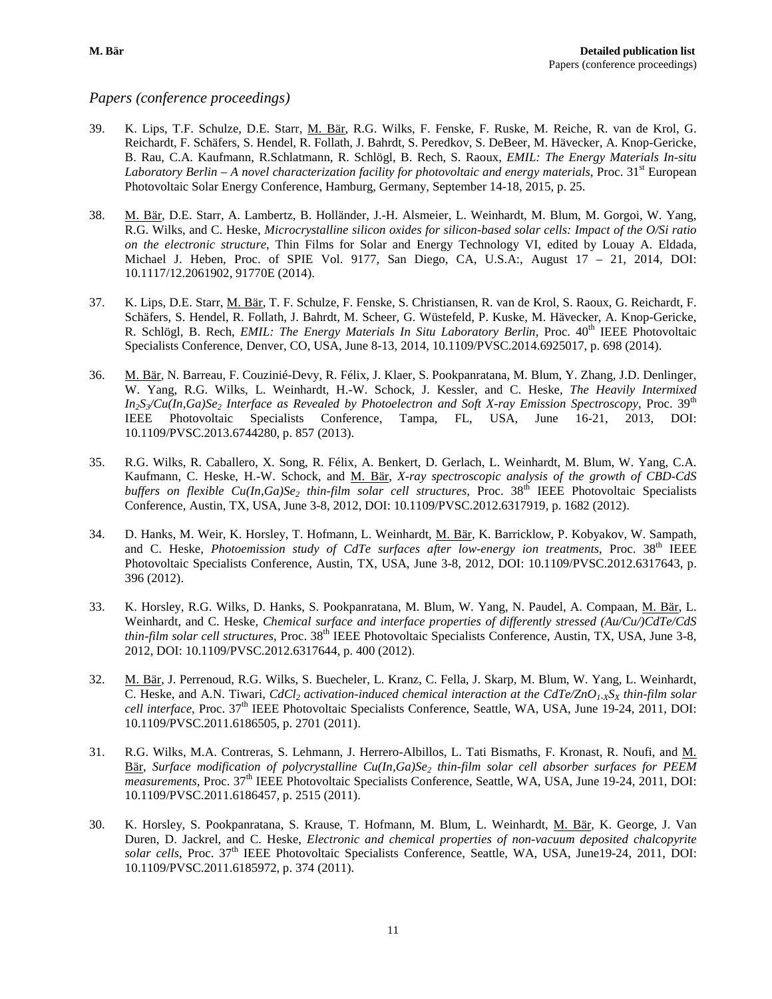### *Papers (conference proceedings)*

- 39. K. Lips, T.F. Schulze, D.E. Starr, M. Bär, R.G. Wilks, F. Fenske, F. Ruske, M. Reiche, R. van de Krol, G. Reichardt, F. Schäfers, S. Hendel, R. Follath, J. Bahrdt, S. Peredkov, S. DeBeer, M. Hävecker, A. Knop-Gericke, B. Rau, C.A. Kaufmann, R.Schlatmann, R. Schlögl, B. Rech, S. Raoux, *EMIL: The Energy Materials In-situ Laboratory Berlin – A novel characterization facility for photovoltaic and energy materials, Proc. 31<sup>st</sup> European* Photovoltaic Solar Energy Conference, Hamburg, Germany, September 14-18, 2015, p. 25.
- 38. M. Bär, D.E. Starr, A. Lambertz, B. Holländer, J.-H. Alsmeier, L. Weinhardt, M. Blum, M. Gorgoi, W. Yang, R.G. Wilks, and C. Heske, *Microcrystalline silicon oxides for silicon-based solar cells: Impact of the O/Si ratio on the electronic structure*, Thin Films for Solar and Energy Technology VI, edited by Louay A. Eldada, Michael J. Heben, Proc. of SPIE Vol. 9177, San Diego, CA, U.S.A:, August 17 – 21, 2014, DOI: 10.1117/12.2061902, 91770E (2014).
- 37. K. Lips, D.E. Starr, M. Bär, T. F. Schulze, F. Fenske, S. Christiansen, R. van de Krol, S. Raoux, G. Reichardt, F. Schäfers, S. Hendel, R. Follath, J. Bahrdt, M. Scheer, G. Wüstefeld, P. Kuske, M. Hävecker, A. Knop-Gericke, R. Schlögl, B. Rech, *EMIL: The Energy Materials In Situ Laboratory Berlin*, Proc.  $40^{th}$  IEEE Photovoltaic Specialists Conference, Denver, CO, USA, June 8-13, 2014, 10.1109/PVSC.2014.6925017, p. 698 (2014).
- 36. M. Bär, N. Barreau, F. Couzinié-Devy, R. Félix, J. Klaer, S. Pookpanratana, M. Blum, Y. Zhang, J.D. Denlinger, W. Yang, R.G. Wilks, L. Weinhardt, H.-W. Schock, J. Kessler, and C. Heske, *The Heavily Intermixed In<sub>2</sub>S<sub>3</sub>/Cu(In,Ga)Se<sub>2</sub> Interface as Revealed by Photoelectron and Soft X-ray Emission Spectroscopy*, Proc. 39<sup>th</sup> IEEE Photovoltaic Specialists Conference, Tampa, FL, USA, June 16-21, 2013, DOI: 10.1109/PVSC.2013.6744280, p. 857 (2013).
- 35. R.G. Wilks, R. Caballero, X. Song, R. Félix, A. Benkert, D. Gerlach, L. Weinhardt, M. Blum, W. Yang, C.A. Kaufmann, C. Heske, H.-W. Schock, and M. Bär, *X-ray spectroscopic analysis of the growth of CBD-CdS buffers on flexible Cu(In,Ga)Se2 thin-film solar cell structures,* Proc. 38th IEEE Photovoltaic Specialists Conference, Austin, TX, USA, June 3-8, 2012, DOI: 10.1109/PVSC.2012.6317919, p. 1682 (2012).
- 34. D. Hanks, M. Weir, K. Horsley, T. Hofmann, L. Weinhardt, M. Bär, K. Barricklow, P. Kobyakov, W. Sampath, and C. Heske, *Photoemission study of CdTe surfaces after low-energy ion treatments*, Proc. 38<sup>th</sup> IEEE Photovoltaic Specialists Conference, Austin, TX, USA, June 3-8, 2012, DOI: 10.1109/PVSC.2012.6317643, p. 396 (2012).
- 33. K. Horsley, R.G. Wilks, D. Hanks, S. Pookpanratana, M. Blum, W. Yang, N. Paudel, A. Compaan, M. Bär, L. Weinhardt, and C. Heske, *Chemical surface and interface properties of differently stressed (Au/Cu/)CdTe/CdS thin-film solar cell structures*, Proc. 38<sup>th</sup> IEEE Photovoltaic Specialists Conference, Austin, TX, USA, June 3-8, 2012, DOI: 10.1109/PVSC.2012.6317644, p. 400 (2012).
- 32. M. Bär, J. Perrenoud, R.G. Wilks, S. Buecheler, L. Kranz, C. Fella, J. Skarp, M. Blum, W. Yang, L. Weinhardt, C. Heske, and A.N. Tiwari,  $CdCl<sub>2</sub>$  activation-induced chemical interaction at the  $CdTe/ZnO<sub>1-X</sub>S<sub>X</sub>$  thin-film solar *cell interface*, Proc. 37th IEEE Photovoltaic Specialists Conference, Seattle, WA, USA, June 19-24, 2011, DOI: 10.1109/PVSC.2011.6186505, p. 2701 (2011).
- 31. R.G. Wilks, M.A. Contreras, S. Lehmann, J. Herrero-Albillos, L. Tati Bismaths, F. Kronast, R. Noufi, and M. Bär, *Surface modification of polycrystalline Cu(In,Ga)Se2 thin-film solar cell absorber surfaces for PEEM measurements*, Proc. 37<sup>th</sup> IEEE Photovoltaic Specialists Conference, Seattle, WA, USA, June 19-24, 2011, DOI: 10.1109/PVSC.2011.6186457, p. 2515 (2011).
- 30. K. Horsley, S. Pookpanratana, S. Krause, T. Hofmann, M. Blum, L. Weinhardt, M. Bär, K. George, J. Van Duren, D. Jackrel, and C. Heske, *Electronic and chemical properties of non-vacuum deposited chalcopyrite*  solar cells, Proc. 37<sup>th</sup> IEEE Photovoltaic Specialists Conference, Seattle, WA, USA, June19-24, 2011, DOI: 10.1109/PVSC.2011.6185972, p. 374 (2011).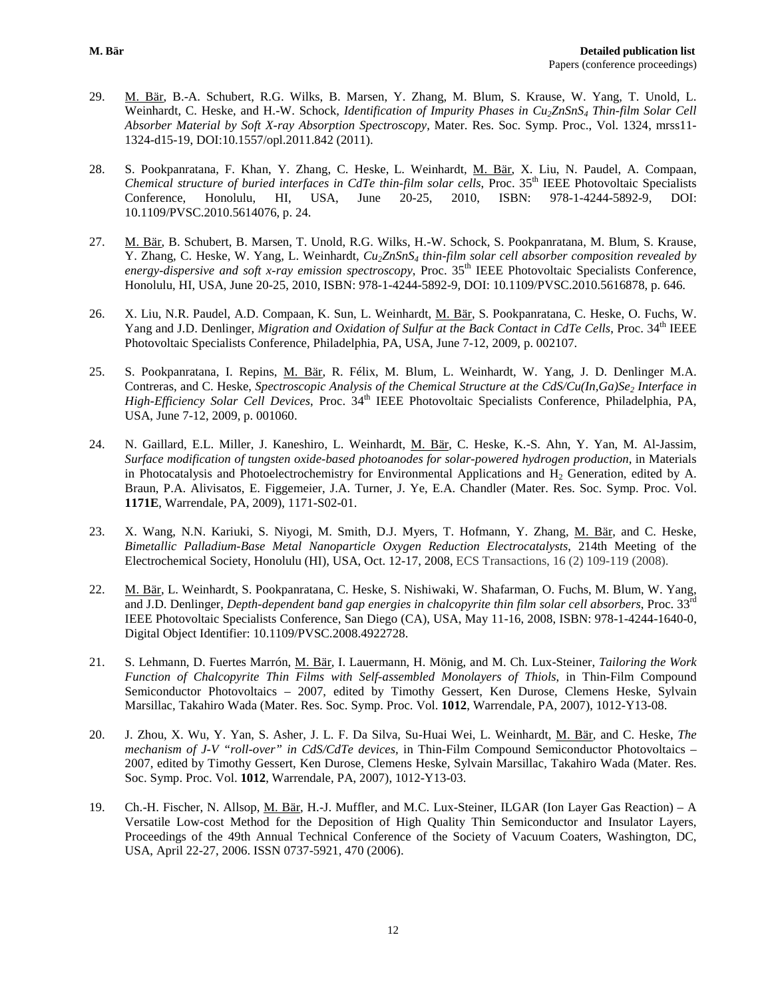- 29. M. Bär, B.-A. Schubert, R.G. Wilks, B. Marsen, Y. Zhang, M. Blum, S. Krause, W. Yang, T. Unold, L. Weinhardt, C. Heske, and H.-W. Schock*, Identification of Impurity Phases in Cu2ZnSnS4 Thin-film Solar Cell Absorber Material by Soft X-ray Absorption Spectroscopy*, Mater. Res. Soc. Symp. Proc., Vol. 1324, mrss11- 1324-d15-19, DOI:10.1557/opl.2011.842 (2011).
- 28. S. Pookpanratana, F. Khan, Y. Zhang, C. Heske, L. Weinhardt, M. Bär, X. Liu, N. Paudel, A. Compaan, *Chemical structure of buried interfaces in CdTe thin-film solar cells*, Proc. 35<sup>th</sup> IEEE Photovoltaic Specialists Conference, Honolulu, HI, USA, June 20-25, 2010, ISBN: 978-1-4244-5892-9, DOI: 10.1109/PVSC.2010.5614076, p. 24.
- 27. M. Bär, B. Schubert, B. Marsen, T. Unold, R.G. Wilks, H.-W. Schock, S. Pookpanratana, M. Blum, S. Krause, Y. Zhang, C. Heske, W. Yang, L. Weinhardt, *Cu2ZnSnS4 thin-film solar cell absorber composition revealed by energy-dispersive and soft x-ray emission spectroscopy*, Proc. 35<sup>th</sup> IEEE Photovoltaic Specialists Conference, Honolulu, HI, USA, June 20-25, 2010, ISBN: 978-1-4244-5892-9, DOI: 10.1109/PVSC.2010.5616878, p. 646.
- 26. X. Liu, N.R. Paudel, A.D. Compaan, K. Sun, L. Weinhardt, M. Bär, S. Pookpanratana, C. Heske, O. Fuchs, W. Yang and J.D. Denlinger, *Migration and Oxidation of Sulfur at the Back Contact in CdTe Cells*, Proc. 34<sup>th</sup> IEEE Photovoltaic Specialists Conference, Philadelphia, PA, USA, June 7-12, 2009, p. 002107.
- 25. S. Pookpanratana, I. Repins, M. Bär, R. Félix, M. Blum, L. Weinhardt, W. Yang, J. D. Denlinger M.A. Contreras, and C. Heske, *Spectroscopic Analysis of the Chemical Structure at the CdS/Cu(In,Ga)Se<sub>2</sub> Interface in High-Efficiency Solar Cell Devices*, Proc. 34<sup>th</sup> IEEE Photovoltaic Specialists Conference, Philadelphia, PA, USA, June 7-12, 2009, p. 001060.
- 24. N. Gaillard, E.L. Miller, J. Kaneshiro, L. Weinhardt, M. Bär, C. Heske, K.-S. Ahn, Y. Yan, M. Al-Jassim, *Surface modification of tungsten oxide-based photoanodes for solar-powered hydrogen production*, in Materials in Photocatalysis and Photoelectrochemistry for Environmental Applications and  $H<sub>2</sub>$  Generation, edited by A. Braun, P.A. Alivisatos, E. Figgemeier, J.A. Turner, J. Ye, E.A. Chandler (Mater. Res. Soc. Symp. Proc. Vol. **1171E**, Warrendale, PA, 2009), 1171-S02-01.
- 23. X. Wang, N.N. Kariuki, S. Niyogi, M. Smith, D.J. Myers, T. Hofmann, Y. Zhang, M. Bär, and C. Heske, *Bimetallic Palladium-Base Metal Nanoparticle Oxygen Reduction Electrocatalysts*, 214th Meeting of the Electrochemical Society, Honolulu (HI), USA, Oct. 12-17, 2008, ECS Transactions, 16 (2) 109-119 (2008).
- 22. M. Bär, L. Weinhardt, S. Pookpanratana, C. Heske, S. Nishiwaki, W. Shafarman, O. Fuchs, M. Blum, W. Yang, and J.D. Denlinger, *Depth-dependent band gap energies in chalcopyrite thin film solar cell absorbers*, Proc. 33rd IEEE Photovoltaic Specialists Conference, San Diego (CA), USA, May 11-16, 2008, ISBN: 978-1-4244-1640-0, Digital Object Identifier: 10.1109/PVSC.2008.4922728.
- 21. S. Lehmann, D. Fuertes Marrón, M. Bär, I. Lauermann, H. Mönig, and M. Ch. Lux-Steiner, *Tailoring the Work Function of Chalcopyrite Thin Films with Self-assembled Monolayers of Thiols*, in Thin-Film Compound Semiconductor Photovoltaics – 2007, edited by Timothy Gessert, Ken Durose, Clemens Heske, Sylvain Marsillac, Takahiro Wada (Mater. Res. Soc. Symp. Proc. Vol. **1012**, Warrendale, PA, 2007), 1012-Y13-08.
- 20. J. Zhou, X. Wu, Y. Yan, S. Asher, J. L. F. Da Silva, Su-Huai Wei, L. Weinhardt, M. Bär, and C. Heske, *The mechanism of J-V "roll-over" in CdS/CdTe devices,* in Thin-Film Compound Semiconductor Photovoltaics – 2007, edited by Timothy Gessert, Ken Durose, Clemens Heske, Sylvain Marsillac, Takahiro Wada (Mater. Res. Soc. Symp. Proc. Vol. **1012**, Warrendale, PA, 2007), 1012-Y13-03.
- 19. Ch.-H. Fischer, N. Allsop, M. Bär, H.-J. Muffler, and M.C. Lux-Steiner, ILGAR (Ion Layer Gas Reaction) A Versatile Low-cost Method for the Deposition of High Quality Thin Semiconductor and Insulator Layers, Proceedings of the 49th Annual Technical Conference of the Society of Vacuum Coaters, Washington, DC, USA, April 22-27, 2006. ISSN 0737-5921, 470 (2006).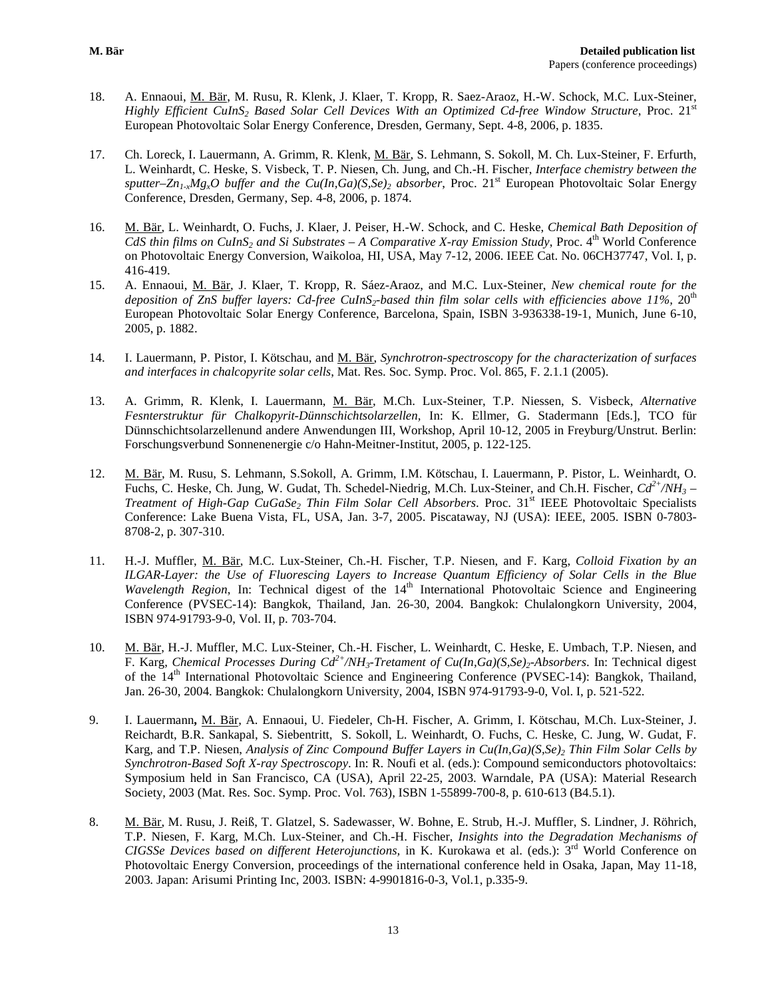- 18. A. Ennaoui, M. Bär, M. Rusu, R. Klenk, J. Klaer, T. Kropp, R. Saez-Araoz, H.-W. Schock, M.C. Lux-Steiner, *Highly Efficient CuInS<sub>2</sub> Based Solar Cell Devices With an Optimized Cd-free Window Structure*, Proc. 21<sup>st</sup> European Photovoltaic Solar Energy Conference, Dresden, Germany, Sept. 4-8, 2006, p. 1835.
- 17. Ch. Loreck, I. Lauermann, A. Grimm, R. Klenk, M. Bär, S. Lehmann, S. Sokoll, M. Ch. Lux-Steiner, F. Erfurth, L. Weinhardt, C. Heske, S. Visbeck, T. P. Niesen, Ch. Jung, and Ch.-H. Fischer, *Interface chemistry between the sputter–Zn<sub>1-x</sub>Mg<sub>x</sub>O buffer and the Cu(In,Ga)(S,Se)<sub>2</sub> <i>absorber*, Proc. 21<sup>st</sup> European Photovoltaic Solar Energy Conference, Dresden, Germany, Sep. 4-8, 2006, p. 1874.
- 16. M. Bär, L. Weinhardt, O. Fuchs, J. Klaer, J. Peiser, H.-W. Schock, and C. Heske, *Chemical Bath Deposition of CdS thin films on CuInS<sub>2</sub> and Si Substrates – A Comparative X-ray Emission Study*, Proc. 4<sup>th</sup> World Conference on Photovoltaic Energy Conversion, Waikoloa, HI, USA, May 7-12, 2006. IEEE Cat. No. 06CH37747, Vol. I, p. 416-419.
- 15. A. Ennaoui, M. Bär, J. Klaer, T. Kropp, R. Sáez-Araoz, and M.C. Lux-Steiner, *New chemical route for the*  deposition of ZnS buffer layers: Cd-free CuInS<sub>2</sub>-based thin film solar cells with efficiencies above 11%, 20<sup>th</sup> European Photovoltaic Solar Energy Conference, Barcelona, Spain, ISBN 3-936338-19-1, Munich, June 6-10, 2005, p. 1882.
- 14. I. Lauermann, P. Pistor, I. Kötschau, and M. Bär, *Synchrotron-spectroscopy for the characterization of surfaces and interfaces in chalcopyrite solar cells*, Mat. Res. Soc. Symp. Proc. Vol. 865, F. 2.1.1 (2005).
- 13. A. Grimm, R. Klenk, I. Lauermann, M. Bär, M.Ch. Lux-Steiner, T.P. Niessen, S. Visbeck, *Alternative Fesnterstruktur für Chalkopyrit-Dünnschichtsolarzellen,* In: K. Ellmer, G. Stadermann [Eds.], TCO für Dünnschichtsolarzellenund andere Anwendungen III, Workshop, April 10-12, 2005 in Freyburg/Unstrut. Berlin: Forschungsverbund Sonnenenergie c/o Hahn-Meitner-Institut, 2005, p. 122-125.
- 12. M. Bär, M. Rusu, S. Lehmann, S.Sokoll, A. Grimm, I.M. Kötschau, I. Lauermann, P. Pistor, L. Weinhardt, O. Fuchs, C. Heske, Ch. Jung, W. Gudat, Th. Schedel-Niedrig, M.Ch. Lux-Steiner, and Ch.H. Fischer, *Cd2+/NH3 – Treatment of High-Gap CuGaSe<sub>2</sub> Thin Film Solar Cell Absorbers.* Proc. 31<sup>st</sup> IEEE Photovoltaic Specialists Conference: Lake Buena Vista, FL, USA, Jan. 3-7, 2005. Piscataway, NJ (USA): IEEE, 2005. ISBN 0-7803- 8708-2, p. 307-310.
- 11. H.-J. Muffler, M. Bär, M.C. Lux-Steiner, Ch.-H. Fischer, T.P. Niesen, and F. Karg, *Colloid Fixation by an ILGAR-Layer: the Use of Fluorescing Layers to Increase Quantum Efficiency of Solar Cells in the Blue Wavelength Region*, In: Technical digest of the 14<sup>th</sup> International Photovoltaic Science and Engineering Conference (PVSEC-14): Bangkok, Thailand, Jan. 26-30, 2004. Bangkok: Chulalongkorn University, 2004, ISBN 974-91793-9-0, Vol. II, p. 703-704.
- 10. M. Bär, H.-J. Muffler, M.C. Lux-Steiner, Ch.-H. Fischer, L. Weinhardt, C. Heske, E. Umbach, T.P. Niesen, and F. Karg, *Chemical Processes During Cd2+/NH3-Tretament of Cu(In,Ga)(S,Se)2-Absorbers*. In: Technical digest of the 14th International Photovoltaic Science and Engineering Conference (PVSEC-14): Bangkok, Thailand, Jan. 26-30, 2004. Bangkok: Chulalongkorn University, 2004, ISBN 974-91793-9-0, Vol. I, p. 521-522.
- 9. I. Lauermann**,** M. Bär, A. Ennaoui, U. Fiedeler, Ch-H. Fischer, A. Grimm, I. Kötschau, M.Ch. Lux-Steiner, J. Reichardt, B.R. Sankapal, S. Siebentritt, S. Sokoll, L. Weinhardt, O. Fuchs, C. Heske, C. Jung, W. Gudat, F. Karg, and T.P. Niesen, *Analysis of Zinc Compound Buffer Layers in Cu(In,Ga)(S,Se)2 Thin Film Solar Cells by Synchrotron-Based Soft X-ray Spectroscopy*. In: R. Noufi et al. (eds.): Compound semiconductors photovoltaics: Symposium held in San Francisco, CA (USA), April 22-25, 2003. Warndale, PA (USA): Material Research Society, 2003 (Mat. Res. Soc. Symp. Proc. Vol. 763), ISBN 1-55899-700-8, p. 610-613 (B4.5.1).
- 8. M. Bär, M. Rusu, J. Reiß, T. Glatzel, S. Sadewasser, W. Bohne, E. Strub, H.-J. Muffler, S. Lindner, J. Röhrich, T.P. Niesen, F. Karg, M.Ch. Lux-Steiner, and Ch.-H. Fischer, *Insights into the Degradation Mechanisms of CIGSSe Devices based on different Heterojunctions,* in K. Kurokawa et al. (eds.): 3rd World Conference on Photovoltaic Energy Conversion*,* proceedings of the international conference held in Osaka, Japan, May 11-18, 2003*.* Japan: Arisumi Printing Inc, 2003. ISBN: 4-9901816-0-3, Vol.1, p.335-9.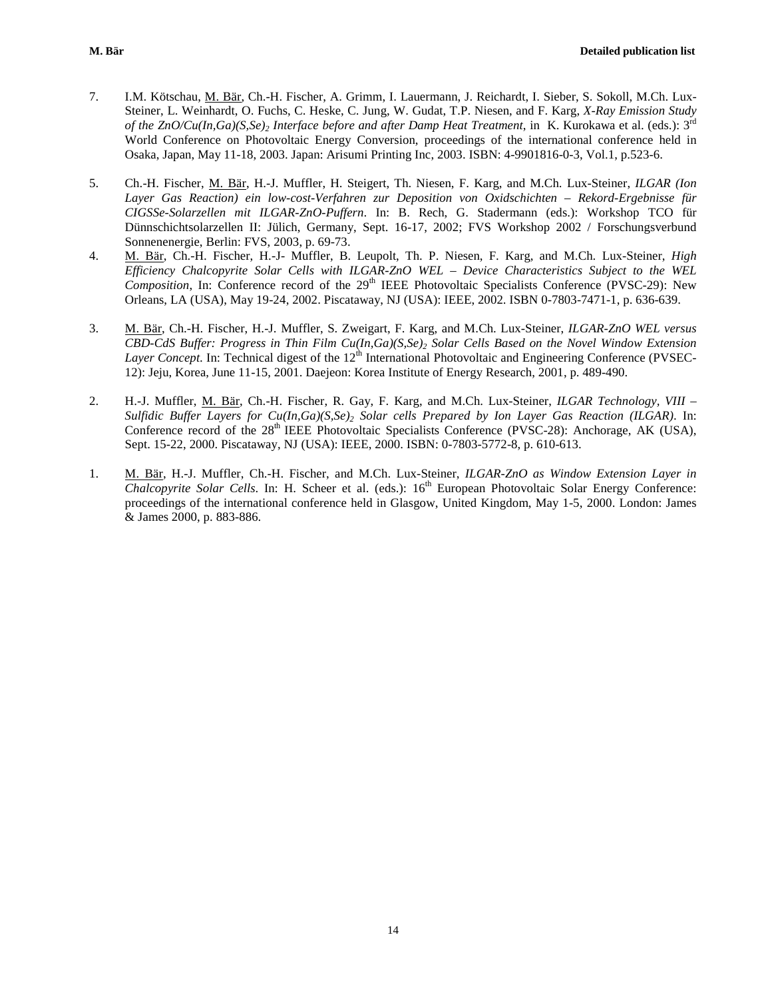- 7. I.M. Kötschau, M. Bär, Ch.-H. Fischer, A. Grimm, I. Lauermann, J. Reichardt, I. Sieber, S. Sokoll, M.Ch. Lux-Steiner, L. Weinhardt, O. Fuchs, C. Heske, C. Jung, W. Gudat, T.P. Niesen, and F. Karg, *X-Ray Emission Study of the ZnO/Cu(In,Ga)(S,Se)2 Interface before and after Damp Heat Treatment*, in K. Kurokawa et al. (eds.): 3rd World Conference on Photovoltaic Energy Conversion, proceedings of the international conference held in Osaka, Japan, May 11-18, 2003. Japan: Arisumi Printing Inc, 2003. ISBN: 4-9901816-0-3, Vol.1, p.523-6.
- 5. Ch.-H. Fischer, M. Bär, H.-J. Muffler, H. Steigert, Th. Niesen, F. Karg, and M.Ch. Lux-Steiner, *ILGAR (Ion Layer Gas Reaction) ein low-cost-Verfahren zur Deposition von Oxidschichten – Rekord-Ergebnisse für CIGSSe-Solarzellen mit ILGAR-ZnO-Puffern*. In: B. Rech, G. Stadermann (eds.): Workshop TCO für Dünnschichtsolarzellen II: Jülich, Germany, Sept. 16-17, 2002; FVS Workshop 2002 / Forschungsverbund Sonnenenergie, Berlin: FVS, 2003, p. 69-73.
- 4. M. Bär, Ch.-H. Fischer, H.-J- Muffler, B. Leupolt, Th. P. Niesen, F. Karg, and M.Ch. Lux-Steiner, *High Efficiency Chalcopyrite Solar Cells with ILGAR-ZnO WEL – Device Characteristics Subject to the WEL Composition*, In: Conference record of the 29<sup>th</sup> IEEE Photovoltaic Specialists Conference (PVSC-29): New Orleans, LA (USA), May 19-24, 2002. Piscataway, NJ (USA): IEEE, 2002. ISBN 0-7803-7471-1, p. 636-639.
- 3. M. Bär, Ch.-H. Fischer, H.-J. Muffler, S. Zweigart, F. Karg, and M.Ch. Lux-Steiner, *ILGAR-ZnO WEL versus CBD-CdS Buffer: Progress in Thin Film Cu(In,Ga)(S,Se)2 Solar Cells Based on the Novel Window Extension Layer Concept*. In: Technical digest of the 12<sup>th</sup> International Photovoltaic and Engineering Conference (PVSEC-12): Jeju, Korea, June 11-15, 2001. Daejeon: Korea Institute of Energy Research, 2001, p. 489-490.
- 2. H.-J. Muffler, M. Bär, Ch.-H. Fischer, R. Gay, F. Karg, and M.Ch. Lux-Steiner, *ILGAR Technology, VIII – Sulfidic Buffer Layers for Cu(In,Ga)(S,Se)2 Solar cells Prepared by Ion Layer Gas Reaction (ILGAR)*. In: Conference record of the  $28<sup>th</sup>$  IEEE Photovoltaic Specialists Conference (PVSC-28): Anchorage, AK (USA), Sept. 15-22, 2000. Piscataway, NJ (USA): IEEE, 2000. ISBN: 0-7803-5772-8, p. 610-613.
- 1. M. Bär, H.-J. Muffler, Ch.-H. Fischer, and M.Ch. Lux-Steiner, *ILGAR-ZnO as Window Extension Layer in Chalcopyrite Solar Cells*. In: H. Scheer et al. (eds.): 16<sup>th</sup> European Photovoltaic Solar Energy Conference: proceedings of the international conference held in Glasgow, United Kingdom, May 1-5, 2000. London: James & James 2000, p. 883-886.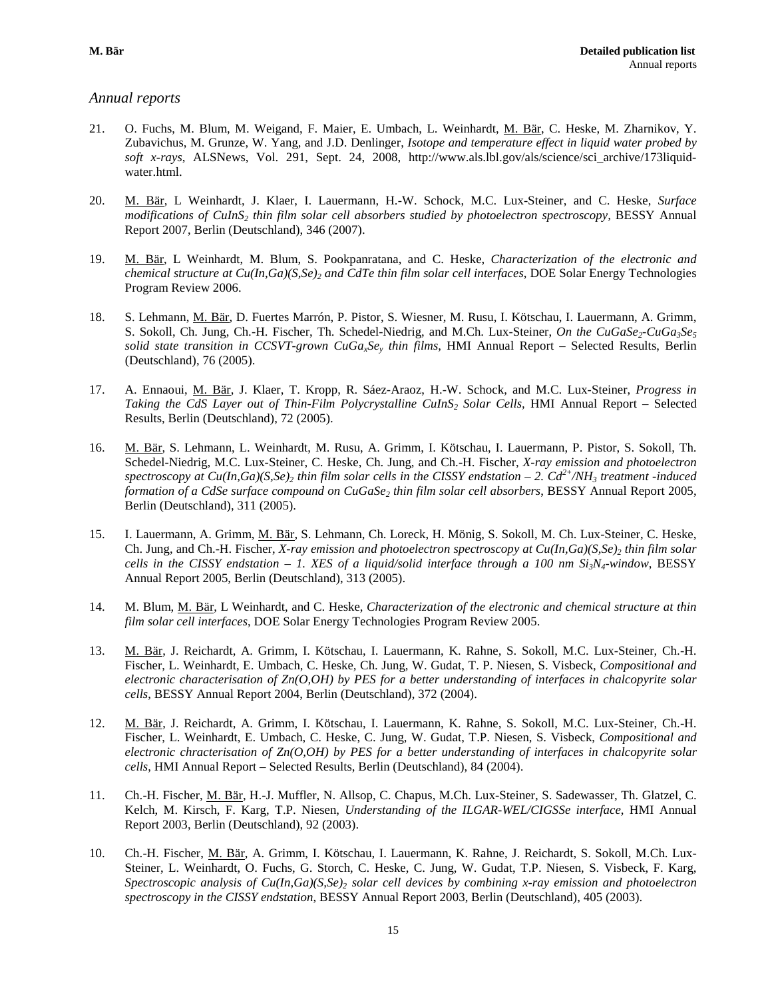#### *Annual reports*

- 21. O. Fuchs, M. Blum, M. Weigand, F. Maier, E. Umbach, L. Weinhardt, M. Bär, C. Heske, M. Zharnikov, Y. Zubavichus, M. Grunze, W. Yang, and J.D. Denlinger, *Isotope and temperature effect in liquid water probed by soft x-rays*, ALSNews, Vol. 291, Sept. 24, 2008, http://www.als.lbl.gov/als/science/sci\_archive/173liquidwater.html.
- 20. M. Bär, L Weinhardt, J. Klaer, I. Lauermann, H.-W. Schock, M.C. Lux-Steiner, and C. Heske, *Surface modifications of CuInS<sub>2</sub> thin film solar cell absorbers studied by photoelectron spectroscopy, BESSY Annual* Report 2007, Berlin (Deutschland), 346 (2007).
- 19. M. Bär, L Weinhardt, M. Blum, S. Pookpanratana, and C. Heske, *Characterization of the electronic and chemical structure at Cu(In,Ga)(S,Se)2 and CdTe thin film solar cell interfaces*, DOE Solar Energy Technologies Program Review 2006.
- 18. S. Lehmann, M. Bär, D. Fuertes Marrón, P. Pistor, S. Wiesner, M. Rusu, I. Kötschau, I. Lauermann, A. Grimm, S. Sokoll, Ch. Jung, Ch.-H. Fischer, Th. Schedel-Niedrig, and M.Ch. Lux-Steiner, *On the CuGaSe<sub>2</sub>-CuGa<sub>3</sub>Se<sub>5</sub> solid state transition in CCSVT-grown CuGaxSey thin films*, HMI Annual Report – Selected Results, Berlin (Deutschland), 76 (2005).
- 17. A. Ennaoui, M. Bär, J. Klaer, T. Kropp, R. Sáez-Araoz, H.-W. Schock, and M.C. Lux-Steiner, *Progress in Taking the CdS Layer out of Thin-Film Polycrystalline CuInS2 Solar Cells,* HMI Annual Report – Selected Results, Berlin (Deutschland), 72 (2005).
- 16. M. Bär, S. Lehmann, L. Weinhardt, M. Rusu, A. Grimm, I. Kötschau, I. Lauermann, P. Pistor, S. Sokoll, Th. Schedel-Niedrig, M.C. Lux-Steiner, C. Heske, Ch. Jung, and Ch.-H. Fischer, *X-ray emission and photoelectron spectroscopy at Cu(In,Ga)(S,Se)<sub>2</sub> thin film solar cells in the CISSY endstation – 2.*  $Cd^{2+}/NH_3$  *treatment -induced formation of a CdSe surface compound on CuGaSe2 thin film solar cell absorbers*, BESSY Annual Report 2005, Berlin (Deutschland), 311 (2005).
- 15. I. Lauermann, A. Grimm, M. Bär, S. Lehmann, Ch. Loreck, H. Mönig, S. Sokoll, M. Ch. Lux-Steiner, C. Heske, Ch. Jung, and Ch.-H. Fischer, *X-ray emission and photoelectron spectroscopy at Cu(In,Ga)(S,Se)<sub>2</sub> <i>thin film solar cells in the CISSY endstation – 1. XES of a liquid/solid interface through a 100 nm Si<sub>3</sub>N<sub>4</sub>-window, BESSY* Annual Report 2005, Berlin (Deutschland), 313 (2005).
- 14. M. Blum, M. Bär, L Weinhardt, and C. Heske, *Characterization of the electronic and chemical structure at thin film solar cell interfaces*, DOE Solar Energy Technologies Program Review 2005.
- 13. M. Bär, J. Reichardt, A. Grimm, I. Kötschau, I. Lauermann, K. Rahne, S. Sokoll, M.C. Lux-Steiner, Ch.-H. Fischer, L. Weinhardt, E. Umbach, C. Heske*,* Ch. Jung, W. Gudat, T. P. Niesen, S. Visbeck, *Compositional and electronic characterisation of Zn(O,OH) by PES for a better understanding of interfaces in chalcopyrite solar cells*, BESSY Annual Report 2004, Berlin (Deutschland), 372 (2004).
- 12. M. Bär, J. Reichardt, A. Grimm, I. Kötschau, I. Lauermann, K. Rahne, S. Sokoll, M.C. Lux-Steiner, Ch.-H. Fischer, L. Weinhardt, E. Umbach, C. Heske, C. Jung, W. Gudat, T.P. Niesen, S. Visbeck, *Compositional and electronic chracterisation of Zn(O,OH) by PES for a better understanding of interfaces in chalcopyrite solar cells*, HMI Annual Report – Selected Results, Berlin (Deutschland), 84 (2004).
- 11. Ch.-H. Fischer, M. Bär, H.-J. Muffler, N. Allsop, C. Chapus, M.Ch. Lux-Steiner, S. Sadewasser, Th. Glatzel, C. Kelch, M. Kirsch, F. Karg, T.P. Niesen, *Understanding of the ILGAR-WEL/CIGSSe interface*, HMI Annual Report 2003, Berlin (Deutschland), 92 (2003).
- 10. Ch.-H. Fischer, M. Bär, A. Grimm, I. Kötschau, I. Lauermann, K. Rahne, J. Reichardt, S. Sokoll, M.Ch. Lux-Steiner, L. Weinhardt, O. Fuchs, G. Storch, C. Heske, C. Jung, W. Gudat, T.P. Niesen, S. Visbeck, F. Karg, *Spectroscopic analysis of Cu(In,Ga)(S,Se)<sub>2</sub> solar cell devices by combining x-ray emission and photoelectron spectroscopy in the CISSY endstation*, BESSY Annual Report 2003, Berlin (Deutschland), 405 (2003).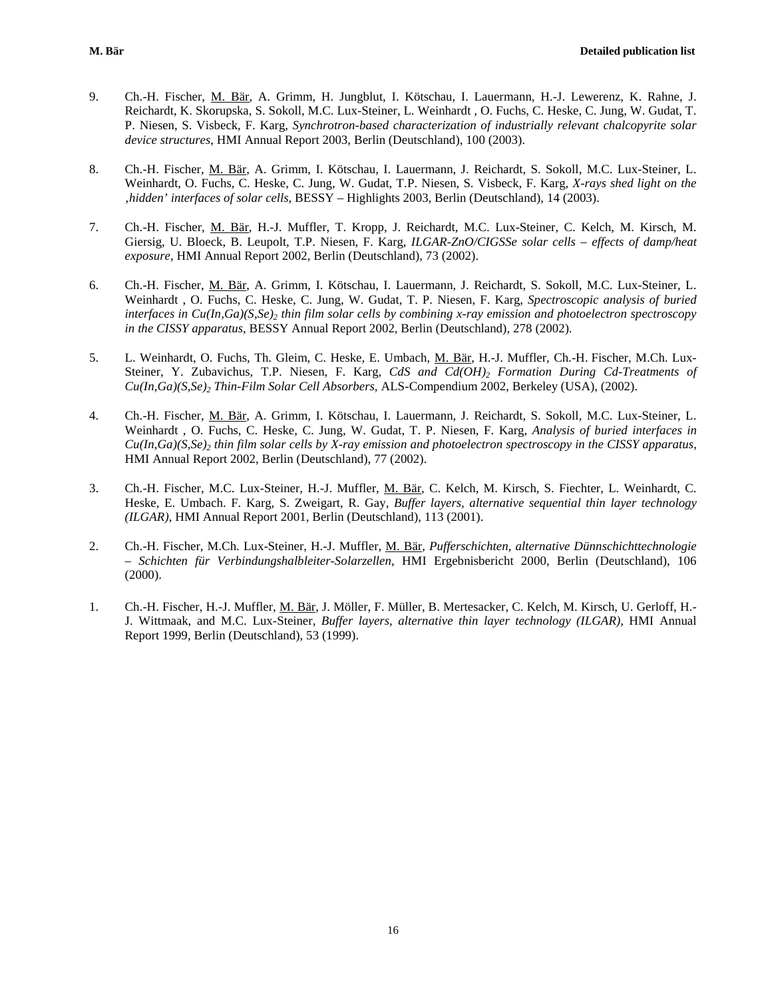- 9. Ch.-H. Fischer, M. Bär, A. Grimm, H. Jungblut, I. Kötschau, I. Lauermann, H.-J. Lewerenz, K. Rahne, J. Reichardt, K. Skorupska, S. Sokoll, M.C. Lux-Steiner, L. Weinhardt , O. Fuchs, C. Heske, C. Jung, W. Gudat, T. P. Niesen, S. Visbeck, F. Karg, *Synchrotron-based characterization of industrially relevant chalcopyrite solar device structures*, HMI Annual Report 2003, Berlin (Deutschland), 100 (2003).
- 8. Ch.-H. Fischer, M. Bär, A. Grimm, I. Kötschau, I. Lauermann, J. Reichardt, S. Sokoll, M.C. Lux-Steiner, L. Weinhardt, O. Fuchs, C. Heske, C. Jung, W. Gudat, T.P. Niesen, S. Visbeck, F. Karg, *X-rays shed light on the 'hidden' interfaces of solar cells*, BESSY – Highlights 2003, Berlin (Deutschland), 14 (2003).
- 7. Ch.-H. Fischer, M. Bär, H.-J. Muffler, T. Kropp, J. Reichardt, M.C. Lux-Steiner, C. Kelch, M. Kirsch, M. Giersig, U. Bloeck, B. Leupolt, T.P. Niesen, F. Karg, *ILGAR-ZnO/CIGSSe solar cells – effects of damp/heat exposure*, HMI Annual Report 2002, Berlin (Deutschland), 73 (2002).
- 6. Ch.-H. Fischer, M. Bär, A. Grimm, I. Kötschau, I. Lauermann, J. Reichardt, S. Sokoll, M.C. Lux-Steiner, L. Weinhardt , O. Fuchs, C. Heske, C. Jung, W. Gudat, T. P. Niesen, F. Karg, *Spectroscopic analysis of buried interfaces in Cu(In,Ga)(S,Se)<sub>2</sub> thin film solar cells by combining x-ray emission and photoelectron spectroscopy in the CISSY apparatus*, BESSY Annual Report 2002, Berlin (Deutschland), 278 (2002).
- 5. L. Weinhardt, O. Fuchs, Th. Gleim, C. Heske, E. Umbach, M. Bär, H.-J. Muffler, Ch.-H. Fischer, M.Ch. Lux-Steiner, Y. Zubavichus, T.P. Niesen, F. Karg, *CdS and Cd(OH)<sub>2</sub> Formation During Cd-Treatments of Cu(In,Ga)(S,Se)2 Thin-Film Solar Cell Absorbers*, ALS-Compendium 2002, Berkeley (USA), (2002).
- 4. Ch.-H. Fischer, M. Bär, A. Grimm, I. Kötschau, I. Lauermann, J. Reichardt, S. Sokoll, M.C. Lux-Steiner, L. Weinhardt , O. Fuchs, C. Heske, C. Jung, W. Gudat, T. P. Niesen, F. Karg, *Analysis of buried interfaces in Cu(In,Ga)(S,Se)2 thin film solar cells by X-ray emission and photoelectron spectroscopy in the CISSY apparatus*, HMI Annual Report 2002, Berlin (Deutschland), 77 (2002).
- 3. Ch.-H. Fischer, M.C. Lux-Steiner, H.-J. Muffler, M. Bär, C. Kelch, M. Kirsch, S. Fiechter, L. Weinhardt, C. Heske, E. Umbach. F. Karg, S. Zweigart, R. Gay, *Buffer layers, alternative sequential thin layer technology (ILGAR)*, HMI Annual Report 2001, Berlin (Deutschland), 113 (2001).
- 2. Ch.-H. Fischer, M.Ch. Lux-Steiner, H.-J. Muffler, M. Bär, *Pufferschichten, alternative Dünnschichttechnologie – Schichten für Verbindungshalbleiter-Solarzellen*, HMI Ergebnisbericht 2000, Berlin (Deutschland), 106 (2000).
- 1. Ch.-H. Fischer, H.-J. Muffler, M. Bär, J. Möller, F. Müller, B. Mertesacker, C. Kelch, M. Kirsch, U. Gerloff, H.- J. Wittmaak, and M.C. Lux-Steiner, *Buffer layers, alternative thin layer technology (ILGAR)*, HMI Annual Report 1999, Berlin (Deutschland), 53 (1999).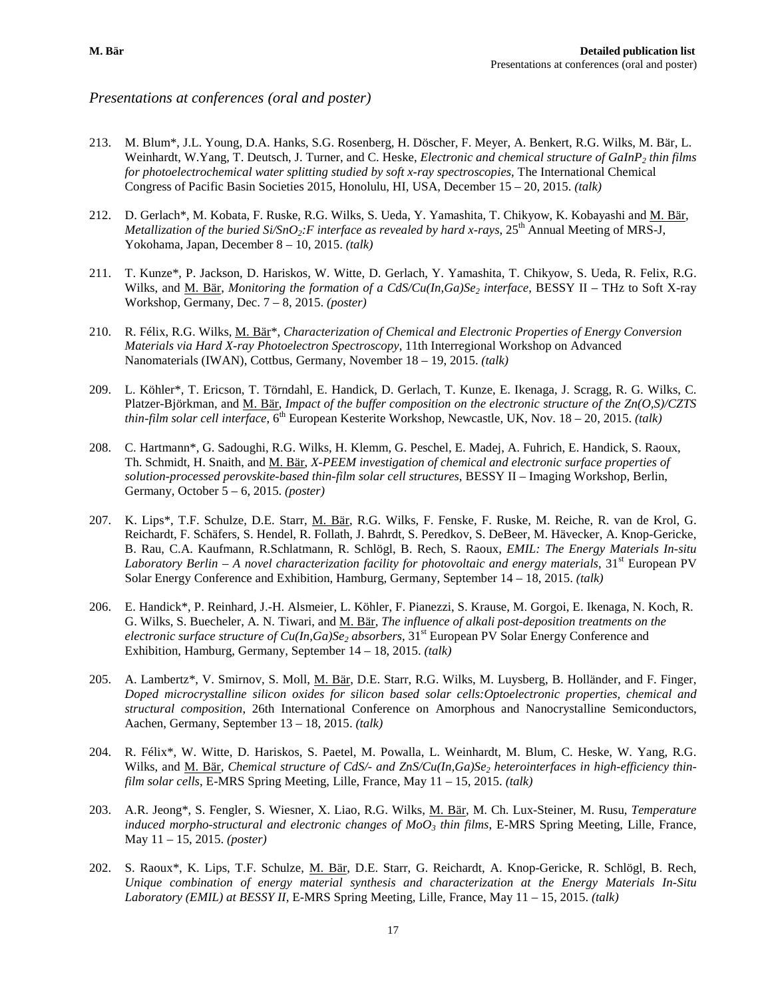## *Presentations at conferences (oral and poster)*

- 213. M. Blum\*, J.L. Young, D.A. Hanks, S.G. Rosenberg, H. Döscher, F. Meyer, A. Benkert, R.G. Wilks, M. Bär, L. Weinhardt, W.Yang, T. Deutsch, J. Turner, and C. Heske, *Electronic and chemical structure of GaInP2 thin films for photoelectrochemical water splitting studied by soft x-ray spectroscopies*, The International Chemical Congress of Pacific Basin Societies 2015, Honolulu, HI, USA, December 15 – 20, 2015. *(talk)*
- 212. D. Gerlach\*, M. Kobata, F. Ruske, R.G. Wilks, S. Ueda, Y. Yamashita, T. Chikyow, K. Kobayashi and M. Bär, *Metallization of the buried Si/SnO<sub>2</sub>:F interface as revealed by hard x-rays*,  $25<sup>th</sup>$  Annual Meeting of MRS-J, Yokohama, Japan, December 8 – 10, 2015. *(talk)*
- 211. T. Kunze\*, P. Jackson, D. Hariskos, W. Witte, D. Gerlach, Y. Yamashita, T. Chikyow, S. Ueda, R. Felix, R.G. Wilks, and M. Bär, *Monitoring the formation of a CdS/Cu(In,Ga)Se<sub>2</sub> interface*, BESSY II – THz to Soft X-ray Workshop, Germany, Dec. 7 – 8, 2015. *(poster)*
- 210. R. Félix, R.G. Wilks, M. Bär\*, *Characterization of Chemical and Electronic Properties of Energy Conversion Materials via Hard X-ray Photoelectron Spectroscopy*, 11th Interregional Workshop on Advanced Nanomaterials (IWAN), Cottbus, Germany, November 18 – 19, 2015. *(talk)*
- 209. L. Köhler\*, T. Ericson, T. Törndahl, E. Handick, D. Gerlach, T. Kunze, E. Ikenaga, J. Scragg, R. G. Wilks, C. Platzer-Björkman, and M. Bär, *Impact of the buffer composition on the electronic structure of the Zn(O,S)/CZTS thin-film solar cell interface*, 6<sup>th</sup> European Kesterite Workshop, Newcastle, UK, Nov. 18 – 20, 2015. *(talk)*
- 208. C. Hartmann\*, G. Sadoughi, R.G. Wilks, H. Klemm, G. Peschel, E. Madej, A. Fuhrich, E. Handick, S. Raoux, Th. Schmidt, H. Snaith, and M. Bär, *X-PEEM investigation of chemical and electronic surface properties of solution-processed perovskite-based thin-film solar cell structures*, BESSY II – Imaging Workshop, Berlin, Germany, October 5 – 6, 2015. *(poster)*
- 207. K. Lips\*, T.F. Schulze, D.E. Starr, M. Bär, R.G. Wilks, F. Fenske, F. Ruske, M. Reiche, R. van de Krol, G. Reichardt, F. Schäfers, S. Hendel, R. Follath, J. Bahrdt, S. Peredkov, S. DeBeer, M. Hävecker, A. Knop-Gericke, B. Rau, C.A. Kaufmann, R.Schlatmann, R. Schlögl, B. Rech, S. Raoux, *EMIL: The Energy Materials In-situ Laboratory Berlin*  $-A$  *novel characterization facility for photovoltaic and energy materials*,  $31^{st}$  European PV Solar Energy Conference and Exhibition, Hamburg, Germany, September 14 – 18, 2015. *(talk)*
- 206. E. Handick\*, P. Reinhard, J.-H. Alsmeier, L. Köhler, F. Pianezzi, S. Krause, M. Gorgoi, E. Ikenaga, N. Koch, R. G. Wilks, S. Buecheler, A. N. Tiwari, and M. Bär, *The influence of alkali post-deposition treatments on the electronic surface structure of Cu(In,Ga)Se<sub>2</sub> absorbers,*  $31<sup>st</sup>$  European PV Solar Energy Conference and Exhibition, Hamburg, Germany, September 14 – 18, 2015. *(talk)*
- 205. A. Lambertz\*, V. Smirnov, S. Moll, M. Bär, D.E. Starr, R.G. Wilks, M. Luysberg, B. Holländer, and F. Finger, *Doped microcrystalline silicon oxides for silicon based solar cells:Optoelectronic properties, chemical and structural composition*, 26th International Conference on Amorphous and Nanocrystalline Semiconductors, Aachen, Germany, September 13 – 18, 2015. *(talk)*
- 204. R. Félix\*, W. Witte, D. Hariskos, S. Paetel, M. Powalla, L. Weinhardt, M. Blum, C. Heske, W. Yang, R.G. Wilks, and <u>M. Bär, Chemical structure of CdS</u>/- and ZnS/Cu(In,Ga)Se<sub>2</sub> heterointerfaces in high-efficiency thin*film solar cells*, E-MRS Spring Meeting, Lille, France, May 11 – 15, 2015. *(talk)*
- 203. A.R. Jeong\*, S. Fengler, S. Wiesner, X. Liao, R.G. Wilks, M. Bär, M. Ch. Lux-Steiner, M. Rusu, *Temperature induced morpho-structural and electronic changes of MoO3 thin films*, E-MRS Spring Meeting, Lille, France, May 11 – 15, 2015. *(poster)*
- 202. S. Raoux\*, K. Lips, T.F. Schulze, M. Bär, D.E. Starr, G. Reichardt, A. Knop-Gericke, R. Schlögl, B. Rech, *Unique combination of energy material synthesis and characterization at the Energy Materials In-Situ Laboratory (EMIL) at BESSY II,* E-MRS Spring Meeting, Lille, France, May 11 – 15, 2015. *(talk)*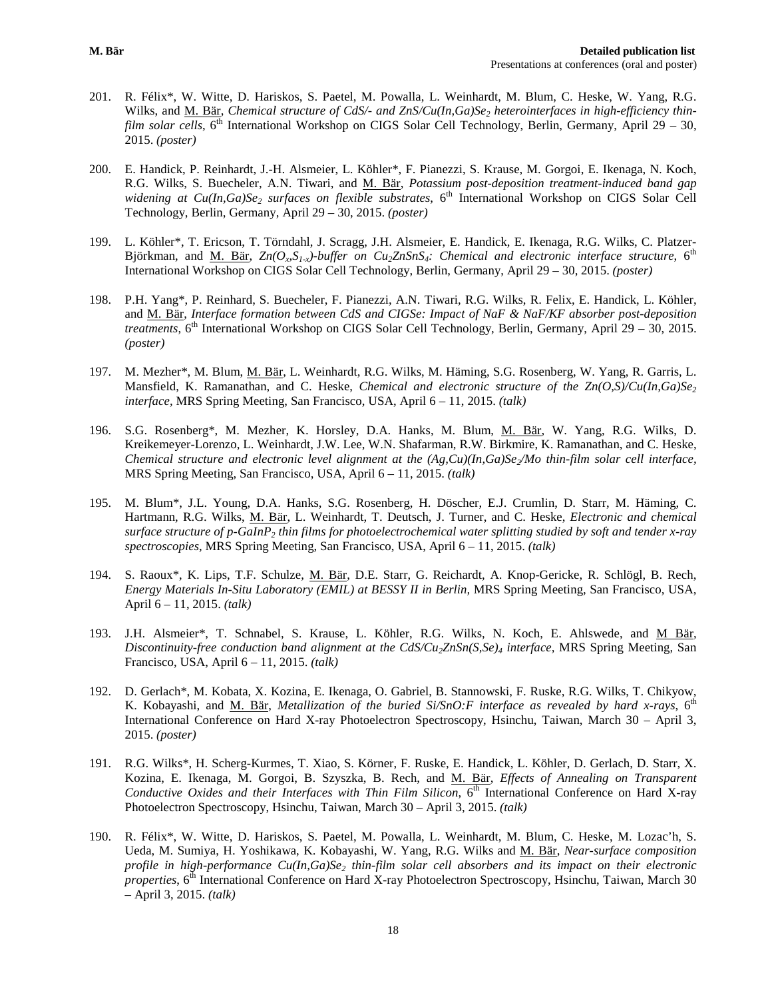- 201. R. Félix\*, W. Witte, D. Hariskos, S. Paetel, M. Powalla, L. Weinhardt, M. Blum, C. Heske, W. Yang, R.G. Wilks, and <u>M. Bär</u>, *Chemical structure of CdS/- and ZnS/Cu(In,Ga)Se<sub>2</sub> heterointerfaces in high-efficiency thinfilm solar cells*, 6<sup>th</sup> International Workshop on CIGS Solar Cell Technology, Berlin, Germany, April 29 – 30, 2015. *(poster)*
- 200. E. Handick, P. Reinhardt, J.-H. Alsmeier, L. Köhler\*, F. Pianezzi, S. Krause, M. Gorgoi, E. Ikenaga, N. Koch, R.G. Wilks, S. Buecheler, A.N. Tiwari, and M. Bär, *Potassium post-deposition treatment-induced band gap widening at Cu(In,Ga)Se<sub>2</sub> surfaces on flexible substrates*, 6<sup>th</sup> International Workshop on CIGS Solar Cell Technology, Berlin, Germany, April 29 – 30, 2015. *(poster)*
- 199. L. Köhler\*, T. Ericson, T. Törndahl, J. Scragg, J.H. Alsmeier, E. Handick, E. Ikenaga, R.G. Wilks, C. Platzer-Björkman, and M. Bär,  $Zn(O_nS_{1x})$ -buffer on Cu<sub>2</sub>ZnSnS<sub>4</sub>: Chemical and electronic interface structure, 6<sup>th</sup> International Workshop on CIGS Solar Cell Technology, Berlin, Germany, April 29 – 30, 2015. *(poster)*
- 198. P.H. Yang\*, P. Reinhard, S. Buecheler, F. Pianezzi, A.N. Tiwari, R.G. Wilks, R. Felix, E. Handick, L. Köhler, and M. Bär, *Interface formation between CdS and CIGSe: Impact of NaF & NaF/KF absorber post-deposition treatments*,  $6<sup>th</sup>$  International Workshop on CIGS Solar Cell Technology, Berlin, Germany, April 29 – 30, 2015. *(poster)*
- 197. M. Mezher\*, M. Blum, M. Bär, L. Weinhardt, R.G. Wilks, M. Häming, S.G. Rosenberg, W. Yang, R. Garris, L. Mansfield, K. Ramanathan, and C. Heske, *Chemical and electronic structure of the Zn(O,S)/Cu(In,Ga)Se<sub>2</sub> interface,* MRS Spring Meeting, San Francisco, USA, April 6 – 11, 2015. *(talk)*
- 196. S.G. Rosenberg\*, M. Mezher, K. Horsley, D.A. Hanks, M. Blum, M. Bär, W. Yang, R.G. Wilks, D. Kreikemeyer-Lorenzo, L. Weinhardt, J.W. Lee, W.N. Shafarman, R.W. Birkmire, K. Ramanathan, and C. Heske, *Chemical structure and electronic level alignment at the (Ag,Cu)(In,Ga)Se<sub>2</sub>/Mo thin-film solar cell interface,* MRS Spring Meeting, San Francisco, USA, April 6 – 11, 2015. *(talk)*
- 195. M. Blum\*, J.L. Young, D.A. Hanks, S.G. Rosenberg, H. Döscher, E.J. Crumlin, D. Starr, M. Häming, C. Hartmann, R.G. Wilks, M. Bär, L. Weinhardt, T. Deutsch, J. Turner, and C. Heske, *Electronic and chemical surface structure of p-GaInP2 thin films for photoelectrochemical water splitting studied by soft and tender x-ray spectroscopies,* MRS Spring Meeting, San Francisco, USA, April 6 – 11, 2015. *(talk)*
- 194. S. Raoux\*, K. Lips, T.F. Schulze, M. Bär, D.E. Starr, G. Reichardt, A. Knop-Gericke, R. Schlögl, B. Rech, *Energy Materials In-Situ Laboratory (EMIL) at BESSY II in Berlin,* MRS Spring Meeting, San Francisco, USA, April 6 – 11, 2015. *(talk)*
- 193. J.H. Alsmeier\*, T. Schnabel, S. Krause, L. Köhler, R.G. Wilks, N. Koch, E. Ahlswede, and M Bär, *Discontinuity-free conduction band alignment at the CdS/Cu2ZnSn(S,Se)4 interface,* MRS Spring Meeting, San Francisco, USA, April 6 – 11, 2015. *(talk)*
- 192. D. Gerlach\*, M. Kobata, X. Kozina, E. Ikenaga, O. Gabriel, B. Stannowski, F. Ruske, R.G. Wilks, T. Chikyow, K. Kobayashi, and <u>M. Bär, Metallization of the buried Si/SnO:F interface as revealed by hard x-rays, 6<sup>th</sup></u> International Conference on Hard X-ray Photoelectron Spectroscopy, Hsinchu, Taiwan, March 30 – April 3, 2015. *(poster)*
- 191. R.G. Wilks\*, H. Scherg-Kurmes, T. Xiao, S. Körner, F. Ruske, E. Handick, L. Köhler, D. Gerlach, D. Starr, X. Kozina, E. Ikenaga, M. Gorgoi, B. Szyszka, B. Rech, and M. Bär, *Effects of Annealing on Transparent Conductive Oxides and their Interfaces with Thin Film Silicon*, 6<sup>th</sup> International Conference on Hard X-ray Photoelectron Spectroscopy, Hsinchu, Taiwan, March 30 – April 3, 2015. *(talk)*
- 190. R. Félix\*, W. Witte, D. Hariskos, S. Paetel, M. Powalla, L. Weinhardt, M. Blum, C. Heske, M. Lozac'h, S. Ueda, M. Sumiya, H. Yoshikawa, K. Kobayashi, W. Yang, R.G. Wilks and M. Bär, *Near-surface composition profile in high-performance Cu(In,Ga)Se<sub>2</sub> thin-film solar cell absorbers and its impact on their electronic properties*, 6<sup>th</sup> International Conference on Hard X-ray Photoelectron Spectroscopy, Hsinchu, Taiwan, March 30 – April 3, 2015. *(talk)*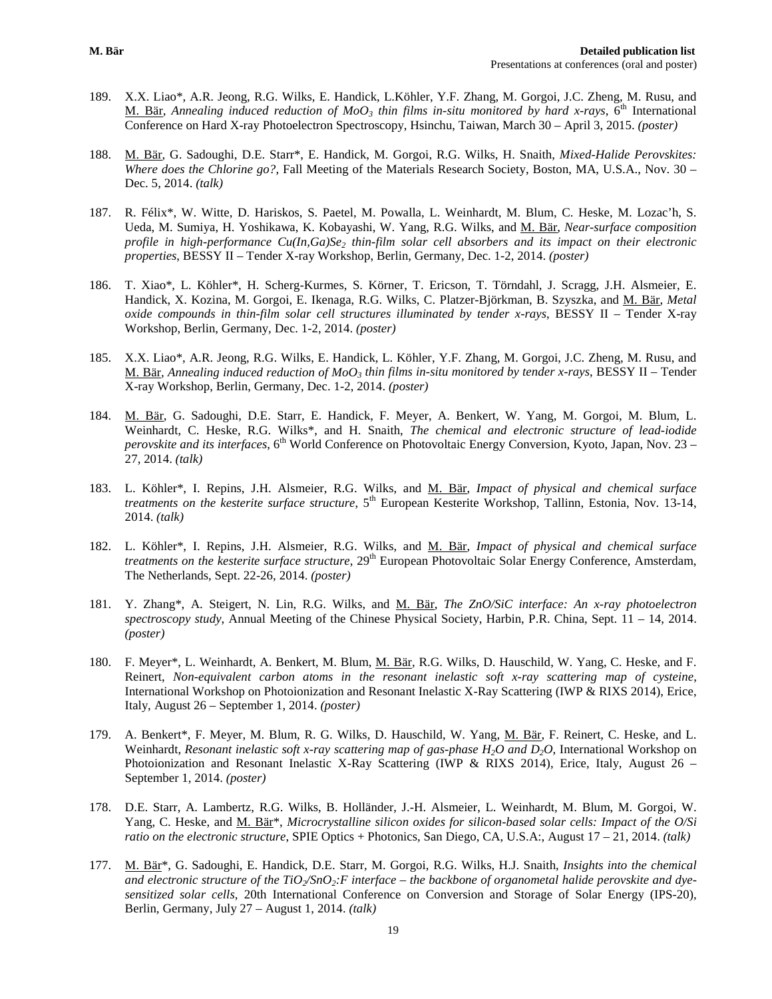- 189. X.X. Liao\*, A.R. Jeong, R.G. Wilks, E. Handick, L.Köhler, Y.F. Zhang, M. Gorgoi, J.C. Zheng, M. Rusu, and M. Bär, *Annealing induced reduction of MoO<sub>3</sub> thin films in-situ monitored by hard x-rays*,  $6^{th}$  International Conference on Hard X-ray Photoelectron Spectroscopy, Hsinchu, Taiwan, March 30 – April 3, 2015. *(poster)*
- 188. M. Bär, G. Sadoughi, D.E. Starr\*, E. Handick, M. Gorgoi, R.G. Wilks, H. Snaith, *Mixed-Halide Perovskites: Where does the Chlorine go?*, Fall Meeting of the Materials Research Society, Boston, MA, U.S.A., Nov. 30 – Dec. 5, 2014. *(talk)*
- 187. R. Félix\*, W. Witte, D. Hariskos, S. Paetel, M. Powalla, L. Weinhardt, M. Blum, C. Heske, M. Lozac'h, S. Ueda, M. Sumiya, H. Yoshikawa, K. Kobayashi, W. Yang, R.G. Wilks, and M. Bär, *Near-surface composition profile in high-performance Cu(In,Ga)Se<sub>2</sub> thin-film solar cell absorbers and its impact on their electronic properties*, BESSY II *–* Tender X-ray Workshop, Berlin, Germany, Dec. 1-2, 2014. *(poster)*
- 186. T. Xiao\*, L. Köhler\*, H. Scherg-Kurmes, S. Körner, T. Ericson, T. Törndahl, J. Scragg, J.H. Alsmeier, E. Handick, X. Kozina, M. Gorgoi, E. Ikenaga, R.G. Wilks, C. Platzer-Björkman, B. Szyszka, and M. Bär, *Metal oxide compounds in thin-film solar cell structures illuminated by tender x-rays*, BESSY II *–* Tender X-ray Workshop, Berlin, Germany, Dec. 1-2, 2014. *(poster)*
- 185. X.X. Liao\*, A.R. Jeong, R.G. Wilks, E. Handick, L. Köhler, Y.F. Zhang, M. Gorgoi, J.C. Zheng, M. Rusu, and M. Bär, *Annealing induced reduction of MoO3 thin films in-situ monitored by tender x-rays*, BESSY II *–* Tender X-ray Workshop, Berlin, Germany, Dec. 1-2, 2014. *(poster)*
- 184. M. Bär, G. Sadoughi, D.E. Starr, E. Handick, F. Meyer, A. Benkert, W. Yang, M. Gorgoi, M. Blum, L. Weinhardt, C. Heske, R.G. Wilks\*, and H. Snaith, *The chemical and electronic structure of lead-iodide perovskite and its interfaces*, 6<sup>th</sup> World Conference on Photovoltaic Energy Conversion, Kyoto, Japan, Nov. 23 – 27, 2014. *(talk)*
- 183. L. Köhler\*, I. Repins, J.H. Alsmeier, R.G. Wilks, and M. Bär, *Impact of physical and chemical surface treatments on the kesterite surface structure*, 5<sup>th</sup> European Kesterite Workshop, Tallinn, Estonia, Nov. 13-14, 2014. *(talk)*
- 182. L. Köhler\*, I. Repins, J.H. Alsmeier, R.G. Wilks, and M. Bär, *Impact of physical and chemical surface treatments on the kesterite surface structure*, 29<sup>th</sup> European Photovoltaic Solar Energy Conference, Amsterdam, The Netherlands, Sept. 22-26, 2014. *(poster)*
- 181. Y. Zhang\*, A. Steigert, N. Lin, R.G. Wilks, and M. Bär, *The ZnO/SiC interface: An x-ray photoelectron spectroscopy study*, Annual Meeting of the Chinese Physical Society, Harbin, P.R. China, Sept. 11 – 14, 2014. *(poster)*
- 180. F. Meyer\*, L. Weinhardt, A. Benkert, M. Blum, M. Bär, R.G. Wilks, D. Hauschild, W. Yang, C. Heske, and F. Reinert, *Non-equivalent carbon atoms in the resonant inelastic soft x-ray scattering map of cysteine*, International Workshop on Photoionization and Resonant Inelastic X-Ray Scattering (IWP & RIXS 2014), Erice, Italy, August 26 – September 1, 2014. *(poster)*
- 179. A. Benkert\*, F. Meyer, M. Blum, R. G. Wilks, D. Hauschild, W. Yang, M. Bär, F. Reinert, C. Heske, and L. Weinhardt, *Resonant inelastic soft x-ray scattering map of gas-phase H2O and D2O*, International Workshop on Photoionization and Resonant Inelastic X-Ray Scattering (IWP & RIXS 2014), Erice, Italy, August 26 – September 1, 2014. *(poster)*
- 178. D.E. Starr, A. Lambertz, R.G. Wilks, B. Holländer, J.-H. Alsmeier, L. Weinhardt, M. Blum, M. Gorgoi, W. Yang, C. Heske, and M. Bär\*, *Microcrystalline silicon oxides for silicon-based solar cells: Impact of the O/Si ratio on the electronic structure*, SPIE Optics + Photonics, San Diego, CA, U.S.A:, August 17 – 21, 2014. *(talk)*
- 177. M. Bär\*, G. Sadoughi, E. Handick, D.E. Starr, M. Gorgoi, R.G. Wilks, H.J. Snaith, *Insights into the chemical*  and electronic structure of the  $TiO_2/SnO_2$ : F interface – the backbone of organometal halide perovskite and dye*sensitized solar cells*, 20th International Conference on Conversion and Storage of Solar Energy (IPS-20), Berlin, Germany, July 27 – August 1, 2014. *(talk)*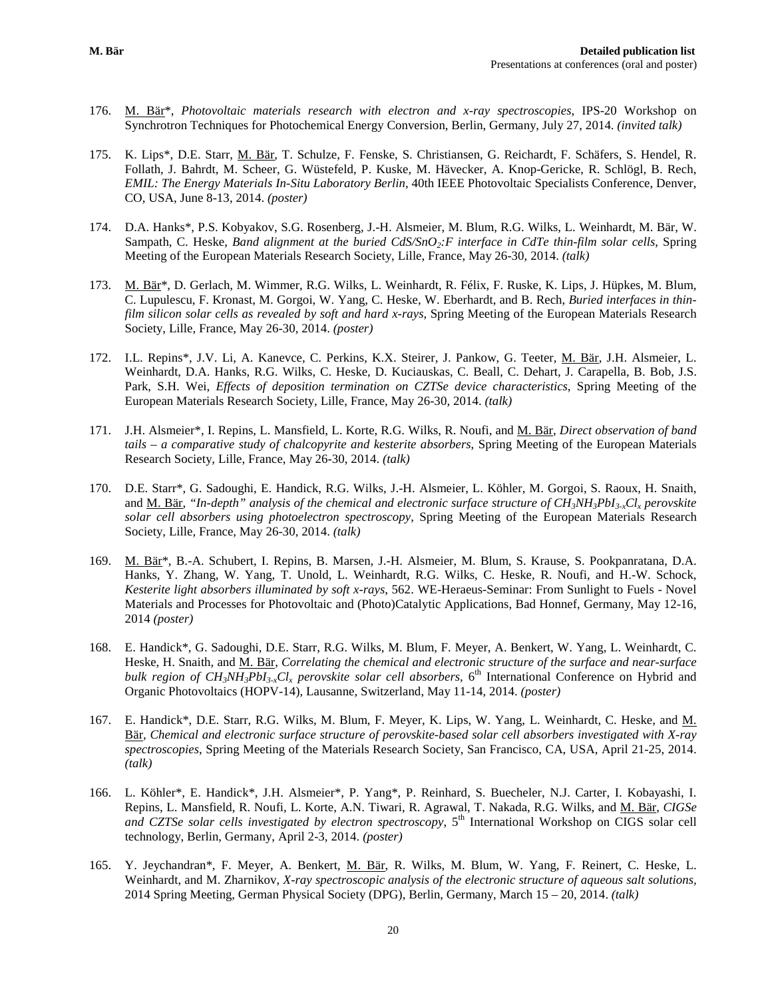- 176. M. Bär\*, *Photovoltaic materials research with electron and x-ray spectroscopies*, IPS-20 Workshop on Synchrotron Techniques for Photochemical Energy Conversion, Berlin, Germany, July 27, 2014. *(invited talk)*
- 175. K. Lips\*, D.E. Starr, M. Bär, T. Schulze, F. Fenske, S. Christiansen, G. Reichardt, F. Schäfers, S. Hendel, R. Follath, J. Bahrdt, M. Scheer, G. Wüstefeld, P. Kuske, M. Hävecker, A. Knop-Gericke, R. Schlögl, B. Rech, *EMIL: The Energy Materials In-Situ Laboratory Berlin*, 40th IEEE Photovoltaic Specialists Conference, Denver, CO, USA, June 8-13, 2014. *(poster)*
- 174. D.A. Hanks\*, P.S. Kobyakov, S.G. Rosenberg, J.-H. Alsmeier, M. Blum, R.G. Wilks, L. Weinhardt, M. Bär, W. Sampath, C. Heske, *Band alignment at the buried CdS/SnO2:F interface in CdTe thin-film solar cells*, Spring Meeting of the European Materials Research Society, Lille, France, May 26-30, 2014. *(talk)*
- 173. M. Bär<sup>\*</sup>, D. Gerlach, M. Wimmer, R.G. Wilks, L. Weinhardt, R. Félix, F. Ruske, K. Lips, J. Hüpkes, M. Blum, C. Lupulescu, F. Kronast, M. Gorgoi, W. Yang, C. Heske, W. Eberhardt, and B. Rech, *Buried interfaces in thinfilm silicon solar cells as revealed by soft and hard x-rays*, Spring Meeting of the European Materials Research Society, Lille, France, May 26-30, 2014. *(poster)*
- 172. I.L. Repins\*, J.V. Li, A. Kanevce, C. Perkins, K.X. Steirer, J. Pankow, G. Teeter, M. Bär, J.H. Alsmeier, L. Weinhardt, D.A. Hanks, R.G. Wilks, C. Heske, D. Kuciauskas, C. Beall, C. Dehart, J. Carapella, B. Bob, J.S. Park, S.H. Wei, *Effects of deposition termination on CZTSe device characteristics*, Spring Meeting of the European Materials Research Society, Lille, France, May 26-30, 2014. *(talk)*
- 171. J.H. Alsmeier\*, I. Repins, L. Mansfield, L. Korte, R.G. Wilks, R. Noufi, and M. Bär, *Direct observation of band tails – a comparative study of chalcopyrite and kesterite absorbers*, Spring Meeting of the European Materials Research Society, Lille, France, May 26-30, 2014. *(talk)*
- 170. D.E. Starr\*, G. Sadoughi, E. Handick, R.G. Wilks, J.-H. Alsmeier, L. Köhler, M. Gorgoi, S. Raoux, H. Snaith, and M. Bär, *"In-depth" analysis of the chemical and electronic surface structure of CH3NH3PbI3-xClx perovskite solar cell absorbers using photoelectron spectroscopy*, Spring Meeting of the European Materials Research Society, Lille, France, May 26-30, 2014. *(talk)*
- 169. M. Bär\*, B.-A. Schubert, I. Repins, B. Marsen, J.-H. Alsmeier, M. Blum, S. Krause, S. Pookpanratana, D.A. Hanks, Y. Zhang, W. Yang, T. Unold, L. Weinhardt, R.G. Wilks, C. Heske, R. Noufi, and H.-W. Schock, *Kesterite light absorbers illuminated by soft x-rays*, 562. WE-Heraeus-Seminar: From Sunlight to Fuels - Novel Materials and Processes for Photovoltaic and (Photo)Catalytic Applications, Bad Honnef, Germany, May 12-16, 2014 *(poster)*
- 168. E. Handick\*, G. Sadoughi, D.E. Starr, R.G. Wilks, M. Blum, F. Meyer, A. Benkert, W. Yang, L. Weinhardt, C. Heske, H. Snaith, and M. Bär, *Correlating the chemical and electronic structure of the surface and near-surface bulk region of CH<sub>3</sub>NH<sub>3</sub>PbI<sub>3</sub>-xCl<sub>x</sub> perovskite solar cell absorbers*, 6<sup>th</sup> International Conference on Hybrid and Organic Photovoltaics (HOPV-14), Lausanne, Switzerland, May 11-14, 2014. *(poster)*
- 167. E. Handick\*, D.E. Starr, R.G. Wilks, M. Blum, F. Meyer, K. Lips, W. Yang, L. Weinhardt, C. Heske, and M. Bär, *Chemical and electronic surface structure of perovskite-based solar cell absorbers investigated with X-ray spectroscopies*, Spring Meeting of the Materials Research Society, San Francisco, CA, USA, April 21-25, 2014. *(talk)*
- 166. L. Köhler\*, E. Handick\*, J.H. Alsmeier\*, P. Yang\*, P. Reinhard, S. Buecheler, N.J. Carter, I. Kobayashi, I. Repins, L. Mansfield, R. Noufi, L. Korte, A.N. Tiwari, R. Agrawal, T. Nakada, R.G. Wilks, and M. Bär, *CIGSe and CZTSe solar cells investigated by electron spectroscopy*, 5th International Workshop on CIGS solar cell technology, Berlin, Germany, April 2-3, 2014. *(poster)*
- 165. Y. Jeychandran\*, F. Meyer, A. Benkert, M. Bär, R. Wilks, M. Blum, W. Yang, F. Reinert, C. Heske, L. Weinhardt, and M. Zharnikov, *X-ray spectroscopic analysis of the electronic structure of aqueous salt solutions,* 2014 Spring Meeting, German Physical Society (DPG), Berlin, Germany, March 15 – 20, 2014. *(talk)*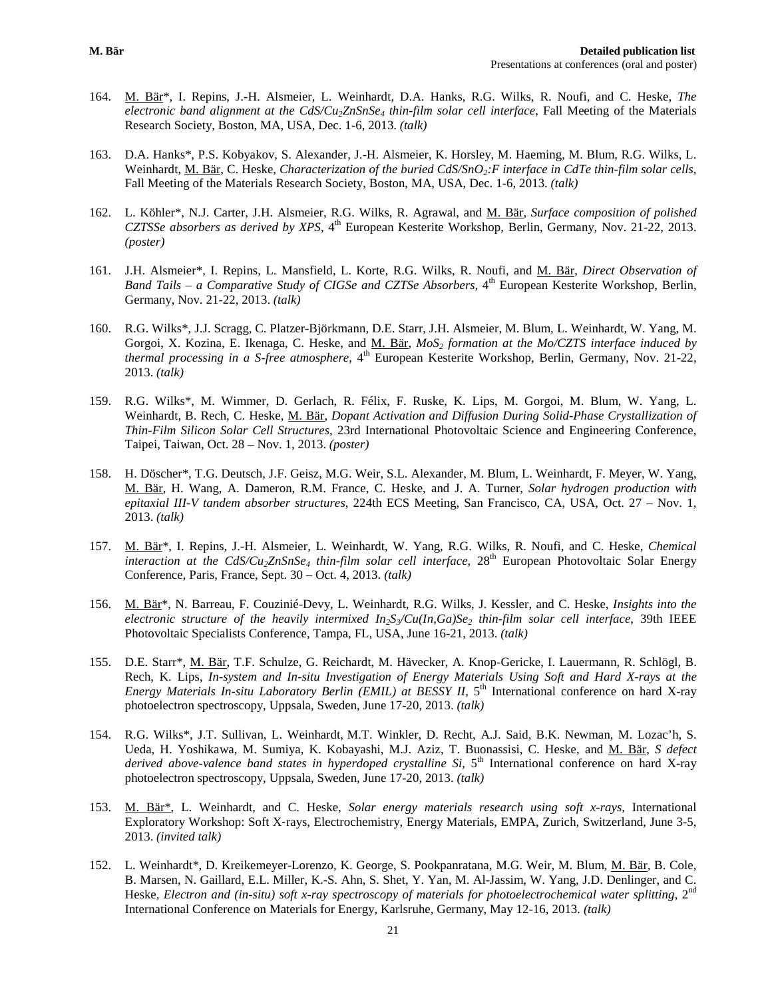- 164. M. Bär\*, I. Repins, J.-H. Alsmeier, L. Weinhardt, D.A. Hanks, R.G. Wilks, R. Noufi, and C. Heske, *The electronic band alignment at the CdS/Cu2ZnSnSe4 thin-film solar cell interface*, Fall Meeting of the Materials Research Society, Boston, MA, USA, Dec. 1-6, 2013. *(talk)*
- 163. D.A. Hanks\*, P.S. Kobyakov, S. Alexander, J.-H. Alsmeier, K. Horsley, M. Haeming, M. Blum, R.G. Wilks, L. Weinhardt, M. Bär, C. Heske, *Characterization of the buried CdS/SnO<sub>2</sub>:F interface in CdTe thin-film solar cells*, Fall Meeting of the Materials Research Society, Boston, MA, USA, Dec. 1-6, 2013. *(talk)*
- 162. L. Köhler\*, N.J. Carter, J.H. Alsmeier, R.G. Wilks, R. Agrawal, and M. Bär, *Surface composition of polished CZTSSe absorbers as derived by XPS*, 4<sup>th</sup> European Kesterite Workshop, Berlin, Germany, Nov. 21-22, 2013. *(poster)*
- 161. J.H. Alsmeier\*, I. Repins, L. Mansfield, L. Korte, R.G. Wilks, R. Noufi, and M. Bär, *Direct Observation of Band Tails – a Comparative Study of CIGSe and CZTSe Absorbers,* 4<sup>th</sup> European Kesterite Workshop, Berlin, Germany, Nov. 21-22, 2013. *(talk)*
- 160. R.G. Wilks\*, J.J. Scragg, C. Platzer-Björkmann, D.E. Starr, J.H. Alsmeier, M. Blum, L. Weinhardt, W. Yang, M. Gorgoi, X. Kozina, E. Ikenaga, C. Heske, and M. Bär, *MoS<sub>2</sub>* formation at the Mo/CZTS interface induced by *thermal processing in a S-free atmosphere,*  $4<sup>th</sup>$  European Kesterite Workshop, Berlin, Germany, Nov. 21-22, 2013. *(talk)*
- 159. R.G. Wilks\*, M. Wimmer, D. Gerlach, R. Félix, F. Ruske, K. Lips, M. Gorgoi, M. Blum, W. Yang, L. Weinhardt, B. Rech, C. Heske, M. Bär, *Dopant Activation and Diffusion During Solid-Phase Crystallization of Thin-Film Silicon Solar Cell Structures*, 23rd International Photovoltaic Science and Engineering Conference, Taipei, Taiwan, Oct. 28 – Nov. 1, 2013. *(poster)*
- 158. H. Döscher\*, T.G. Deutsch, J.F. Geisz, M.G. Weir, S.L. Alexander, M. Blum, L. Weinhardt, F. Meyer, W. Yang, M. Bär, H. Wang, A. Dameron, R.M. France, C. Heske, and J. A. Turner, *Solar hydrogen production with epitaxial III-V tandem absorber structures*, 224th ECS Meeting, San Francisco, CA, USA, Oct. 27 – Nov. 1, 2013. *(talk)*
- 157. M. Bär\*, I. Repins, J.-H. Alsmeier, L. Weinhardt, W. Yang, R.G. Wilks, R. Noufi, and C. Heske, *Chemical interaction at the CdS/Cu2ZnSnSe4 thin-film solar cell interface*, 28th European Photovoltaic Solar Energy Conference, Paris, France, Sept. 30 – Oct. 4, 2013. *(talk)*
- 156. M. Bär\*, N. Barreau, F. Couzinié-Devy, L. Weinhardt, R.G. Wilks, J. Kessler, and C. Heske, *Insights into the electronic structure of the heavily intermixed*  $In_2S\< Cu(In,Ga)Se_2$  *thin-film solar cell interface, 39th IEEE* Photovoltaic Specialists Conference, Tampa, FL, USA, June 16-21, 2013. *(talk)*
- 155. D.E. Starr\*, M. Bär, T.F. Schulze, G. Reichardt, M. Hävecker, A. Knop-Gericke, I. Lauermann, R. Schlögl, B. Rech, K. Lips, *In-system and In-situ Investigation of Energy Materials Using Soft and Hard X-rays at the Energy Materials In-situ Laboratory Berlin (EMIL) at BESSY II*, 5<sup>th</sup> International conference on hard X-ray photoelectron spectroscopy, Uppsala, Sweden, June 17-20, 2013. *(talk)*
- 154. R.G. Wilks\*, J.T. Sullivan, L. Weinhardt, M.T. Winkler, D. Recht, A.J. Said, B.K. Newman, M. Lozac'h, S. Ueda, H. Yoshikawa, M. Sumiya, K. Kobayashi, M.J. Aziz, T. Buonassisi, C. Heske, and M. Bär, *S defect*  derived above-valence band states in hyperdoped crystalline Si, 5<sup>th</sup> International conference on hard X-ray photoelectron spectroscopy, Uppsala, Sweden, June 17-20, 2013. *(talk)*
- 153. M. Bär\*, L. Weinhardt, and C. Heske, *Solar energy materials research using soft x-rays,* International Exploratory Workshop: Soft X‐rays, Electrochemistry, Energy Materials, EMPA, Zurich, Switzerland, June 3-5, 2013. *(invited talk)*
- 152. L. Weinhardt\*, D. Kreikemeyer-Lorenzo, K. George, S. Pookpanratana, M.G. Weir, M. Blum, M. Bär, B. Cole, B. Marsen, N. Gaillard, E.L. Miller, K.-S. Ahn, S. Shet, Y. Yan, M. Al-Jassim, W. Yang, J.D. Denlinger, and C. Heske, *Electron and (in-situ) soft x-ray spectroscopy of materials for photoelectrochemical water splitting*, 2<sup>nd</sup> International Conference on Materials for Energy, Karlsruhe, Germany, May 12-16, 2013. *(talk)*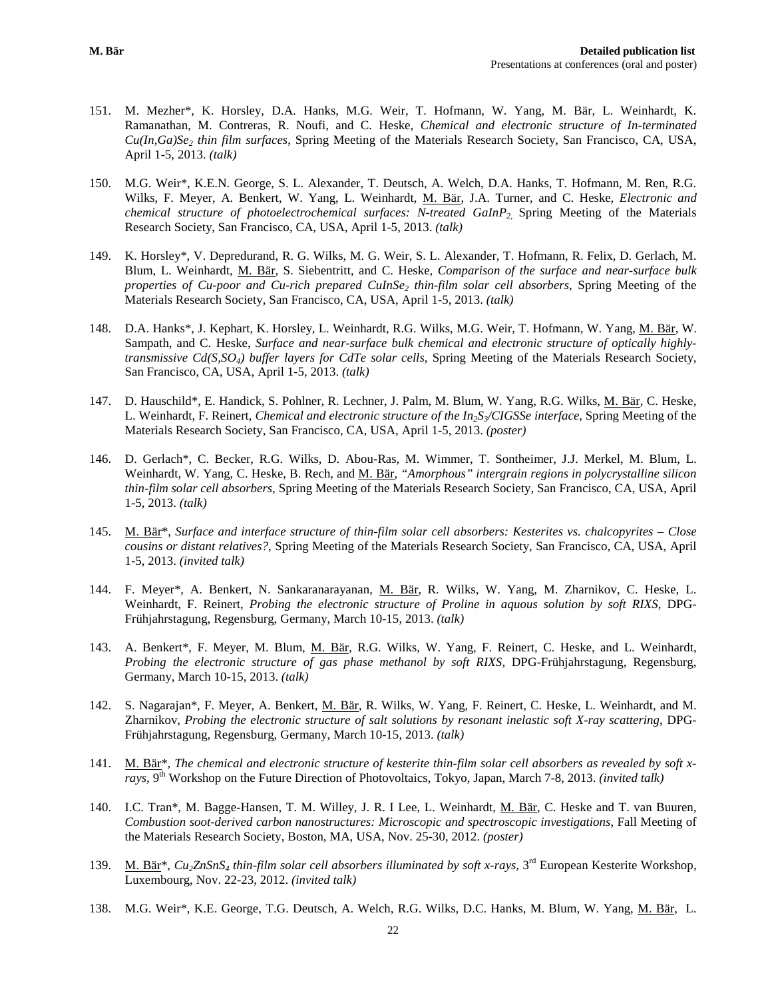- 151. M. Mezher\*, K. Horsley, D.A. Hanks, M.G. Weir, T. Hofmann, W. Yang, M. Bär, L. Weinhardt, K. Ramanathan, M. Contreras, R. Noufi, and C. Heske, *Chemical and electronic structure of In-terminated Cu(In,Ga)Se2 thin film surfaces*, Spring Meeting of the Materials Research Society, San Francisco, CA, USA, April 1-5, 2013. *(talk)*
- 150. M.G. Weir\*, K.E.N. George, S. L. Alexander, T. Deutsch, A. Welch, D.A. Hanks, T. Hofmann, M. Ren, R.G. Wilks, F. Meyer, A. Benkert, W. Yang, L. Weinhardt, M. Bär, J.A. Turner, and C. Heske, *Electronic and chemical structure of photoelectrochemical surfaces: N-treated GaInP2*, Spring Meeting of the Materials Research Society, San Francisco, CA, USA, April 1-5, 2013. *(talk)*
- 149. K. Horsley\*, V. Depredurand, R. G. Wilks, M. G. Weir, S. L. Alexander, T. Hofmann, R. Felix, D. Gerlach, M. Blum, L. Weinhardt, M. Bär, S. Siebentritt, and C. Heske*, Comparison of the surface and near-surface bulk properties of Cu-poor and Cu-rich prepared CuInSe2 thin-film solar cell absorbers*, Spring Meeting of the Materials Research Society, San Francisco, CA, USA, April 1-5, 2013. *(talk)*
- 148. D.A. Hanks\*, J. Kephart, K. Horsley, L. Weinhardt, R.G. Wilks, M.G. Weir, T. Hofmann, W. Yang, M. Bär, W. Sampath, and C. Heske, *Surface and near-surface bulk chemical and electronic structure of optically highlytransmissive Cd(S,SO4) buffer layers for CdTe solar cells*, Spring Meeting of the Materials Research Society, San Francisco, CA, USA, April 1-5, 2013. *(talk)*
- 147. D. Hauschild\*, E. Handick, S. Pohlner, R. Lechner, J. Palm, M. Blum, W. Yang, R.G. Wilks, M. Bär, C. Heske, L. Weinhardt, F. Reinert, *Chemical and electronic structure of the In<sub>2</sub>S* $\sqrt{\text{CIGSSE}}$  *interface*, Spring Meeting of the Materials Research Society, San Francisco, CA, USA, April 1-5, 2013. *(poster)*
- 146. D. Gerlach\*, C. Becker, R.G. Wilks, D. Abou-Ras, M. Wimmer, T. Sontheimer, J.J. Merkel, M. Blum, L. Weinhardt, W. Yang, C. Heske, B. Rech, and M. Bär, *"Amorphous" intergrain regions in polycrystalline silicon thin-film solar cell absorbers*, Spring Meeting of the Materials Research Society, San Francisco, CA, USA, April 1-5, 2013. *(talk)*
- 145. M. Bär\*, *Surface and interface structure of thin-film solar cell absorbers: Kesterites vs. chalcopyrites – Close cousins or distant relatives?*, Spring Meeting of the Materials Research Society, San Francisco, CA, USA, April 1-5, 2013. *(invited talk)*
- 144. F. Meyer\*, A. Benkert, N. Sankaranarayanan, M. Bär, R. Wilks, W. Yang, M. Zharnikov, C. Heske, L. Weinhardt, F. Reinert, *Probing the electronic structure of Proline in aquous solution by soft RIXS*, DPG-Frühjahrstagung, Regensburg, Germany, March 10-15, 2013. *(talk)*
- 143. A. Benkert\*, F. Meyer, M. Blum, M. Bär, R.G. Wilks, W. Yang, F. Reinert, C. Heske, and L. Weinhardt, *Probing the electronic structure of gas phase methanol by soft RIXS*, DPG-Frühjahrstagung, Regensburg, Germany, March 10-15, 2013. *(talk)*
- 142. S. Nagarajan\*, F. Meyer, A. Benkert, M. Bär, R. Wilks, W. Yang, F. Reinert, C. Heske, L. Weinhardt, and M. Zharnikov, *Probing the electronic structure of salt solutions by resonant inelastic soft X-ray scattering*, DPG-Frühjahrstagung, Regensburg, Germany, March 10-15, 2013. *(talk)*
- 141. M. Bär\*, *The chemical and electronic structure of kesterite thin-film solar cell absorbers as revealed by soft xrays*, 9<sup>th</sup> Workshop on the Future Direction of Photovoltaics, Tokyo, Japan, March 7-8, 2013. *(invited talk)*
- 140. I.C. Tran\*, M. Bagge-Hansen, T. M. Willey, J. R. I Lee, L. Weinhardt, M. Bär, C. Heske and T. van Buuren, *Combustion soot-derived carbon nanostructures: Microscopic and spectroscopic investigations*, Fall Meeting of the Materials Research Society, Boston, MA, USA, Nov. 25-30, 2012. *(poster)*
- 139. M. Bär<sup>\*</sup>,  $Cu_2ZnSnS_4$  *thin-film solar cell absorbers illuminated by soft x-rays*,  $3<sup>rd</sup>$  European Kesterite Workshop, Luxembourg, Nov. 22-23, 2012. *(invited talk)*
- 138. M.G. Weir\*, K.E. George, T.G. Deutsch, A. Welch, R.G. Wilks, D.C. Hanks, M. Blum, W. Yang, M. Bär, L.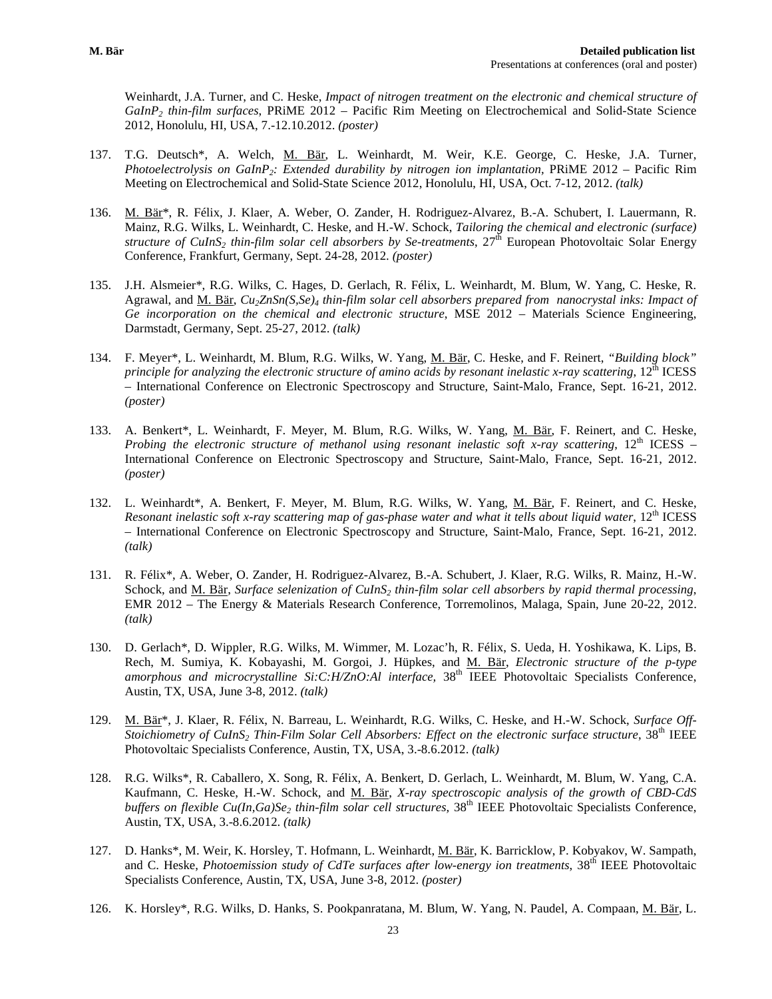Weinhardt, J.A. Turner, and C. Heske, *Impact of nitrogen treatment on the electronic and chemical structure of GaInP2 thin-film surfaces*, PRiME 2012 – Pacific Rim Meeting on Electrochemical and Solid-State Science 2012, Honolulu, HI, USA, 7.-12.10.2012. *(poster)*

- 137. T.G. Deutsch\*, A. Welch, M. Bär, L. Weinhardt, M. Weir, K.E. George, C. Heske, J.A. Turner, *Photoelectrolysis on GaInP<sub>2</sub>: Extended durability by nitrogen ion implantation, PRIME 2012 – Pacific Rim* Meeting on Electrochemical and Solid-State Science 2012, Honolulu, HI, USA, Oct. 7-12, 2012. *(talk)*
- 136. M. Bär\*, R. Félix, J. Klaer, A. Weber, O. Zander, H. Rodriguez-Alvarez, B.-A. Schubert, I. Lauermann, R. Mainz, R.G. Wilks, L. Weinhardt, C. Heske, and H.-W. Schock, *Tailoring the chemical and electronic (surface) structure of CuInS2 thin-film solar cell absorbers by Se-treatments*, 27th European Photovoltaic Solar Energy Conference, Frankfurt, Germany, Sept. 24-28, 2012. *(poster)*
- 135. J.H. Alsmeier\*, R.G. Wilks, C. Hages, D. Gerlach, R. Félix, L. Weinhardt, M. Blum, W. Yang, C. Heske, R. Agrawal, and M. Bär, *Cu2ZnSn(S,Se)4 thin-film solar cell absorbers prepared from nanocrystal inks: Impact of Ge incorporation on the chemical and electronic structure*, MSE 2012 – Materials Science Engineering, Darmstadt, Germany, Sept. 25-27, 2012. *(talk)*
- 134. F. Meyer\*, L. Weinhardt, M. Blum, R.G. Wilks, W. Yang, M. Bär, C. Heske, and F. Reinert, *"Building block" principle for analyzing the electronic structure of amino acids by resonant inelastic x-ray scattering*, 12<sup>th</sup> ICESS – International Conference on Electronic Spectroscopy and Structure, Saint-Malo, France, Sept. 16-21, 2012. *(poster)*
- 133. A. Benkert\*, L. Weinhardt, F. Meyer, M. Blum, R.G. Wilks, W. Yang, M. Bär, F. Reinert, and C. Heske, *Probing the electronic structure of methanol using resonant inelastic soft x-ray scattering*,  $12<sup>th</sup> ICESS -$ International Conference on Electronic Spectroscopy and Structure, Saint-Malo, France, Sept. 16-21, 2012. *(poster)*
- 132. L. Weinhardt\*, A. Benkert, F. Meyer, M. Blum, R.G. Wilks, W. Yang, M. Bär, F. Reinert, and C. Heske, *Resonant inelastic soft x-ray scattering map of gas-phase water and what it tells about liquid water*, 12<sup>th</sup> ICESS – International Conference on Electronic Spectroscopy and Structure, Saint-Malo, France, Sept. 16-21, 2012. *(talk)*
- 131. R. Félix\*, A. Weber, O. Zander, H. Rodriguez-Alvarez, B.-A. Schubert, J. Klaer, R.G. Wilks, R. Mainz, H.-W. Schock, and M. Bär, *Surface selenization of CuInS<sub>2</sub> thin-film solar cell absorbers by rapid thermal processing*, EMR 2012 – The Energy & Materials Research Conference, Torremolinos, Malaga, Spain, June 20-22, 2012. *(talk)*
- 130. D. Gerlach\*, D. Wippler, R.G. Wilks, M. Wimmer, M. Lozac'h, R. Félix, S. Ueda, H. Yoshikawa, K. Lips, B. Rech, M. Sumiya, K. Kobayashi, M. Gorgoi, J. Hüpkes, and M. Bär, *Electronic structure of the p-type amorphous and microcrystalline Si:C:H/ZnO:Al interface, 38<sup>th</sup> IEEE Photovoltaic Specialists Conference,* Austin, TX, USA, June 3-8, 2012. *(talk)*
- 129. M. Bär\*, J. Klaer, R. Félix, N. Barreau, L. Weinhardt, R.G. Wilks, C. Heske, and H.-W. Schock, *Surface Off-Stoichiometry of CuInS2 Thin-Film Solar Cell Absorbers: Effect on the electronic surface structure*, 38th IEEE Photovoltaic Specialists Conference, Austin, TX, USA, 3.-8.6.2012. *(talk)*
- 128. R.G. Wilks\*, R. Caballero, X. Song, R. Félix, A. Benkert, D. Gerlach, L. Weinhardt, M. Blum, W. Yang, C.A. Kaufmann, C. Heske, H.-W. Schock, and M. Bär, *X-ray spectroscopic analysis of the growth of CBD-CdS buffers on flexible Cu(In,Ga)Se<sub>2</sub> thin-film solar cell structures,* 38<sup>th</sup> IEEE Photovoltaic Specialists Conference, Austin, TX, USA, 3.-8.6.2012. *(talk)*
- 127. D. Hanks\*, M. Weir, K. Horsley, T. Hofmann, L. Weinhardt, M. Bär, K. Barricklow, P. Kobyakov, W. Sampath, and C. Heske, *Photoemission study of CdTe surfaces after low-energy ion treatments*,  $38<sup>th</sup> IEEE Photovoltaic$ Specialists Conference, Austin, TX, USA, June 3-8, 2012. *(poster)*
- 126. K. Horsley\*, R.G. Wilks, D. Hanks, S. Pookpanratana, M. Blum, W. Yang, N. Paudel, A. Compaan, M. Bär, L.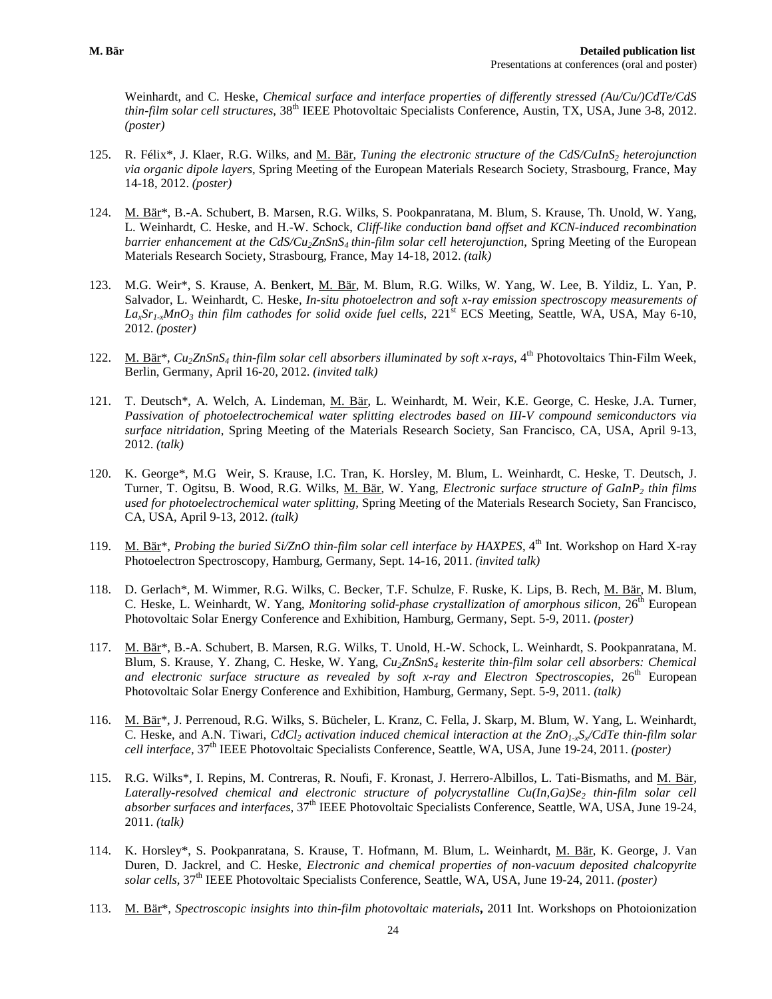Weinhardt, and C. Heske, *Chemical surface and interface properties of differently stressed (Au/Cu/)CdTe/CdS thin-film solar cell structures*, 38<sup>th</sup> IEEE Photovoltaic Specialists Conference, Austin, TX, USA, June 3-8, 2012. *(poster)*

- 125. R. Félix\*, J. Klaer, R.G. Wilks, and M. Bär, *Tuning the electronic structure of the CdS/CuInS2 heterojunction via organic dipole layers*, Spring Meeting of the European Materials Research Society, Strasbourg, France, May 14-18, 2012. *(poster)*
- 124. M. Bär\*, B.-A. Schubert, B. Marsen, R.G. Wilks, S. Pookpanratana, M. Blum, S. Krause, Th. Unold, W. Yang, L. Weinhardt, C. Heske, and H.-W. Schock, *Cliff-like conduction band offset and KCN-induced recombination barrier enhancement at the CdS/Cu<sub>2</sub>ZnSnS<sub>4</sub> thin-film solar cell heterojunction*, Spring Meeting of the European Materials Research Society, Strasbourg, France, May 14-18, 2012. *(talk)*
- 123. M.G. Weir\*, S. Krause, A. Benkert, M. Bär, M. Blum, R.G. Wilks, W. Yang, W. Lee, B. Yildiz, L. Yan, P. Salvador, L. Weinhardt, C. Heske, *In-situ photoelectron and soft x-ray emission spectroscopy measurements of*  La<sub>x</sub>Sr<sub>1-x</sub>MnO<sub>3</sub> thin film cathodes for solid oxide fuel cells, 221<sup>st</sup> ECS Meeting, Seattle, WA, USA, May 6-10, 2012. *(poster)*
- 122. M. Bär<sup>\*</sup>,  $Cu_2ZnSnS_4$  *thin-film solar cell absorbers illuminated by soft x-rays*,  $4<sup>th</sup>$  Photovoltaics Thin-Film Week. Berlin, Germany, April 16-20, 2012. *(invited talk)*
- 121. T. Deutsch\*, A. Welch, A. Lindeman, M. Bär, L. Weinhardt, M. Weir, K.E. George, C. Heske, J.A. Turner, *Passivation of photoelectrochemical water splitting electrodes based on III-V compound semiconductors via surface nitridation*, Spring Meeting of the Materials Research Society, San Francisco, CA, USA, April 9-13, 2012. *(talk)*
- 120. K. George\*, M.G Weir, S. Krause, I.C. Tran, K. Horsley, M. Blum, L. Weinhardt, C. Heske, T. Deutsch, J. Turner, T. Ogitsu, B. Wood, R.G. Wilks, *M. Bär*, W. Yang, *Electronic surface structure of GaInP<sub>2</sub> thin films used for photoelectrochemical water splitting,* Spring Meeting of the Materials Research Society, San Francisco, CA, USA, April 9-13, 2012. *(talk)*
- 119. M. Bär<sup>\*</sup>, *Probing the buried Si/ZnO thin-film solar cell interface by HAXPES*,  $4^{\text{th}}$  Int. Workshop on Hard X-ray Photoelectron Spectroscopy, Hamburg, Germany, Sept. 14-16, 2011. *(invited talk)*
- 118. D. Gerlach\*, M. Wimmer, R.G. Wilks, C. Becker, T.F. Schulze, F. Ruske, K. Lips, B. Rech, M. Bär, M. Blum, C. Heske, L. Weinhardt, W. Yang, *Monitoring solid-phase crystallization of amorphous silicon*, 26<sup>th</sup> European Photovoltaic Solar Energy Conference and Exhibition, Hamburg, Germany, Sept. 5-9, 2011. *(poster)*
- 117. M. Bär\*, B.-A. Schubert, B. Marsen, R.G. Wilks, T. Unold, H.-W. Schock, L. Weinhardt, S. Pookpanratana, M. Blum, S. Krause, Y. Zhang, C. Heske, W. Yang, *Cu2ZnSnS4 kesterite thin-film solar cell absorbers: Chemical*  and electronic surface structure as revealed by soft x-ray and Electron Spectroscopies, 26<sup>th</sup> European Photovoltaic Solar Energy Conference and Exhibition, Hamburg, Germany, Sept. 5-9, 2011. *(talk)*
- 116. M. Bär<sup>\*</sup>, J. Perrenoud, R.G. Wilks, S. Bücheler, L. Kranz, C. Fella, J. Skarp, M. Blum, W. Yang, L. Weinhardt, C. Heske, and A.N. Tiwari, *CdCl<sub>2</sub>* activation induced chemical interaction at the  $ZnO<sub>1-x</sub>S<sub>x</sub>/CdTe$  thin-film solar *cell interface,* 37th IEEE Photovoltaic Specialists Conference, Seattle, WA, USA, June 19-24, 2011. *(poster)*
- 115. R.G. Wilks\*, I. Repins, M. Contreras, R. Noufi, F. Kronast, J. Herrero-Albillos, L. Tati-Bismaths, and M. Bär, Laterally-resolved chemical and electronic structure of polycrystalline Cu(In,Ga)Se<sub>2</sub> thin-film solar cell *absorber surfaces and interfaces,* 37<sup>th</sup> IEEE Photovoltaic Specialists Conference, Seattle, WA, USA, June 19-24, 2011. *(talk)*
- 114. K. Horsley\*, S. Pookpanratana, S. Krause, T. Hofmann, M. Blum, L. Weinhardt, M. Bär, K. George, J. Van Duren, D. Jackrel, and C. Heske, *Electronic and chemical properties of non-vacuum deposited chalcopyrite solar cells,* 37th IEEE Photovoltaic Specialists Conference, Seattle, WA, USA, June 19-24, 2011. *(poster)*
- 113. M. Bär\*, *Spectroscopic insights into thin-film photovoltaic materials***,** 2011 Int. Workshops on Photoionization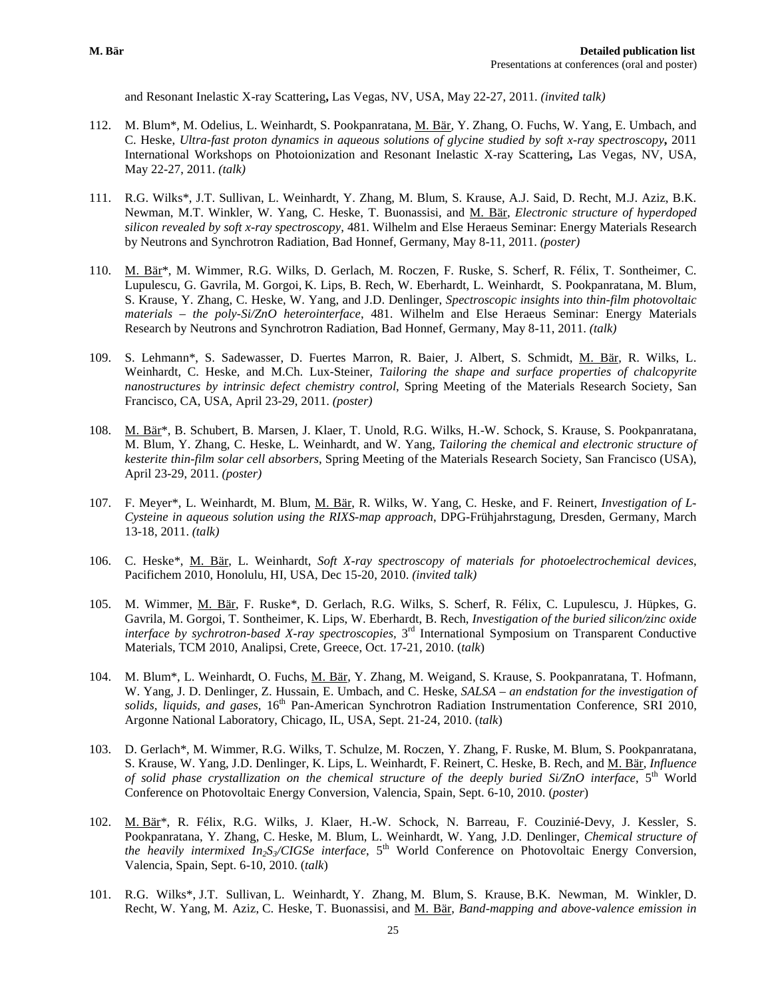and Resonant Inelastic X-ray Scattering**,** Las Vegas, NV, USA, May 22-27, 2011. *(invited talk)*

- 112. M. Blum\*, M. Odelius, L. Weinhardt, S. Pookpanratana, M. Bär, Y. Zhang, O. Fuchs, W. Yang, E. Umbach, and C. Heske, *Ultra-fast proton dynamics in aqueous solutions of glycine studied by soft x-ray spectroscopy***,** 2011 International Workshops on Photoionization and Resonant Inelastic X-ray Scattering**,** Las Vegas, NV, USA, May 22-27, 2011. *(talk)*
- 111. R.G. Wilks\*, J.T. Sullivan, L. Weinhardt, Y. Zhang, M. Blum, S. Krause, A.J. Said, D. Recht, M.J. Aziz, B.K. Newman, M.T. Winkler, W. Yang, C. Heske, T. Buonassisi, and M. Bär, *Electronic structure of hyperdoped silicon revealed by soft x-ray spectroscopy*, 481. Wilhelm and Else Heraeus Seminar: Energy Materials Research by Neutrons and Synchrotron Radiation, Bad Honnef, Germany, May 8-11, 2011. *(poster)*
- 110. M. Bär\*, M. Wimmer, R.G. Wilks, D. Gerlach, M. Roczen, F. Ruske, S. Scherf, R. Félix, T. Sontheimer, C. Lupulescu, G. Gavrila, M. Gorgoi, K. Lips, B. Rech, W. Eberhardt, L. Weinhardt, S. Pookpanratana, M. Blum, S. Krause, Y. Zhang, C. Heske, W. Yang, and J.D. Denlinger, *Spectroscopic insights into thin-film photovoltaic materials – the poly-Si/ZnO heterointerface*, 481. Wilhelm and Else Heraeus Seminar: Energy Materials Research by Neutrons and Synchrotron Radiation, Bad Honnef, Germany, May 8-11, 2011. *(talk)*
- 109. S. Lehmann\*, S. Sadewasser, D. Fuertes Marron, R. Baier, J. Albert, S. Schmidt, M. Bär, R. Wilks, L. Weinhardt, C. Heske, and M.Ch. Lux-Steiner, *Tailoring the shape and surface properties of chalcopyrite nanostructures by intrinsic defect chemistry control*, Spring Meeting of the Materials Research Society, San Francisco, CA, USA, April 23-29, 2011. *(poster)*
- 108. M. Bär<sup>\*</sup>, B. Schubert, B. Marsen, J. Klaer, T. Unold, R.G. Wilks, H.-W. Schock, S. Krause, S. Pookpanratana, M. Blum, Y. Zhang, C. Heske, L. Weinhardt, and W. Yang, *Tailoring the chemical and electronic structure of kesterite thin-film solar cell absorbers*, Spring Meeting of the Materials Research Society, San Francisco (USA), April 23-29, 2011. *(poster)*
- 107. F. Meyer\*, L. Weinhardt, M. Blum, M. Bär, R. Wilks, W. Yang, C. Heske, and F. Reinert, *Investigation of L-Cysteine in aqueous solution using the RIXS-map approach*, DPG-Frühjahrstagung, Dresden, Germany, March 13-18, 2011. *(talk)*
- 106. C. Heske\*, M. Bär, L. Weinhardt, *Soft X-ray spectroscopy of materials for photoelectrochemical devices*, Pacifichem 2010, Honolulu, HI, USA, Dec 15-20, 2010. *(invited talk)*
- 105. M. Wimmer, M. Bär, F. Ruske\*, D. Gerlach, R.G. Wilks, S. Scherf, R. Félix, C. Lupulescu, J. Hüpkes, G. Gavrila, M. Gorgoi, T. Sontheimer, K. Lips, W. Eberhardt, B. Rech, *Investigation of the buried silicon/zinc oxide interface by sychrotron-based X-ray spectroscopies,* 3<sup>rd</sup> International Symposium on Transparent Conductive Materials, TCM 2010, Analipsi, Crete, Greece, Oct. 17-21, 2010. (*talk*)
- 104. M. Blum\*, L. Weinhardt, O. Fuchs, M. Bär, Y. Zhang, M. Weigand, S. Krause, S. Pookpanratana, T. Hofmann, W. Yang, J. D. Denlinger, Z. Hussain, E. Umbach, and C. Heske, *SALSA – an endstation for the investigation of solids, liquids, and gases,* 16th Pan-American Synchrotron Radiation Instrumentation Conference, SRI 2010, Argonne National Laboratory, Chicago, IL, USA, Sept. 21-24, 2010. (*talk*)
- 103. D. Gerlach\*, M. Wimmer, R.G. Wilks, T. Schulze, M. Roczen, Y. Zhang, F. Ruske, M. Blum, S. Pookpanratana, S. Krause, W. Yang, J.D. Denlinger, K. Lips, L. Weinhardt, F. Reinert, C. Heske, B. Rech, and M. Bär, *Influence of solid phase crystallization on the chemical structure of the deeply buried Si/ZnO interface*, 5th World Conference on Photovoltaic Energy Conversion, Valencia, Spain, Sept. 6-10, 2010. (*poster*)
- 102. M. Bär\*, R. Félix, R.G. Wilks, J. Klaer, H.-W. Schock, N. Barreau, F. Couzinié-Devy, J. Kessler, S. Pookpanratana, Y. Zhang, C. Heske, M. Blum, L. Weinhardt, W. Yang, J.D. Denlinger, *Chemical structure of the heavily intermixed*  $In_2S\sqrt{CIGSe}$  *interface*,  $5<sup>th</sup>$  World Conference on Photovoltaic Energy Conversion, Valencia, Spain, Sept. 6-10, 2010. (*talk*)
- 101. R.G. Wilks\*, J.T. Sullivan, L. Weinhardt, Y. Zhang, M. Blum, S. Krause, B.K. Newman, M. Winkler, D. Recht, W. Yang, M. Aziz, C. Heske, T. Buonassisi, and M. Bär, *Band-mapping and above-valence emission in*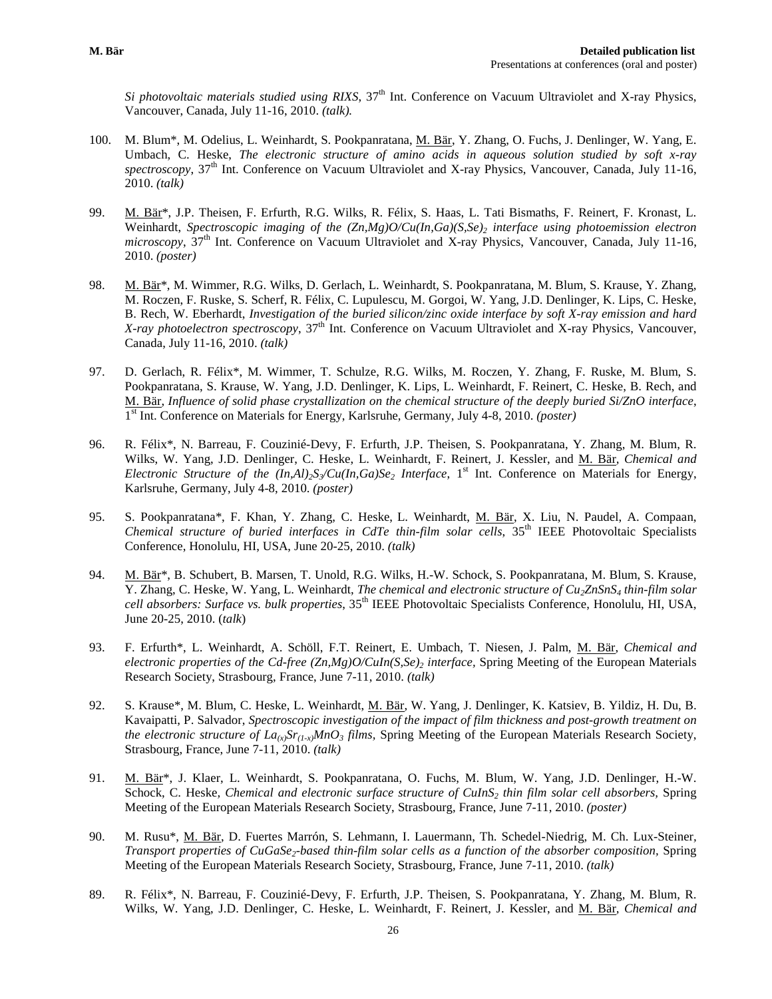*Si photovoltaic materials studied using RIXS*, 37<sup>th</sup> Int. Conference on Vacuum Ultraviolet and X-ray Physics, Vancouver, Canada, July 11-16, 2010. *(talk).*

- 100. M. Blum\*, M. Odelius, L. Weinhardt, S. Pookpanratana, M. Bär, Y. Zhang, O. Fuchs, J. Denlinger, W. Yang, E. Umbach, C. Heske, *The electronic structure of amino acids in aqueous solution studied by soft x-ray spectroscopy*, 37<sup>th</sup> Int. Conference on Vacuum Ultraviolet and X-ray Physics, Vancouver, Canada, July 11-16, 2010. *(talk)*
- 99. M. Bär\*, J.P. Theisen, F. Erfurth, R.G. Wilks, R. Félix, S. Haas, L. Tati Bismaths, F. Reinert, F. Kronast, L. Weinhardt, *Spectroscopic imaging of the (Zn,Mg)O/Cu(In,Ga)(S,Se)2 interface using photoemission electron microscopy*, 37<sup>th</sup> Int. Conference on Vacuum Ultraviolet and X-ray Physics, Vancouver, Canada, July 11-16, 2010. *(poster)*
- 98. M. Bär<sup>\*</sup>, M. Wimmer, R.G. Wilks, D. Gerlach, L. Weinhardt, S. Pookpanratana, M. Blum, S. Krause, Y. Zhang, M. Roczen, F. Ruske, S. Scherf, R. Félix, C. Lupulescu, M. Gorgoi, W. Yang, J.D. Denlinger, K. Lips, C. Heske, B. Rech, W. Eberhardt, *Investigation of the buried silicon/zinc oxide interface by soft X-ray emission and hard X-ray photoelectron spectroscopy*, 37<sup>th</sup> Int. Conference on Vacuum Ultraviolet and X-ray Physics, Vancouver, Canada, July 11-16, 2010. *(talk)*
- 97. D. Gerlach, R. Félix\*, M. Wimmer, T. Schulze, R.G. Wilks, M. Roczen, Y. Zhang, F. Ruske, M. Blum, S. Pookpanratana, S. Krause, W. Yang, J.D. Denlinger, K. Lips, L. Weinhardt, F. Reinert, C. Heske, B. Rech, and M. Bär, *Influence of solid phase crystallization on the chemical structure of the deeply buried Si/ZnO interface*, 1st Int. Conference on Materials for Energy, Karlsruhe, Germany, July 4-8, 2010. *(poster)*
- 96. R. Félix\*, N. Barreau, F. Couzinié-Devy, F. Erfurth, J.P. Theisen, S. Pookpanratana, Y. Zhang, M. Blum, R. Wilks, W. Yang, J.D. Denlinger, C. Heske, L. Weinhardt, F. Reinert, J. Kessler, and M. Bär*, Chemical and Electronic Structure of the*  $(In,Al)_2S\vee Cu(In,Ga)Se_2$  *<i>Interface*, 1<sup>st</sup> Int. Conference on Materials for Energy, Karlsruhe, Germany, July 4-8, 2010. *(poster)*
- 95. S. Pookpanratana\*, F. Khan, Y. Zhang, C. Heske, L. Weinhardt, M. Bär, X. Liu, N. Paudel, A. Compaan, *Chemical structure of buried interfaces in CdTe thin-film solar cells*, 35th IEEE Photovoltaic Specialists Conference, Honolulu, HI, USA, June 20-25, 2010. *(talk)*
- 94. M. Bär\*, B. Schubert, B. Marsen, T. Unold, R.G. Wilks, H.-W. Schock, S. Pookpanratana, M. Blum, S. Krause, Y. Zhang, C. Heske, W. Yang, L. Weinhardt, *The chemical and electronic structure of Cu<sub>2</sub>ZnSnS<sub>4</sub> thin-film solar* cell absorbers: Surface vs. bulk properties, 35<sup>th</sup> IEEE Photovoltaic Specialists Conference, Honolulu, HI, USA, June 20-25, 2010. (*talk*)
- 93. F. Erfurth\*, L. Weinhardt, A. Schöll, F.T. Reinert, E. Umbach, T. Niesen, J. Palm, M. Bär, *Chemical and electronic properties of the Cd-free*  $(Zn,Mg)O/CuIn(S,Se)$  *<i>interface*, Spring Meeting of the European Materials Research Society, Strasbourg, France, June 7-11, 2010. *(talk)*
- 92. S. Krause\*, M. Blum, C. Heske, L. Weinhardt, M. Bär, W. Yang, J. Denlinger, K. Katsiev, B. Yildiz, H. Du, B. Kavaipatti, P. Salvador, *Spectroscopic investigation of the impact of film thickness and post-growth treatment on the electronic structure of La(x)Sr(1-x)MnO3 films,* Spring Meeting of the European Materials Research Society, Strasbourg, France, June 7-11, 2010. *(talk)*
- 91. M. Bär\*, J. Klaer, L. Weinhardt, S. Pookpanratana, O. Fuchs, M. Blum, W. Yang, J.D. Denlinger, H.-W. Schock, C. Heske, *Chemical and electronic surface structure of CuInS<sub>2</sub> thin film solar cell absorbers, Spring* Meeting of the European Materials Research Society, Strasbourg, France, June 7-11, 2010. *(poster)*
- 90. M. Rusu\*, M. Bär, D. Fuertes Marrón, S. Lehmann, I. Lauermann, Th. Schedel-Niedrig, M. Ch. Lux-Steiner*, Transport properties of CuGaSe<sub>2</sub>-based thin-film solar cells as a function of the absorber composition, Spring* Meeting of the European Materials Research Society, Strasbourg, France, June 7-11, 2010. *(talk)*
- 89. R. Félix\*, N. Barreau, F. Couzinié-Devy, F. Erfurth, J.P. Theisen, S. Pookpanratana, Y. Zhang, M. Blum, R. Wilks, W. Yang, J.D. Denlinger, C. Heske, L. Weinhardt, F. Reinert, J. Kessler, and M. Bär*, Chemical and*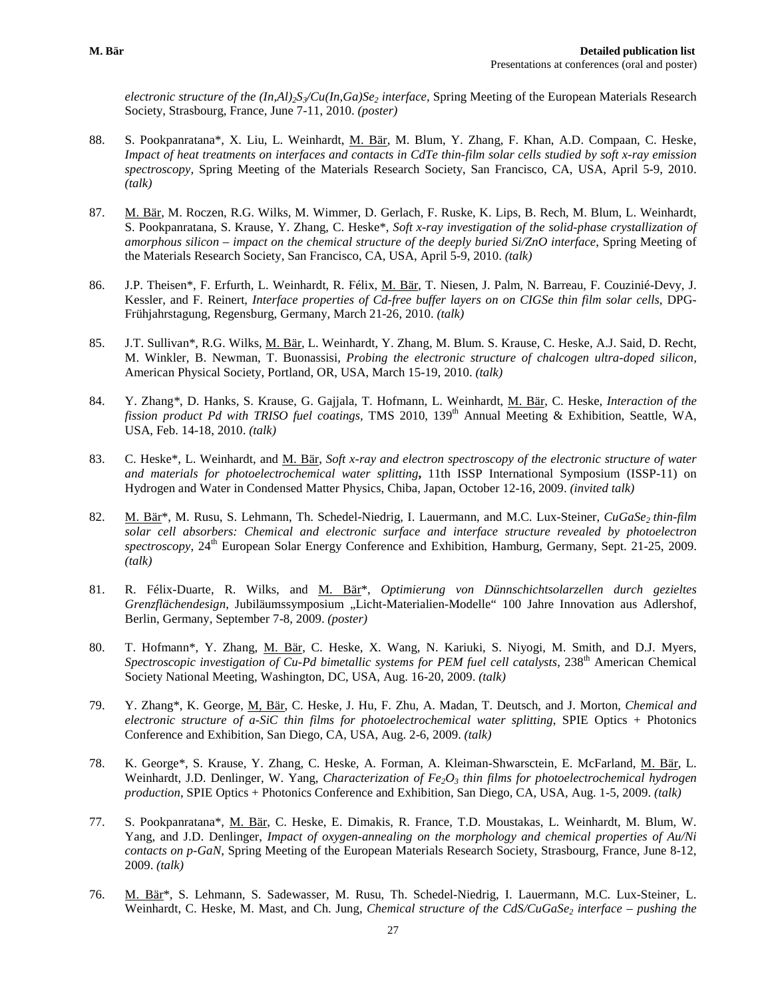*electronic structure of the (In,Al)2S3/Cu(In,Ga)Se2 interface,* Spring Meeting of the European Materials Research Society, Strasbourg, France, June 7-11, 2010. *(poster)*

- 88. S. Pookpanratana\*, X. Liu, L. Weinhardt, M. Bär, M. Blum, Y. Zhang, F. Khan, A.D. Compaan, C. Heske, *Impact of heat treatments on interfaces and contacts in CdTe thin-film solar cells studied by soft x-ray emission spectroscopy,* Spring Meeting of the Materials Research Society, San Francisco, CA, USA, April 5-9, 2010. *(talk)*
- 87. M. Bär, M. Roczen, R.G. Wilks, M. Wimmer, D. Gerlach, F. Ruske, K. Lips, B. Rech, M. Blum, L. Weinhardt, S. Pookpanratana, S. Krause, Y. Zhang, C. Heske\*, *Soft x-ray investigation of the solid-phase crystallization of amorphous silicon – impact on the chemical structure of the deeply buried Si/ZnO interface*, Spring Meeting of the Materials Research Society, San Francisco, CA, USA, April 5-9, 2010. *(talk)*
- 86. J.P. Theisen\*, F. Erfurth, L. Weinhardt, R. Félix, M. Bär, T. Niesen, J. Palm, N. Barreau, F. Couzinié-Devy, J. Kessler, and F. Reinert, *Interface properties of Cd-free buffer layers on on CIGSe thin film solar cells*, DPG-Frühjahrstagung, Regensburg, Germany, March 21-26, 2010. *(talk)*
- 85. J.T. Sullivan\*, R.G. Wilks, M. Bär, L. Weinhardt, Y. Zhang, M. Blum. S. Krause, C. Heske, A.J. Said, D. Recht, M. Winkler, B. Newman, T. Buonassisi, *Probing the electronic structure of chalcogen ultra-doped silicon,*  American Physical Society, Portland, OR, USA, March 15-19, 2010. *(talk)*
- 84. Y. Zhang*\**, D. Hanks, S. Krause, G. Gajjala, T. Hofmann, L. Weinhardt, M. Bär, C. Heske, *Interaction of the fission product Pd with TRISO fuel coatings, TMS 2010, 139<sup>th</sup> Annual Meeting & Exhibition, Seattle, WA,* USA, Feb. 14-18, 2010. *(talk)*
- 83. C. Heske\*, L. Weinhardt, and M. Bär, *Soft x-ray and electron spectroscopy of the electronic structure of water and materials for photoelectrochemical water splitting***,** 11th ISSP International Symposium (ISSP-11) on Hydrogen and Water in Condensed Matter Physics, Chiba, Japan, October 12-16, 2009. *(invited talk)*
- 82. M. Bär<sup>\*</sup>, M. Rusu, S. Lehmann, Th. Schedel-Niedrig, I. Lauermann, and M.C. Lux-Steiner, *CuGaSe<sub>2</sub> thin-film solar cell absorbers: Chemical and electronic surface and interface structure revealed by photoelectron spectroscopy*, 24<sup>th</sup> European Solar Energy Conference and Exhibition, Hamburg, Germany, Sept. 21-25, 2009. *(talk)*
- 81. R. Félix-Duarte, R. Wilks, and M. Bär\*, *Optimierung von Dünnschichtsolarzellen durch gezieltes Grenzflächendesign*, Jubiläumssymposium "Licht-Materialien-Modelle" 100 Jahre Innovation aus Adlershof, Berlin, Germany, September 7-8, 2009. *(poster)*
- 80. T. Hofmann\*, Y. Zhang, M. Bär, C. Heske, X. Wang, N. Kariuki, S. Niyogi, M. Smith, and D.J. Myers, *Spectroscopic investigation of Cu-Pd bimetallic systems for PEM fuel cell catalysts*, 238<sup>th</sup> American Chemical Society National Meeting, Washington, DC, USA, Aug. 16-20, 2009. *(talk)*
- 79. Y. Zhang\*, K. George, M, Bär, C. Heske, J. Hu, F. Zhu, A. Madan, T. Deutsch, and J. Morton, *Chemical and electronic structure of a-SiC thin films for photoelectrochemical water splitting*, SPIE Optics + Photonics Conference and Exhibition, San Diego, CA, USA, Aug. 2-6, 2009. *(talk)*
- 78. K. George\*, S. Krause, Y. Zhang, C. Heske, A. Forman, A. Kleiman-Shwarsctein, E. McFarland, M. Bär, L. Weinhardt, J.D. Denlinger, W. Yang, *Characterization of Fe<sub>2</sub>O<sub>3</sub> thin films for photoelectrochemical hydrogen production*, SPIE Optics + Photonics Conference and Exhibition, San Diego, CA, USA, Aug. 1-5, 2009. *(talk)*
- 77. S. Pookpanratana\*, M. Bär, C. Heske, E. Dimakis, R. France, T.D. Moustakas, L. Weinhardt, M. Blum, W. Yang, and J.D. Denlinger, *Impact of oxygen-annealing on the morphology and chemical properties of Au/Ni contacts on p-GaN*, Spring Meeting of the European Materials Research Society, Strasbourg, France, June 8-12, 2009. *(talk)*
- 76. M. Bär\*, S. Lehmann, S. Sadewasser, M. Rusu, Th. Schedel-Niedrig, I. Lauermann, M.C. Lux-Steiner, L. Weinhardt, C. Heske, M. Mast, and Ch. Jung, *Chemical structure of the CdS/CuGaSe<sub>2</sub> interface – pushing the*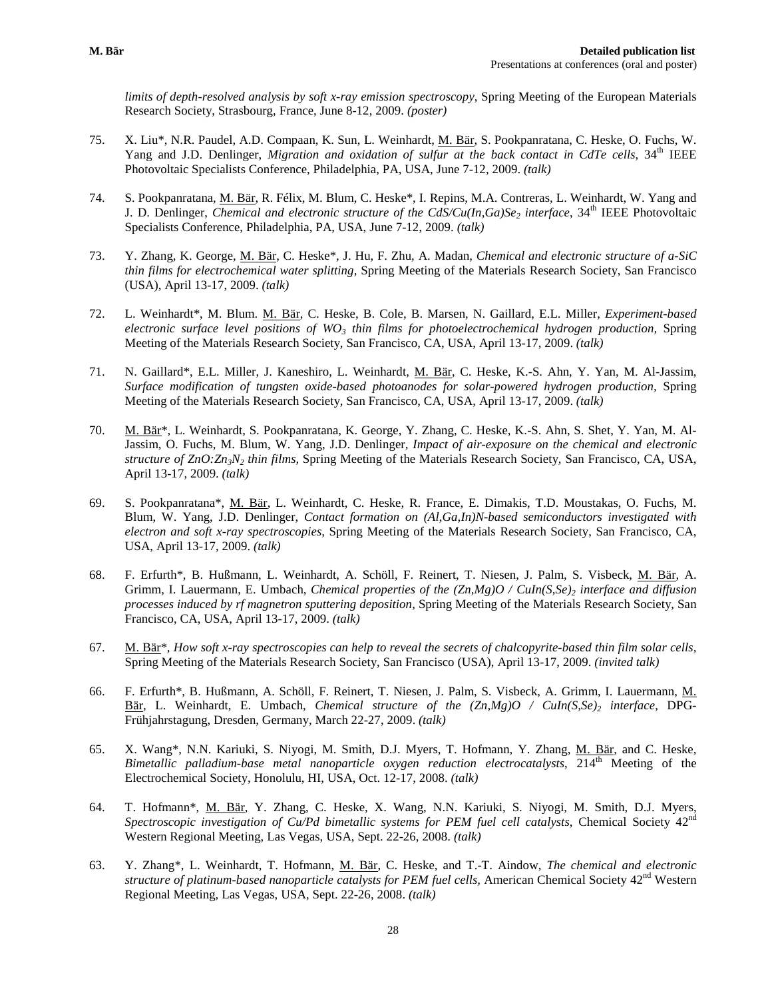*limits of depth-resolved analysis by soft x-ray emission spectroscopy*, Spring Meeting of the European Materials Research Society, Strasbourg, France, June 8-12, 2009. *(poster)*

- 75. X. Liu\*, N.R. Paudel, A.D. Compaan, K. Sun, L. Weinhardt, M. Bär, S. Pookpanratana, C. Heske, O. Fuchs, W. Yang and J.D. Denlinger, *Migration and oxidation of sulfur at the back contact in CdTe cells*, 34<sup>th</sup> IEEE Photovoltaic Specialists Conference, Philadelphia, PA, USA, June 7-12, 2009. *(talk)*
- 74. S. Pookpanratana, M. Bär, R. Félix, M. Blum, C. Heske\*, I. Repins, M.A. Contreras, L. Weinhardt, W. Yang and J. D. Denlinger, *Chemical and electronic structure of the CdS/Cu(In,Ga)Se<sub>2</sub> interface, 34<sup>th</sup> IEEE Photovoltaic* Specialists Conference, Philadelphia, PA, USA, June 7-12, 2009. *(talk)*
- 73. Y. Zhang, K. George, M. Bär, C. Heske\*, J. Hu, F. Zhu, A. Madan, *Chemical and electronic structure of a-SiC thin films for electrochemical water splitting,* Spring Meeting of the Materials Research Society, San Francisco (USA), April 13-17, 2009. *(talk)*
- 72. L. Weinhardt\*, M. Blum. M. Bär, C. Heske, B. Cole, B. Marsen, N. Gaillard, E.L. Miller, *Experiment-based electronic surface level positions of WO3 thin films for photoelectrochemical hydrogen production,* Spring Meeting of the Materials Research Society, San Francisco, CA, USA, April 13-17, 2009. *(talk)*
- 71. N. Gaillard\*, E.L. Miller, J. Kaneshiro, L. Weinhardt, M. Bär, C. Heske, K.-S. Ahn, Y. Yan, M. Al-Jassim, *Surface modification of tungsten oxide-based photoanodes for solar-powered hydrogen production,* Spring Meeting of the Materials Research Society, San Francisco, CA, USA, April 13-17, 2009. *(talk)*
- 70. M. Bär\*, L. Weinhardt, S. Pookpanratana, K. George, Y. Zhang, C. Heske, K.-S. Ahn, S. Shet, Y. Yan, M. Al-Jassim, O. Fuchs, M. Blum, W. Yang, J.D. Denlinger*, Impact of air-exposure on the chemical and electronic structure of ZnO:Zn3N2 thin films,* Spring Meeting of the Materials Research Society, San Francisco, CA, USA, April 13-17, 2009. *(talk)*
- 69. S. Pookpanratana\*, M. Bär, L. Weinhardt, C. Heske, R. France, E. Dimakis, T.D. Moustakas, O. Fuchs, M. Blum, W. Yang, J.D. Denlinger, *Contact formation on (Al,Ga,In)N-based semiconductors investigated with electron and soft x-ray spectroscopies,* Spring Meeting of the Materials Research Society, San Francisco, CA, USA, April 13-17, 2009. *(talk)*
- 68. F. Erfurth\*, B. Hußmann, L. Weinhardt, A. Schöll, F. Reinert, T. Niesen, J. Palm, S. Visbeck, M. Bär, A. Grimm, I. Lauermann, E. Umbach, *Chemical properties of the (Zn,Mg)O / CuIn(S,Se)<sub>2</sub> interface and diffusion processes induced by rf magnetron sputtering deposition,* Spring Meeting of the Materials Research Society, San Francisco, CA, USA, April 13-17, 2009. *(talk)*
- 67. M. Bär\*, *How soft x-ray spectroscopies can help to reveal the secrets of chalcopyrite-based thin film solar cells,*  Spring Meeting of the Materials Research Society, San Francisco (USA), April 13-17, 2009. *(invited talk)*
- 66. F. Erfurth\*, B. Hußmann, A. Schöll, F. Reinert, T. Niesen, J. Palm, S. Visbeck, A. Grimm, I. Lauermann, M. Bär, L. Weinhardt, E. Umbach, *Chemical structure of the*  $(Zn,Mg)O / Cuh(S,Se)$  *interface*, DPG-Frühjahrstagung, Dresden, Germany, March 22-27, 2009. *(talk)*
- 65. X. Wang\*, N.N. Kariuki, S. Niyogi, M. Smith, D.J. Myers, T. Hofmann, Y. Zhang, M. Bär, and C. Heske, *Bimetallic palladium-base metal nanoparticle oxygen reduction electrocatalysts*, 214<sup>th</sup> Meeting of the Electrochemical Society, Honolulu, HI, USA, Oct. 12-17, 2008. *(talk)*
- 64. T. Hofmann\*, M. Bär, Y. Zhang, C. Heske, X. Wang, N.N. Kariuki, S. Niyogi, M. Smith, D.J. Myers, *Spectroscopic investigation of Cu/Pd bimetallic systems for PEM fuel cell catalysts, Chemical Society 42<sup>nd</sup>* Western Regional Meeting, Las Vegas, USA, Sept. 22-26, 2008. *(talk)*
- 63. Y. Zhang\*, L. Weinhardt, T. Hofmann, M. Bär, C. Heske, and T.-T. Aindow, *The chemical and electronic structure of platinum-based nanoparticle catalysts for PEM fuel cells, American Chemical Society* 42<sup>nd</sup> Western Regional Meeting, Las Vegas, USA, Sept. 22-26, 2008. *(talk)*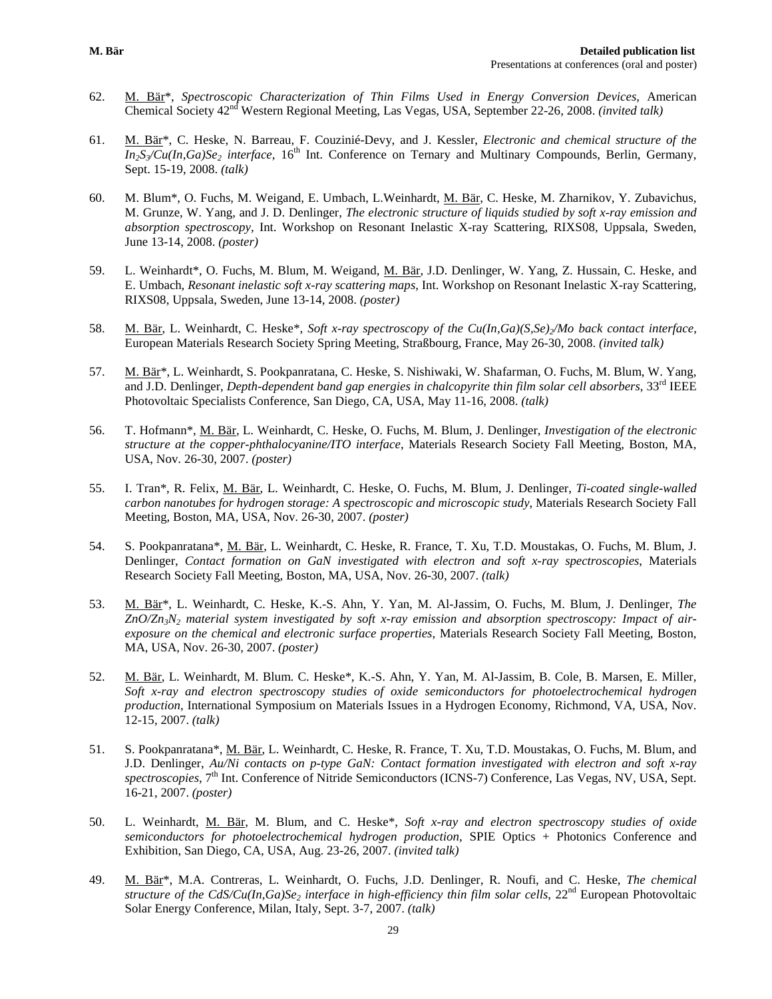- 62. M. Bär\*, *Spectroscopic Characterization of Thin Films Used in Energy Conversion Devices*, American Chemical Society 42nd Western Regional Meeting, Las Vegas, USA, September 22-26, 2008. *(invited talk)*
- 61. M. Bär\*, C. Heske, N. Barreau, F. Couzinié-Devy, and J. Kessler, *Electronic and chemical structure of the*   $In_2S\$ u(In,Ga)Se<sub>2</sub> interface, 16<sup>th</sup> Int. Conference on Ternary and Multinary Compounds, Berlin, Germany, Sept. 15-19, 2008. *(talk)*
- 60. M. Blum\*, O. Fuchs, M. Weigand, E. Umbach, L.Weinhardt, M. Bär, C. Heske, M. Zharnikov, Y. Zubavichus, M. Grunze*,* W. Yang, and J. D. Denlinger, *The electronic structure of liquids studied by soft x-ray emission and absorption spectroscopy,* Int. Workshop on Resonant Inelastic X-ray Scattering, RIXS08, Uppsala, Sweden, June 13-14, 2008. *(poster)*
- 59. L. Weinhardt\*, O. Fuchs, M. Blum, M. Weigand, M. Bär, J.D. Denlinger, W. Yang, Z. Hussain, C. Heske, and E. Umbach, *Resonant inelastic soft x-ray scattering maps*, Int. Workshop on Resonant Inelastic X-ray Scattering, RIXS08, Uppsala, Sweden, June 13-14, 2008. *(poster)*
- 58. M. Bär, L. Weinhardt, C. Heske\*, *Soft x-ray spectroscopy of the Cu(In,Ga)(S,Se)/Mo back contact interface*, European Materials Research Society Spring Meeting, Straßbourg, France, May 26-30, 2008. *(invited talk)*
- 57. M. Bär\*, L. Weinhardt, S. Pookpanratana, C. Heske, S. Nishiwaki, W. Shafarman, O. Fuchs, M. Blum, W. Yang, and J.D. Denlinger, *Depth-dependent band gap energies in chalcopyrite thin film solar cell absorbers*, 33<sup>rd</sup> IEEE Photovoltaic Specialists Conference, San Diego, CA, USA, May 11-16, 2008. *(talk)*
- 56. T. Hofmann\*, M. Bär, L. Weinhardt, C. Heske, O. Fuchs, M. Blum, J. Denlinger, *Investigation of the electronic structure at the copper-phthalocyanine/ITO interface*, Materials Research Society Fall Meeting, Boston, MA, USA, Nov. 26-30, 2007. *(poster)*
- 55. I. Tran\*, R. Felix, M. Bär, L. Weinhardt, C. Heske, O. Fuchs, M. Blum, J. Denlinger, *Ti-coated single-walled carbon nanotubes for hydrogen storage: A spectroscopic and microscopic study*, Materials Research Society Fall Meeting, Boston, MA, USA, Nov. 26-30, 2007. *(poster)*
- 54. S. Pookpanratana\*, M. Bär, L. Weinhardt, C. Heske, R. France, T. Xu, T.D. Moustakas, O. Fuchs, M. Blum, J. Denlinger, *Contact formation on GaN investigated with electron and soft x-ray spectroscopies*, Materials Research Society Fall Meeting, Boston, MA, USA, Nov. 26-30, 2007. *(talk)*
- 53. M. Bär\*, L. Weinhardt, C. Heske, K.-S. Ahn, Y. Yan, M. Al-Jassim, O. Fuchs, M. Blum, J. Denlinger, *The ZnO/Zn3N2 material system investigated by soft x-ray emission and absorption spectroscopy: Impact of airexposure on the chemical and electronic surface properties*, Materials Research Society Fall Meeting, Boston, MA, USA, Nov. 26-30, 2007. *(poster)*
- 52. M. Bär, L. Weinhardt, M. Blum. C. Heske\*, K.-S. Ahn, Y. Yan, M. Al-Jassim, B. Cole, B. Marsen, E. Miller, *Soft x-ray and electron spectroscopy studies of oxide semiconductors for photoelectrochemical hydrogen production*, International Symposium on Materials Issues in a Hydrogen Economy, Richmond, VA, USA, Nov. 12-15, 2007. *(talk)*
- 51. S. Pookpanratana\*, M. Bär, L. Weinhardt, C. Heske, R. France, T. Xu, T.D. Moustakas, O. Fuchs, M. Blum, and J.D. Denlinger, *Au/Ni contacts on p-type GaN: Contact formation investigated with electron and soft x-ray spectroscopies*, 7th Int. Conference of Nitride Semiconductors (ICNS-7) Conference, Las Vegas, NV, USA, Sept. 16-21, 2007. *(poster)*
- 50. L. Weinhardt, M. Bär, M. Blum, and C. Heske\*, *Soft x-ray and electron spectroscopy studies of oxide semiconductors for photoelectrochemical hydrogen production*, SPIE Optics + Photonics Conference and Exhibition, San Diego, CA, USA, Aug. 23-26, 2007. *(invited talk)*
- 49. M. Bär\*, M.A. Contreras, L. Weinhardt, O. Fuchs, J.D. Denlinger, R. Noufi, and C. Heske, *The chemical structure of the CdS/Cu(In,Ga)Se<sub>2</sub> interface in high-efficiency thin film solar cells, 22<sup>nd</sup> European Photovoltaic* Solar Energy Conference, Milan, Italy, Sept. 3-7, 2007. *(talk)*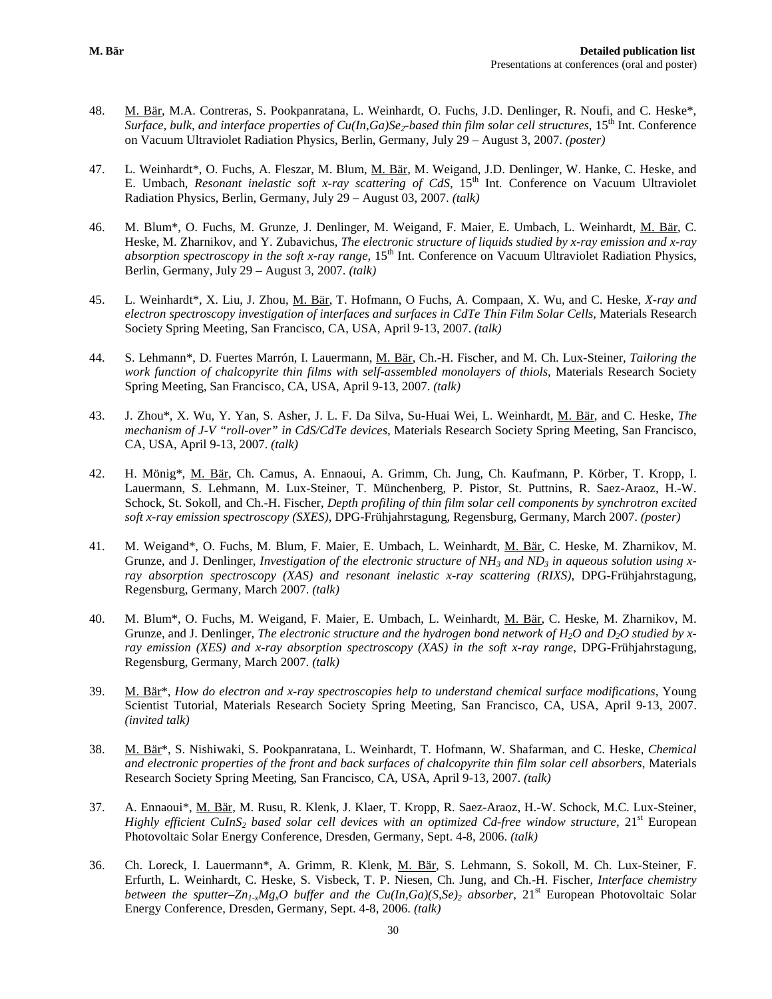- 48. M. Bär, M.A. Contreras, S. Pookpanratana, L. Weinhardt, O. Fuchs, J.D. Denlinger, R. Noufi, and C. Heske\*, *Surface, bulk, and interface properties of Cu(In,Ga)Se<sub>2</sub>-based thin film solar cell structures, 15<sup>th</sup> Int. Conference* on Vacuum Ultraviolet Radiation Physics, Berlin, Germany, July 29 – August 3, 2007. *(poster)*
- 47. L. Weinhardt\*, O. Fuchs, A. Fleszar, M. Blum, M. Bär, M. Weigand, J.D. Denlinger, W. Hanke, C. Heske, and E. Umbach, *Resonant inelastic soft x-ray scattering of CdS*, 15th Int. Conference on Vacuum Ultraviolet Radiation Physics, Berlin, Germany, July 29 – August 03, 2007. *(talk)*
- 46. M. Blum\*, O. Fuchs, M. Grunze, J. Denlinger, M. Weigand, F. Maier, E. Umbach, L. Weinhardt, M. Bär, C. Heske, M. Zharnikov, and Y. Zubavichus, *The electronic structure of liquids studied by x-ray emission and x-ray absorption spectroscopy in the soft x-ray range*, 15<sup>th</sup> Int. Conference on Vacuum Ultraviolet Radiation Physics, Berlin, Germany, July 29 – August 3, 2007. *(talk)*
- 45. L. Weinhardt\*, X. Liu, J. Zhou, M. Bär, T. Hofmann, O Fuchs, A. Compaan, X. Wu, and C. Heske, *X-ray and electron spectroscopy investigation of interfaces and surfaces in CdTe Thin Film Solar Cells,* Materials Research Society Spring Meeting, San Francisco, CA, USA, April 9-13, 2007. *(talk)*
- 44. S. Lehmann\*, D. Fuertes Marrón, I. Lauermann, M. Bär, Ch.-H. Fischer, and M. Ch. Lux-Steiner, *Tailoring the work function of chalcopyrite thin films with self-assembled monolayers of thiols*, Materials Research Society Spring Meeting, San Francisco, CA, USA, April 9-13, 2007. *(talk)*
- 43. J. Zhou\*, X. Wu, Y. Yan, S. Asher, J. L. F. Da Silva, Su-Huai Wei, L. Weinhardt, M. Bär, and C. Heske, *The mechanism of J-V "roll-over" in CdS/CdTe devices,* Materials Research Society Spring Meeting, San Francisco, CA, USA, April 9-13, 2007. *(talk)*
- 42. H. Mönig\*, M. Bär, Ch. Camus, A. Ennaoui, A. Grimm, Ch. Jung, Ch. Kaufmann, P. Körber, T. Kropp, I. Lauermann, S. Lehmann, M. Lux-Steiner, T. Münchenberg, P. Pistor, St. Puttnins, R. Saez-Araoz, H.-W. Schock, St. Sokoll, and Ch.-H. Fischer, *Depth profiling of thin film solar cell components by synchrotron excited soft x-ray emission spectroscopy (SXES)*, DPG-Frühjahrstagung*,* Regensburg, Germany, March 2007. *(poster)*
- 41. M. Weigand\*, O. Fuchs, M. Blum, F. Maier, E. Umbach, L. Weinhardt, M. Bär, C. Heske, M. Zharnikov, M. Grunze, and J. Denlinger, *Investigation of the electronic structure of NH<sub>3</sub> and ND<sub>3</sub> in aqueous solution using xray absorption spectroscopy (XAS) and resonant inelastic x-ray scattering (RIXS)*, DPG-Frühjahrstagung*,* Regensburg, Germany, March 2007. *(talk)*
- 40. M. Blum\*, O. Fuchs, M. Weigand, F. Maier, E. Umbach, L. Weinhardt, M. Bär, C. Heske, M. Zharnikov, M. Grunze, and J. Denlinger, *The electronic structure and the hydrogen bond network of H<sub>2</sub>O and D<sub>2</sub>O studied by xray emission (XES) and x-ray absorption spectroscopy (XAS) in the soft x-ray range*, DPG-Frühjahrstagung*,* Regensburg, Germany, March 2007. *(talk)*
- 39. M. Bär\*, *How do electron and x-ray spectroscopies help to understand chemical surface modifications*, Young Scientist Tutorial, Materials Research Society Spring Meeting, San Francisco, CA, USA, April 9-13, 2007. *(invited talk)*
- 38. M. Bär\*, S. Nishiwaki, S. Pookpanratana, L. Weinhardt, T. Hofmann, W. Shafarman, and C. Heske, *Chemical and electronic properties of the front and back surfaces of chalcopyrite thin film solar cell absorbers*, Materials Research Society Spring Meeting, San Francisco, CA, USA, April 9-13, 2007. *(talk)*
- 37. A. Ennaoui\*, M. Bär, M. Rusu, R. Klenk, J. Klaer, T. Kropp, R. Saez-Araoz, H.-W. Schock, M.C. Lux-Steiner, *Highly efficient CuInS<sub>2</sub> based solar cell devices with an optimized Cd-free window structure*, 21<sup>st</sup> European Photovoltaic Solar Energy Conference, Dresden, Germany, Sept. 4-8, 2006. *(talk)*
- 36. Ch. Loreck, I. Lauermann\*, A. Grimm, R. Klenk, M. Bär, S. Lehmann, S. Sokoll, M. Ch. Lux-Steiner, F. Erfurth, L. Weinhardt, C. Heske, S. Visbeck, T. P. Niesen, Ch. Jung, and Ch.-H. Fischer, *Interface chemistry between the sputter–Zn<sub>1-x</sub>Mg<sub>x</sub>O buffer and the Cu(In,Ga)(S,Se)<sub>2</sub> <i>absorber*, 21<sup>st</sup> European Photovoltaic Solar Energy Conference, Dresden, Germany, Sept. 4-8, 2006. *(talk)*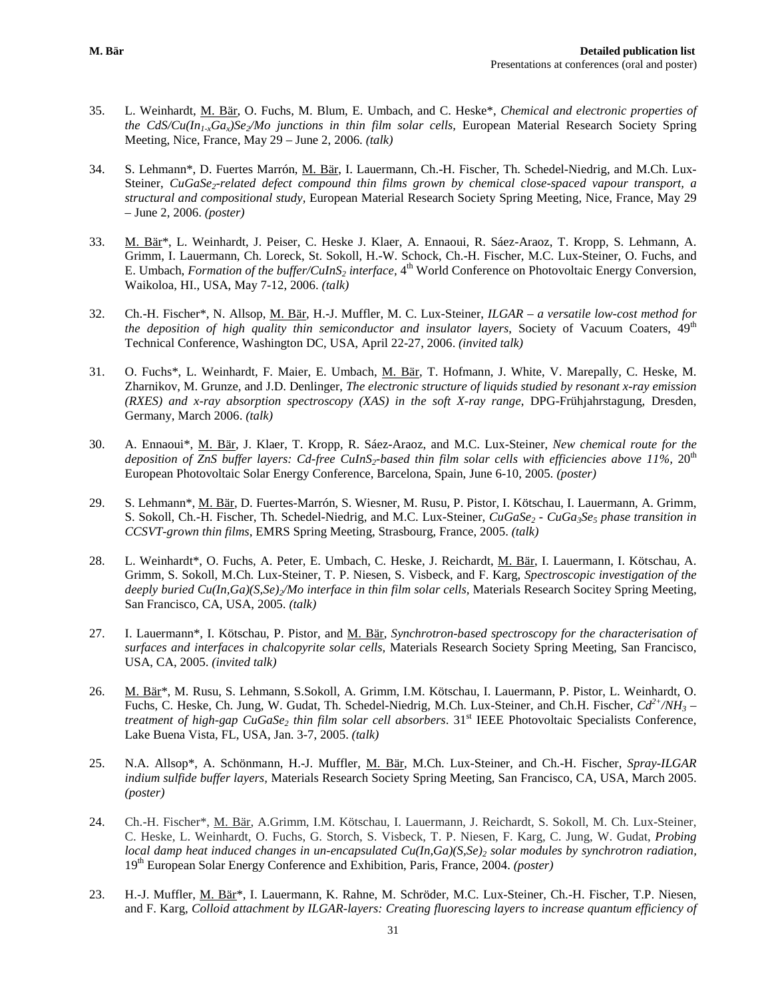- 35. L. Weinhardt, M. Bär, O. Fuchs, M. Blum, E. Umbach, and C. Heske\*, *Chemical and electronic properties of the CdS/Cu(In1-xGax)Se2/Mo junctions in thin film solar cells,* European Material Research Society Spring Meeting, Nice, France, May 29 – June 2, 2006. *(talk)*
- 34. S. Lehmann\*, D. Fuertes Marrón, M. Bär, I. Lauermann, Ch.-H. Fischer, Th. Schedel-Niedrig, and M.Ch. Lux-Steiner, *CuGaSe<sub>2</sub>-related defect compound thin films grown by chemical close-spaced vapour transport, a structural and compositional study,* European Material Research Society Spring Meeting, Nice, France, May 29 – June 2, 2006. *(poster)*
- 33. M. Bär\*, L. Weinhardt, J. Peiser, C. Heske J. Klaer, A. Ennaoui, R. Sáez-Araoz, T. Kropp, S. Lehmann, A. Grimm, I. Lauermann, Ch. Loreck, St. Sokoll, H.-W. Schock, Ch.-H. Fischer, M.C. Lux-Steiner, O. Fuchs, and E. Umbach, *Formation of the buffer/CuInS<sub>2</sub> interface*, 4<sup>th</sup> World Conference on Photovoltaic Energy Conversion, Waikoloa, HI., USA, May 7-12, 2006. *(talk)*
- 32. Ch.-H. Fischer\*, N. Allsop, M. Bär, H.-J. Muffler, M. C. Lux-Steiner, *ILGAR – a versatile low-cost method for the deposition of high quality thin semiconductor and insulator layers*, Society of Vacuum Coaters, 49<sup>th</sup> Technical Conference, Washington DC, USA, April 22-27, 2006. *(invited talk)*
- 31. O. Fuchs\*, L. Weinhardt, F. Maier, E. Umbach, M. Bär, T. Hofmann, J. White, V. Marepally, C. Heske, M. Zharnikov, M. Grunze, and J.D. Denlinger, *The electronic structure of liquids studied by resonant x-ray emission (RXES) and x-ray absorption spectroscopy (XAS) in the soft X-ray range*, DPG-Frühjahrstagung*,* Dresden, Germany, March 2006. *(talk)*
- 30. A. Ennaoui\*, M. Bär, J. Klaer, T. Kropp, R. Sáez-Araoz, and M.C. Lux-Steiner, *New chemical route for the*  deposition of ZnS buffer layers: Cd-free CuInS<sub>2</sub>-based thin film solar cells with efficiencies above 11%, 20<sup>th</sup> European Photovoltaic Solar Energy Conference, Barcelona, Spain, June 6-10, 2005*. (poster)*
- 29. S. Lehmann\*, M. Bär, D. Fuertes-Marrón, S. Wiesner, M. Rusu, P. Pistor, I. Kötschau, I. Lauermann, A. Grimm, S. Sokoll, Ch.-H. Fischer, Th. Schedel-Niedrig, and M.C. Lux-Steiner, *CuGaSe<sub>2</sub> - CuGa<sub>3</sub>Se<sub>5</sub> phase transition in CCSVT-grown thin films*, EMRS Spring Meeting, Strasbourg, France, 2005. *(talk)*
- 28. L. Weinhardt\*, O. Fuchs, A. Peter, E. Umbach, C. Heske, J. Reichardt, M. Bär, I. Lauermann, I. Kötschau, A. Grimm, S. Sokoll, M.Ch. Lux-Steiner, T. P. Niesen, S. Visbeck, and F. Karg, *Spectroscopic investigation of the deeply buried Cu(In,Ga)(S,Se)<sub>2</sub>/Mo interface in thin film solar cells, Materials Research Socitey Spring Meeting,* San Francisco, CA, USA, 2005. *(talk)*
- 27. I. Lauermann\*, I. Kötschau, P. Pistor, and M. Bär, *Synchrotron-based spectroscopy for the characterisation of surfaces and interfaces in chalcopyrite solar cells,* Materials Research Society Spring Meeting, San Francisco, USA, CA, 2005. *(invited talk)*
- 26. M. Bär\*, M. Rusu, S. Lehmann, S.Sokoll, A. Grimm, I.M. Kötschau, I. Lauermann, P. Pistor, L. Weinhardt, O. Fuchs, C. Heske, Ch. Jung, W. Gudat, Th. Schedel-Niedrig, M.Ch. Lux-Steiner, and Ch.H. Fischer, *Cd2+/NH3 – treatment of high-gap CuGaSe<sub>2</sub> thin film solar cell absorbers*. 31<sup>st</sup> IEEE Photovoltaic Specialists Conference, Lake Buena Vista, FL, USA, Jan. 3-7, 2005. *(talk)*
- 25. N.A. Allsop\*, A. Schönmann, H.-J. Muffler, M. Bär, M.Ch. Lux-Steiner, and Ch.-H. Fischer, *Spray-ILGAR indium sulfide buffer layers,* Materials Research Society Spring Meeting, San Francisco, CA, USA, March 2005. *(poster)*
- 24. Ch.-H. Fischer\*, M. Bär, A.Grimm, I.M. Kötschau, I. Lauermann, J. Reichardt, S. Sokoll, M. Ch. Lux-Steiner, C. Heske, L. Weinhardt, O. Fuchs, G. Storch, S. Visbeck, T. P. Niesen, F. Karg, C. Jung, W. Gudat, *Probing local damp heat induced changes in un-encapsulated Cu(In,Ga)(S,Se)<sub>2</sub> solar modules by synchrotron radiation,* 19th European Solar Energy Conference and Exhibition, Paris, France, 2004. *(poster)*
- 23. H.-J. Muffler, M. Bär\*, I. Lauermann, K. Rahne, M. Schröder, M.C. Lux-Steiner, Ch.-H. Fischer, T.P. Niesen, and F. Karg, *Colloid attachment by ILGAR-layers: Creating fluorescing layers to increase quantum efficiency of*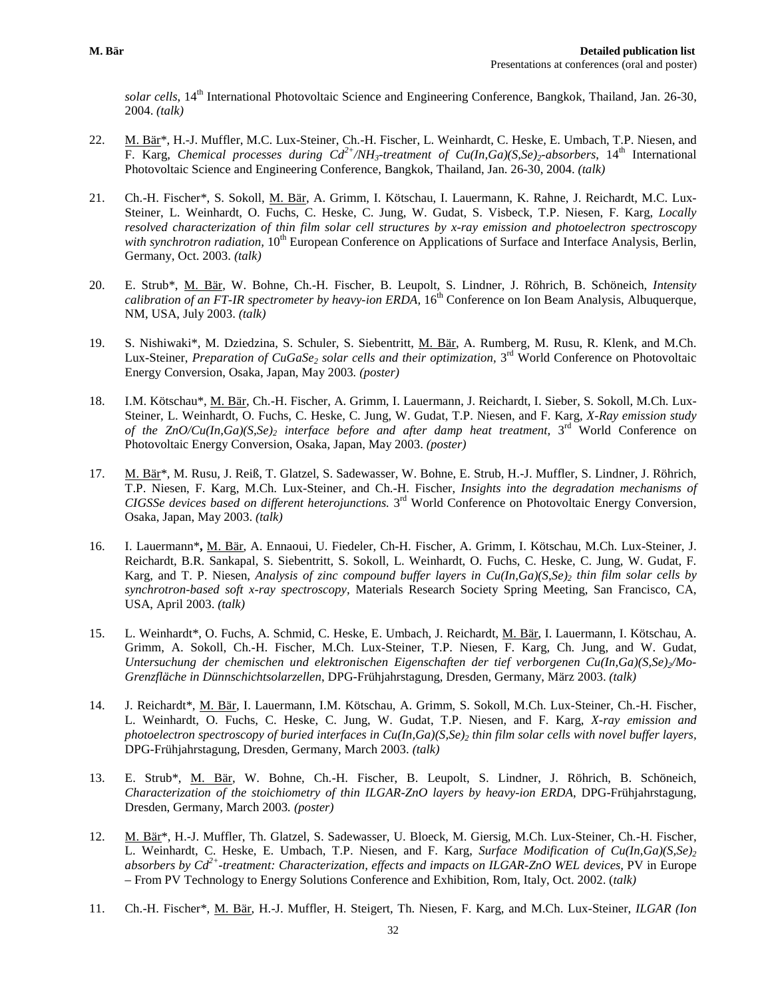*solar cells*, 14th International Photovoltaic Science and Engineering Conference, Bangkok, Thailand, Jan. 26-30, 2004. *(talk)*

- 22. M. Bär<sup>\*</sup>, H.-J. Muffler, M.C. Lux-Steiner, Ch.-H. Fischer, L. Weinhardt, C. Heske, E. Umbach, T.P. Niesen, and F. Karg, *Chemical processes during*  $Cd^2/MH_3$ *-treatment of*  $Cu(In, Ga)(S,Se)_2-absorbers, 14<sup>th</sup> International$ Photovoltaic Science and Engineering Conference, Bangkok, Thailand, Jan. 26-30, 2004. *(talk)*
- 21. Ch.-H. Fischer\*, S. Sokoll, M. Bär, A. Grimm, I. Kötschau, I. Lauermann, K. Rahne, J. Reichardt, M.C. Lux-Steiner, L. Weinhardt, O. Fuchs, C. Heske, C. Jung, W. Gudat, S. Visbeck, T.P. Niesen, F. Karg, *Locally resolved characterization of thin film solar cell structures by x-ray emission and photoelectron spectroscopy with synchrotron radiation,* 10<sup>th</sup> European Conference on Applications of Surface and Interface Analysis, Berlin, Germany, Oct. 2003. *(talk)*
- 20. E. Strub\*, M. Bär, W. Bohne, Ch.-H. Fischer, B. Leupolt, S. Lindner, J. Röhrich, B. Schöneich, *Intensity calibration of an FT-IR spectrometer by heavy-ion ERDA*, 16<sup>th</sup> Conference on Ion Beam Analysis, Albuquerque, NM, USA, July 2003. *(talk)*
- 19. S. Nishiwaki\*, M. Dziedzina, S. Schuler, S. Siebentritt, M. Bär, A. Rumberg, M. Rusu, R. Klenk, and M.Ch. Lux-Steiner, *Preparation of CuGaSe<sub>2</sub> solar cells and their optimization*, 3<sup>rd</sup> World Conference on Photovoltaic Energy Conversion, Osaka, Japan, May 2003*. (poster)*
- 18. I.M. Kötschau\*, M. Bär, Ch.-H. Fischer, A. Grimm, I. Lauermann, J. Reichardt, I. Sieber, S. Sokoll, M.Ch. Lux-Steiner, L. Weinhardt, O. Fuchs, C. Heske, C. Jung, W. Gudat, T.P. Niesen, and F. Karg, *X-Ray emission study of the ZnO/Cu(In,Ga)(S,Se)2 interface before and after damp heat treatment,* 3rd World Conference on Photovoltaic Energy Conversion, Osaka, Japan, May 2003. *(poster)*
- 17. M. Bär\*, M. Rusu, J. Reiß, T. Glatzel, S. Sadewasser, W. Bohne, E. Strub, H.-J. Muffler, S. Lindner, J. Röhrich, T.P. Niesen, F. Karg, M.Ch. Lux-Steiner, and Ch.-H. Fischer, *Insights into the degradation mechanisms of CIGSSe devices based on different heterojunctions.* 3rd World Conference on Photovoltaic Energy Conversion, Osaka, Japan, May 2003. *(talk)*
- 16. I. Lauermann\***,** M. Bär, A. Ennaoui, U. Fiedeler, Ch-H. Fischer, A. Grimm, I. Kötschau, M.Ch. Lux-Steiner, J. Reichardt, B.R. Sankapal, S. Siebentritt, S. Sokoll, L. Weinhardt, O. Fuchs, C. Heske, C. Jung, W. Gudat, F. Karg, and T. P. Niesen, *Analysis of zinc compound buffer layers in Cu(In,Ga)(S,Se)<sub>2</sub> thin film solar cells by synchrotron-based soft x-ray spectroscopy,* Materials Research Society Spring Meeting, San Francisco, CA, USA, April 2003. *(talk)*
- 15. L. Weinhardt\*, O. Fuchs, A. Schmid, C. Heske, E. Umbach, J. Reichardt, M. Bär, I. Lauermann, I. Kötschau, A. Grimm, A. Sokoll, Ch.-H. Fischer, M.Ch. Lux-Steiner, T.P. Niesen, F. Karg, Ch. Jung, and W. Gudat, Untersuchung der chemischen und elektronischen Eigenschaften der tief verborgenen Cu(In,Ga)(S,Se)<sub>2</sub>/Mo-*Grenzfläche in Dünnschichtsolarzellen*, DPG-Frühjahrstagung, Dresden, Germany, März 2003. *(talk)*
- 14. J. Reichardt\*, M. Bär, I. Lauermann, I.M. Kötschau, A. Grimm, S. Sokoll, M.Ch. Lux-Steiner, Ch.-H. Fischer, L. Weinhardt, O. Fuchs, C. Heske, C. Jung, W. Gudat, T.P. Niesen, and F. Karg, *X-ray emission and photoelectron spectroscopy of buried interfaces in Cu(In,Ga)(S,Se)<sub>2</sub> <i>thin film solar cells with novel buffer layers,* DPG-Frühjahrstagung*,* Dresden, Germany, March 2003. *(talk)*
- 13. E. Strub\*, M. Bär, W. Bohne, Ch.-H. Fischer, B. Leupolt, S. Lindner, J. Röhrich, B. Schöneich, *Characterization of the stoichiometry of thin ILGAR-ZnO layers by heavy-ion ERDA*, DPG-Frühjahrstagung*,* Dresden, Germany, March 2003*. (poster)*
- 12. M. Bär\*, H.-J. Muffler, Th. Glatzel, S. Sadewasser, U. Bloeck, M. Giersig, M.Ch. Lux-Steiner, Ch.-H. Fischer, L. Weinhardt, C. Heske, E. Umbach, T.P. Niesen, and F. Karg, *Surface Modification of Cu(In,Ga)(S,Se)*<sub>2</sub> *absorbers by Cd2+-treatment: Characterization, effects and impacts on ILGAR-ZnO WEL devices,* PV in Europe – From PV Technology to Energy Solutions Conference and Exhibition, Rom, Italy, Oct. 2002. (*talk)*
- 11. Ch.-H. Fischer\*, M. Bär, H.-J. Muffler, H. Steigert, Th. Niesen, F. Karg, and M.Ch. Lux-Steiner, *ILGAR (Ion*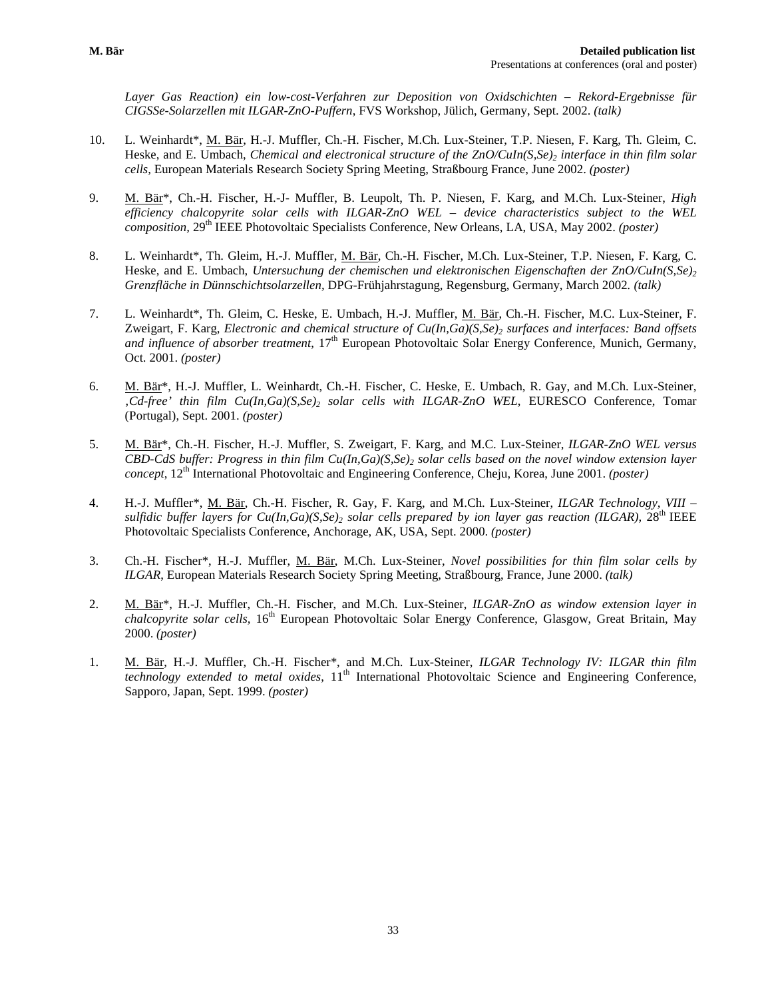*Layer Gas Reaction) ein low-cost-Verfahren zur Deposition von Oxidschichten – Rekord-Ergebnisse für CIGSSe-Solarzellen mit ILGAR-ZnO-Puffern*, FVS Workshop, Jülich, Germany, Sept. 2002. *(talk)*

- 10. L. Weinhardt\*, M. Bär, H.-J. Muffler, Ch.-H. Fischer, M.Ch. Lux-Steiner, T.P. Niesen, F. Karg, Th. Gleim, C. Heske, and E. Umbach, *Chemical and electronical structure of the ZnO/CuIn(S,Se)z interface in thin film solar cells,* European Materials Research Society Spring Meeting, Straßbourg France, June 2002. *(poster)*
- 9. M. Bär\*, Ch.-H. Fischer, H.-J- Muffler, B. Leupolt, Th. P. Niesen, F. Karg, and M.Ch. Lux-Steiner, *High efficiency chalcopyrite solar cells with ILGAR-ZnO WEL – device characteristics subject to the WEL composition,* 29th IEEE Photovoltaic Specialists Conference, New Orleans, LA, USA, May 2002. *(poster)*
- 8. L. Weinhardt\*, Th. Gleim, H.-J. Muffler, M. Bär, Ch.-H. Fischer, M.Ch. Lux-Steiner, T.P. Niesen, F. Karg, C. Heske, and E. Umbach, *Untersuchung der chemischen und elektronischen Eigenschaften der ZnO/CuIn(S,Se)*<sub>2</sub> *Grenzfläche in Dünnschichtsolarzellen,* DPG-Frühjahrstagung*,* Regensburg, Germany, March 2002*. (talk)*
- 7. L. Weinhardt\*, Th. Gleim, C. Heske, E. Umbach, H.-J. Muffler, M. Bär, Ch.-H. Fischer, M.C. Lux-Steiner, F. Zweigart, F. Karg, *Electronic and chemical structure of Cu(In,Ga)(S,Se)<sub>2</sub> surfaces and interfaces: Band offsets and influence of absorber treatment*, 17<sup>th</sup> European Photovoltaic Solar Energy Conference, Munich, Germany, Oct. 2001. *(poster)*
- 6. M. Bär\*, H.-J. Muffler, L. Weinhardt, Ch.-H. Fischer, C. Heske, E. Umbach, R. Gay, and M.Ch. Lux-Steiner, *'Cd-free' thin film Cu(In,Ga)(S,Se)2 solar cells with ILGAR-ZnO WEL*, EURESCO Conference, Tomar (Portugal), Sept. 2001. *(poster)*
- 5. M. Bär\*, Ch.-H. Fischer, H.-J. Muffler, S. Zweigart, F. Karg, and M.C. Lux-Steiner, *ILGAR-ZnO WEL versus CBD-CdS buffer: Progress in thin film Cu(In,Ga)(S,Se)<sub>2</sub> solar cells based on the novel window extension layer concept*, 12<sup>th</sup> International Photovoltaic and Engineering Conference, Cheju, Korea, June 2001. *(poster)*
- 4. H.-J. Muffler\*, M. Bär, Ch.-H. Fischer, R. Gay, F. Karg, and M.Ch. Lux-Steiner, *ILGAR Technology, VIII – sulfidic buffer layers for Cu(In,Ga)(S,Se)<sub>2</sub> solar cells prepared by ion layer gas reaction (ILGAR),*  $28<sup>th</sup> IEEE$ Photovoltaic Specialists Conference, Anchorage, AK, USA, Sept. 2000. *(poster)*
- 3. Ch.-H. Fischer\*, H.-J. Muffler, M. Bär, M.Ch. Lux-Steiner, *Novel possibilities for thin film solar cells by ILGAR*, European Materials Research Society Spring Meeting, Straßbourg, France, June 2000. *(talk)*
- 2. M. Bär\*, H.-J. Muffler, Ch.-H. Fischer, and M.Ch. Lux-Steiner, *ILGAR-ZnO as window extension layer in chalcopyrite solar cells,* 16th European Photovoltaic Solar Energy Conference, Glasgow, Great Britain, May 2000. *(poster)*
- 1. M. Bär, H.-J. Muffler, Ch.-H. Fischer\*, and M.Ch. Lux-Steiner, *ILGAR Technology IV: ILGAR thin film technology extended to metal oxides*,  $11<sup>th</sup>$  International Photovoltaic Science and Engineering Conference, Sapporo, Japan, Sept. 1999. *(poster)*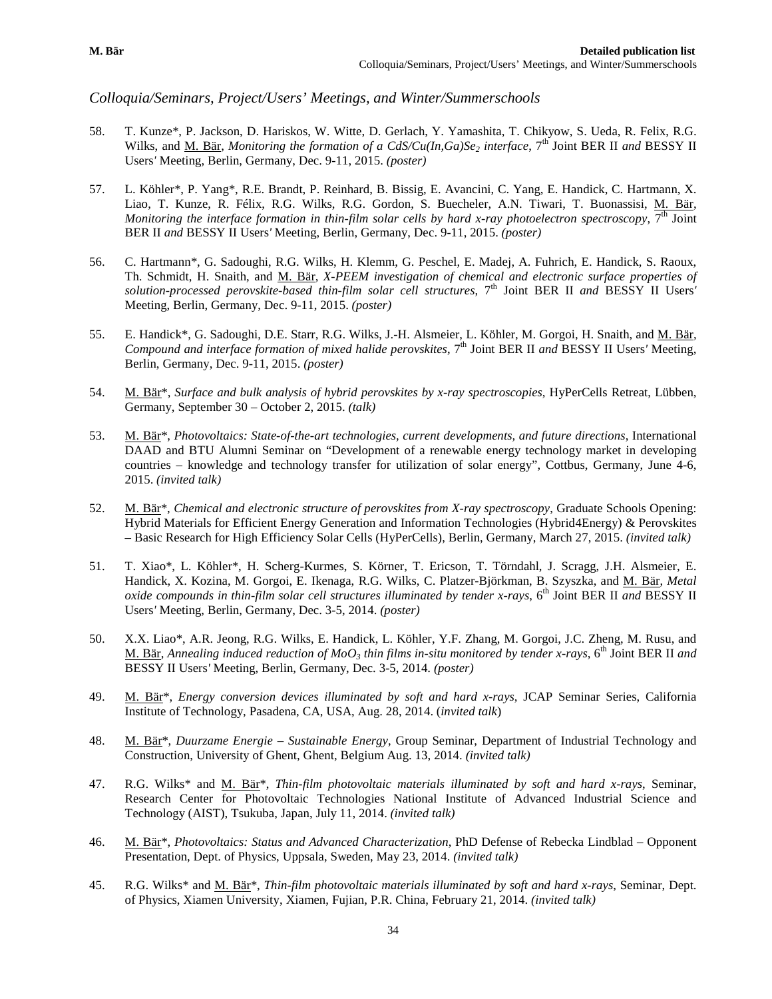*Colloquia/Seminars, Project/Users' Meetings, and Winter/Summerschools* 

- 58. T. Kunze\*, P. Jackson, D. Hariskos, W. Witte, D. Gerlach, Y. Yamashita, T. Chikyow, S. Ueda, R. Felix, R.G. Wilks, and M. Bär, *Monitoring the formation of a CdS/Cu(In,Ga)Se<sub>2</sub> interface*, 7<sup>th</sup> Joint BER II *and* BESSY II Users*'* Meeting, Berlin, Germany, Dec. 9-11, 2015. *(poster)*
- 57. L. Köhler\*, P. Yang\*, R.E. Brandt, P. Reinhard, B. Bissig, E. Avancini, C. Yang, E. Handick, C. Hartmann, X. Liao, T. Kunze, R. Félix, R.G. Wilks, R.G. Gordon, S. Buecheler, A.N. Tiwari, T. Buonassisi, M. Bär, *Monitoring the interface formation in thin-film solar cells by hard x-ray photoelectron spectroscopy*,  $\overline{7^{th}}$  Joint BER II *and* BESSY II Users*'* Meeting, Berlin, Germany, Dec. 9-11, 2015. *(poster)*
- 56. C. Hartmann\*, G. Sadoughi, R.G. Wilks, H. Klemm, G. Peschel, E. Madej, A. Fuhrich, E. Handick, S. Raoux, Th. Schmidt, H. Snaith, and M. Bär, *X-PEEM investigation of chemical and electronic surface properties of solution-processed perovskite-based thin-film solar cell structures*, 7th Joint BER II *and* BESSY II Users*'*  Meeting, Berlin, Germany, Dec. 9-11, 2015. *(poster)*
- 55. E. Handick\*, G. Sadoughi, D.E. Starr, R.G. Wilks, J.-H. Alsmeier, L. Köhler, M. Gorgoi, H. Snaith, and M. Bär, *Compound and interface formation of mixed halide perovskites,* 7<sup>th</sup> Joint BER II *and* BESSY II Users' Meeting, Berlin, Germany, Dec. 9-11, 2015. *(poster)*
- 54. M. Bär\*, *Surface and bulk analysis of hybrid perovskites by x-ray spectroscopies*, HyPerCells Retreat, Lübben, Germany, September 30 – October 2, 2015. *(talk)*
- 53. M. Bär\*, *Photovoltaics: State-of-the-art technologies, current developments, and future directions*, International DAAD and BTU Alumni Seminar on "Development of a renewable energy technology market in developing countries – knowledge and technology transfer for utilization of solar energy", Cottbus, Germany, June 4-6, 2015. *(invited talk)*
- 52. M. Bär\*, *Chemical and electronic structure of perovskites from X-ray spectroscopy*, Graduate Schools Opening: Hybrid Materials for Efficient Energy Generation and Information Technologies (Hybrid4Energy) & Perovskites – Basic Research for High Efficiency Solar Cells (HyPerCells), Berlin, Germany, March 27, 2015. *(invited talk)*
- 51. T. Xiao\*, L. Köhler\*, H. Scherg-Kurmes, S. Körner, T. Ericson, T. Törndahl, J. Scragg, J.H. Alsmeier, E. Handick, X. Kozina, M. Gorgoi, E. Ikenaga, R.G. Wilks, C. Platzer-Björkman, B. Szyszka, and M. Bär, *Metal oxide compounds in thin-film solar cell structures illuminated by tender x-rays*, 6<sup>th</sup> Joint BER II *and* BESSY II Users*'* Meeting, Berlin, Germany, Dec. 3-5, 2014. *(poster)*
- 50. X.X. Liao\*, A.R. Jeong, R.G. Wilks, E. Handick, L. Köhler, Y.F. Zhang, M. Gorgoi, J.C. Zheng, M. Rusu, and M. Bär, *Annealing induced reduction of MoO3 thin films in-situ monitored by tender x-rays*, 6th Joint BER II *and*  BESSY II Users*'* Meeting, Berlin, Germany, Dec. 3-5, 2014. *(poster)*
- 49. M. Bär\*, *Energy conversion devices illuminated by soft and hard x-rays*, JCAP Seminar Series, California Institute of Technology, Pasadena, CA, USA, Aug. 28, 2014. (*invited talk*)
- 48. M. Bär\*, *Duurzame Energie – Sustainable Energy*, Group Seminar, Department of Industrial Technology and Construction, University of Ghent, Ghent, Belgium Aug. 13, 2014. *(invited talk)*
- 47. R.G. Wilks\* and M. Bär\*, *Thin-film photovoltaic materials illuminated by soft and hard x-rays*, Seminar, Research Center for Photovoltaic Technologies National Institute of Advanced Industrial Science and Technology (AIST), Tsukuba, Japan, July 11, 2014. *(invited talk)*
- 46. M. Bär\*, *Photovoltaics: Status and Advanced Characterization*, PhD Defense of Rebecka Lindblad Opponent Presentation, Dept. of Physics, Uppsala, Sweden, May 23, 2014. *(invited talk)*
- 45. R.G. Wilks\* and M. Bär\*, *Thin-film photovoltaic materials illuminated by soft and hard x-rays*, Seminar, Dept. of Physics, Xiamen University, Xiamen, Fujian, P.R. China, February 21, 2014. *(invited talk)*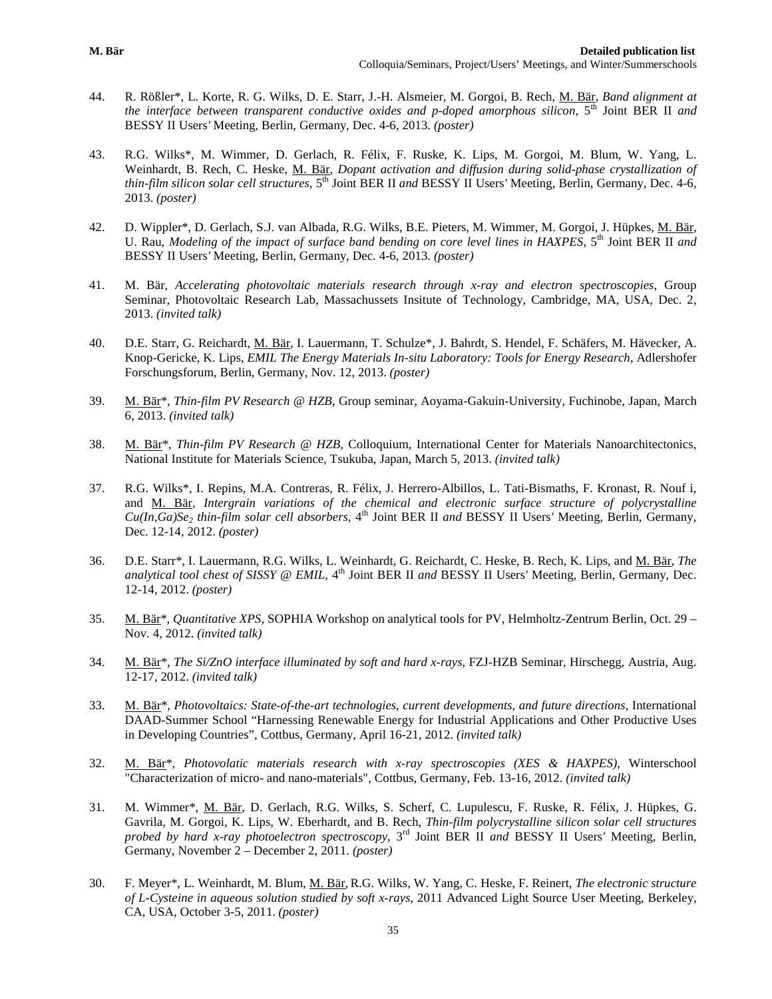- 44. R. Rößler\*, L. Korte, R. G. Wilks, D. E. Starr, J.-H. Alsmeier, M. Gorgoi, B. Rech, M. Bär, *Band alignment at the interface between transparent conductive oxides and p-doped amorphous silicon*, 5th Joint BER II *and*  BESSY II Users*'* Meeting, Berlin, Germany, Dec. 4-6, 2013. *(poster)*
- 43. R.G. Wilks\*, M. Wimmer, D. Gerlach, R. Félix, F. Ruske, K. Lips, M. Gorgoi, M. Blum, W. Yang, L. Weinhardt, B. Rech, C. Heske, M. Bär, *Dopant activation and diffusion during solid-phase crystallization of thin-film silicon solar cell structures*, 5th Joint BER II *and* BESSY II Users*'* Meeting, Berlin, Germany, Dec. 4-6, 2013. *(poster)*
- 42. D. Wippler\*, D. Gerlach, S.J. van Albada, R.G. Wilks, B.E. Pieters, M. Wimmer, M. Gorgoi, J. Hüpkes, M. Bär, U. Rau, *Modeling of the impact of surface band bending on core level lines in HAXPES*, 5<sup>th</sup> Joint BER II *and* BESSY II Users*'* Meeting, Berlin, Germany, Dec. 4-6, 2013. *(poster)*
- 41. M. Bär, *Accelerating photovoltaic materials research through x-ray and electron spectroscopies*, Group Seminar, Photovoltaic Research Lab, Massachussets Insitute of Technology, Cambridge, MA, USA, Dec. 2, 2013. *(invited talk)*
- 40. D.E. Starr, G. Reichardt, M. Bär, I. Lauermann, T. Schulze\*, J. Bahrdt, S. Hendel, F. Schäfers, M. Hävecker, A. Knop-Gericke, K. Lips, *EMIL The Energy Materials In-situ Laboratory: Tools for Energy Research*, Adlershofer Forschungsforum, Berlin, Germany, Nov. 12, 2013. *(poster)*
- 39. M. Bär\*, *Thin-film PV Research @ HZB*, Group seminar, Aoyama-Gakuin-University, Fuchinobe, Japan, March 6, 2013. *(invited talk)*
- 38. M. Bär\*, *Thin-film PV Research @ HZB*, Colloquium, International Center for Materials Nanoarchitectonics, National Institute for Materials Science, Tsukuba, Japan, March 5, 2013. *(invited talk)*
- 37. R.G. Wilks\*, I. Repins, M.A. Contreras, R. Félix, J. Herrero-Albillos, L. Tati-Bismaths, F. Kronast, R. Nouf i, and M. Bär, *Intergrain variations of the chemical and electronic surface structure of polycrystalline*   $Cu(In,Ga)Se_2$  *thin-film solar cell absorbers*,  $4<sup>th</sup>$  Joint BER II *and* BESSY II Users' Meeting, Berlin, Germany, Dec. 12-14, 2012. *(poster)*
- 36. D.E. Starr\*, I. Lauermann, R.G. Wilks, L. Weinhardt, G. Reichardt, C. Heske, B. Rech, K. Lips, and M. Bär, *The analytical tool chest of SISSY @ EMIL*, 4<sup>th</sup> Joint BER II *and* BESSY II Users' Meeting, Berlin, Germany, Dec. 12-14, 2012. *(poster)*
- 35. M. Bär\*, *Quantitative XPS*, SOPHIA Workshop on analytical tools for PV, Helmholtz-Zentrum Berlin, Oct. 29 Nov. 4, 2012. *(invited talk)*
- 34. M. Bär\*, *The Si/ZnO interface illuminated by soft and hard x-rays*, FZJ-HZB Seminar, Hirschegg, Austria, Aug. 12-17, 2012. *(invited talk)*
- 33. M. Bär\*, *Photovoltaics: State-of-the-art technologies, current developments, and future directions*, International DAAD-Summer School "Harnessing Renewable Energy for Industrial Applications and Other Productive Uses in Developing Countries", Cottbus, Germany, April 16-21, 2012. *(invited talk)*
- 32. M. Bär\*, *Photovolatic materials research with x-ray spectroscopies (XES & HAXPES)*, Winterschool "Characterization of micro- and nano-materials", Cottbus, Germany, Feb. 13-16, 2012. *(invited talk)*
- 31. M. Wimmer\*, M. Bär, D. Gerlach, R.G. Wilks, S. Scherf, C. Lupulescu, F. Ruske, R. Félix, J. Hüpkes, G. Gavrila, M. Gorgoi, K. Lips, W. Eberhardt, and B. Rech, *Thin-film polycrystalline silicon solar cell structures probed by hard x-ray photoelectron spectroscopy*, 3rd Joint BER II *and* BESSY II Users*'* Meeting, Berlin, Germany, November 2 – December 2, 2011. *(poster)*
- 30. F. Meyer\*, L. Weinhardt, M. Blum, M. Bär, R.G. Wilks, W. Yang, C. Heske, F. Reinert, *The electronic structure of L-Cysteine in aqueous solution studied by soft x-rays*, 2011 Advanced Light Source User Meeting, Berkeley, CA, USA, October 3-5, 2011. *(poster)*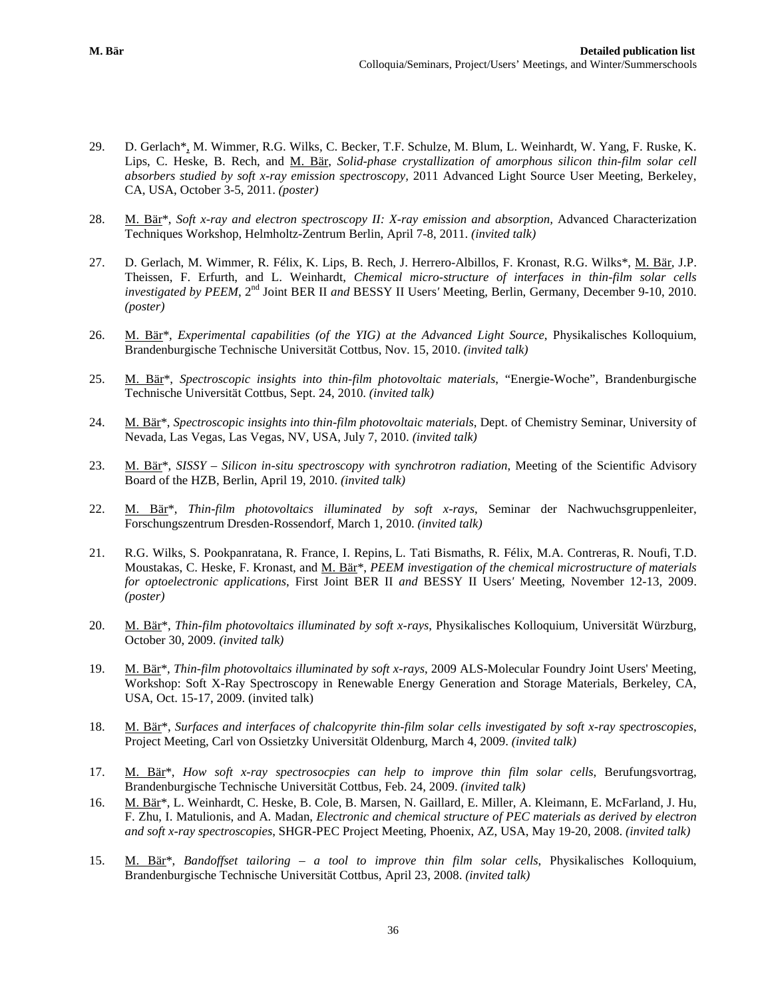- 29. D. Gerlach\*, M. Wimmer, R.G. Wilks, C. Becker, T.F. Schulze, M. Blum, L. Weinhardt, W. Yang, F. Ruske, K. Lips, C. Heske, B. Rech, and M. Bär, *Solid-phase crystallization of amorphous silicon thin-film solar cell absorbers studied by soft x-ray emission spectroscopy,* 2011 Advanced Light Source User Meeting, Berkeley, CA, USA, October 3-5, 2011. *(poster)*
- 28. M. Bär<sup>\*</sup>, *Soft x-ray and electron spectroscopy II: X-ray emission and absorption*, Advanced Characterization Techniques Workshop, Helmholtz-Zentrum Berlin, April 7-8, 2011. *(invited talk)*
- 27. D. Gerlach, M. Wimmer, R. Félix, K. Lips, B. Rech, J. Herrero-Albillos, F. Kronast, R.G. Wilks\*, M. Bär, J.P. Theissen, F. Erfurth, and L. Weinhardt, *Chemical micro-structure of interfaces in thin-film solar cells investigated by PEEM*, 2<sup>nd</sup> Joint BER II *and* BESSY II Users' Meeting, Berlin, Germany, December 9-10, 2010. *(poster)*
- 26. M. Bär\*, *Experimental capabilities (of the YIG) at the Advanced Light Source*, Physikalisches Kolloquium, Brandenburgische Technische Universität Cottbus, Nov. 15, 2010. *(invited talk)*
- 25. M. Bär\*, *Spectroscopic insights into thin-film photovoltaic materials*, "Energie-Woche", Brandenburgische Technische Universität Cottbus, Sept. 24, 2010. *(invited talk)*
- 24. M. Bär\*, *Spectroscopic insights into thin-film photovoltaic materials*, Dept. of Chemistry Seminar, University of Nevada, Las Vegas, Las Vegas, NV, USA, July 7, 2010. *(invited talk)*
- 23. M. Bär\*, *SISSY – Silicon in-situ spectroscopy with synchrotron radiation*, Meeting of the Scientific Advisory Board of the HZB, Berlin, April 19, 2010. *(invited talk)*
- 22. M. Bär\*, *Thin-film photovoltaics illuminated by soft x-rays*, Seminar der Nachwuchsgruppenleiter, Forschungszentrum Dresden-Rossendorf, March 1, 2010. *(invited talk)*
- 21. R.G. Wilks, S. Pookpanratana, R. France, I. Repins, L. Tati Bismaths, R. Félix, M.A. Contreras, R. Noufi, T.D. Moustakas, C. Heske, F. Kronast, and M. Bär\*, *PEEM investigation of the chemical microstructure of materials for optoelectronic applications*, First Joint BER II *and* BESSY II Users*'* Meeting, November 12-13, 2009. *(poster)*
- 20. M. Bär\*, *Thin-film photovoltaics illuminated by soft x-rays*, Physikalisches Kolloquium, Universität Würzburg, October 30, 2009. *(invited talk)*
- 19. M. Bär\*, *Thin-film photovoltaics illuminated by soft x-rays*[, 2009 ALS-Molecular Foundry Joint Users' Meeting,](http://ssg.als.lbl.gov/ssgdirectory/guo/rixs2009.html)  [Workshop: Soft X-Ray Spectroscopy in Renewable Energy Generation and Storage Materials, Berkeley, CA,](http://ssg.als.lbl.gov/ssgdirectory/guo/rixs2009.html)  [USA, Oct. 15-17, 2009. \(invited talk\)](http://ssg.als.lbl.gov/ssgdirectory/guo/rixs2009.html)
- 18. M. Bär\*, *Surfaces and interfaces of chalcopyrite thin-film solar cells investigated by soft x-ray spectroscopies*, Project Meeting, Carl von Ossietzky Universität Oldenburg, March 4, 2009. *(invited talk)*
- 17. M. Bär\*, *How soft x-ray spectrosocpies can help to improve thin film solar cells*, Berufungsvortrag, Brandenburgische Technische Universität Cottbus, Feb. 24, 2009. *(invited talk)*
- 16. M. Bär\*, L. Weinhardt, C. Heske, B. Cole, B. Marsen, N. Gaillard, E. Miller, A. Kleimann, E. McFarland, J. Hu, F. Zhu, I. Matulionis, and A. Madan, *Electronic and chemical structure of PEC materials as derived by electron and soft x-ray spectroscopies*, SHGR-PEC Project Meeting, Phoenix, AZ, USA, May 19-20, 2008. *(invited talk)*
- 15. M. Bär\*, *Bandoffset tailoring – a tool to improve thin film solar cells*, Physikalisches Kolloquium, Brandenburgische Technische Universität Cottbus, April 23, 2008. *(invited talk)*